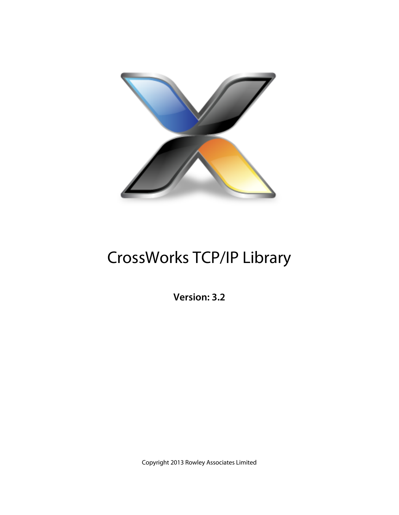

# CrossWorks TCP/IP Library

**Version: 3.2**

Copyright 2013 Rowley Associates Limited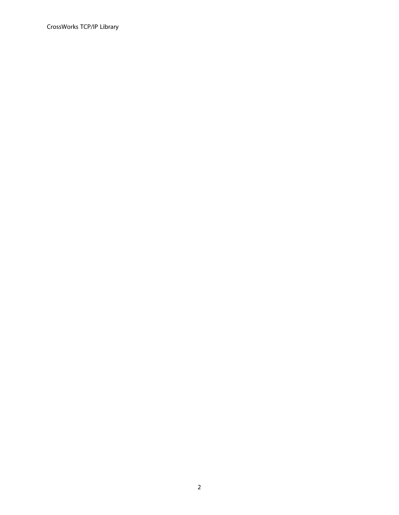CrossWorks TCP/IP Library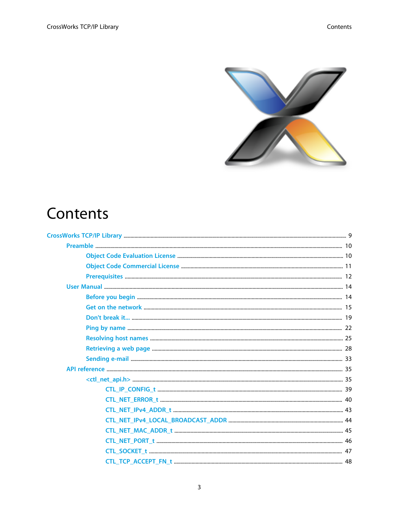Contents



# Contents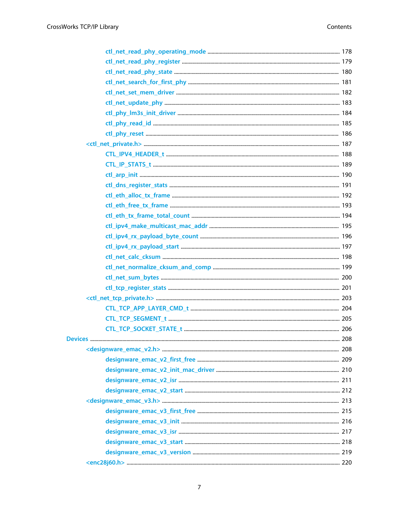| <b>Devices</b> | 208 |
|----------------|-----|
|                |     |
|                |     |
|                |     |
|                |     |
|                |     |
|                |     |
|                |     |
|                |     |
|                |     |
|                |     |
|                |     |
|                |     |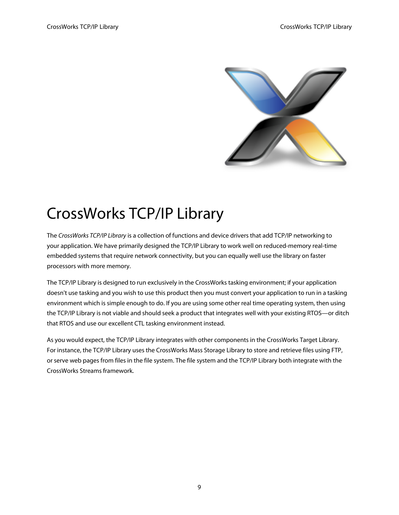

# <span id="page-8-0"></span>CrossWorks TCP/IP Library

The *CrossWorks TCP/IP Library* is a collection of functions and device drivers that add TCP/IP networking to your application. We have primarily designed the TCP/IP Library to work well on reduced-memory real-time embedded systems that require network connectivity, but you can equally well use the library on faster processors with more memory.

The TCP/IP Library is designed to run exclusively in the CrossWorks tasking environment; if your application doesn't use tasking and you wish to use this product then you must convert your application to run in a tasking environment which is simple enough to do. If you are using some other real time operating system, then using the TCP/IP Library is not viable and should seek a product that integrates well with your existing RTOS—or ditch that RTOS and use our excellent CTL tasking environment instead.

As you would expect, the TCP/IP Library integrates with other components in the CrossWorks Target Library. For instance, the TCP/IP Library uses the CrossWorks Mass Storage Library to store and retrieve files using FTP, or serve web pages from files in the file system. The file system and the TCP/IP Library both integrate with the CrossWorks Streams framework.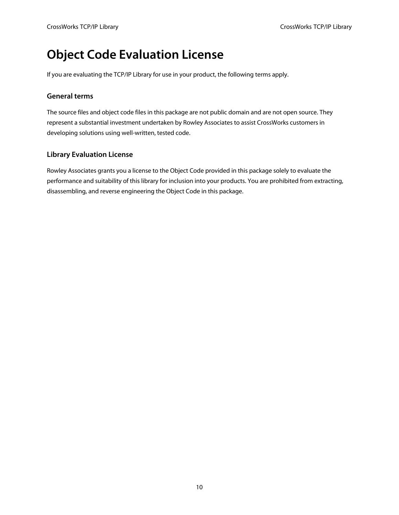## <span id="page-9-0"></span>**Object Code Evaluation License**

If you are evaluating the TCP/IP Library for use in your product, the following terms apply.

#### **General terms**

The source files and object code files in this package are not public domain and are not open source. They represent a substantial investment undertaken by Rowley Associates to assist CrossWorks customers in developing solutions using well-written, tested code.

#### **Library Evaluation License**

Rowley Associates grants you a license to the Object Code provided in this package solely to evaluate the performance and suitability of this library for inclusion into your products. You are prohibited from extracting, disassembling, and reverse engineering the Object Code in this package.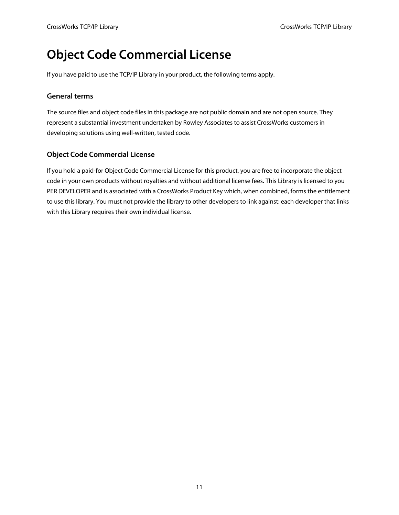# <span id="page-10-0"></span>**Object Code Commercial License**

If you have paid to use the TCP/IP Library in your product, the following terms apply.

#### **General terms**

The source files and object code files in this package are not public domain and are not open source. They represent a substantial investment undertaken by Rowley Associates to assist CrossWorks customers in developing solutions using well-written, tested code.

#### **Object Code Commercial License**

If you hold a paid-for Object Code Commercial License for this product, you are free to incorporate the object code in your own products without royalties and without additional license fees. This Library is licensed to you PER DEVELOPER and is associated with a CrossWorks Product Key which, when combined, forms the entitlement to use this library. You must not provide the library to other developers to link against: each developer that links with this Library requires their own individual license.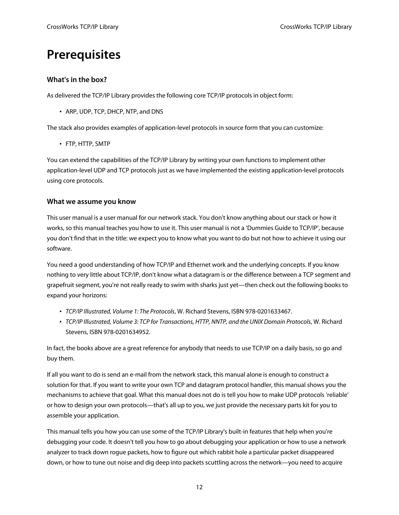## <span id="page-11-0"></span>**Prerequisites**

#### **What's in the box?**

As delivered the TCP/IP Library provides the following core TCP/IP protocols in object form:

• ARP, UDP, TCP, DHCP, NTP, and DNS

The stack also provides examples of application-level protocols in source form that you can customize:

• FTP, HTTP, SMTP

You can extend the capabilities of the TCP/IP Library by writing your own functions to implement other application-level UDP and TCP protocols just as we have implemented the existing application-level protocols using core protocols.

#### **What we assume you know**

This user manual is a user manual for our network stack. You don't know anything about our stack or how it works, so this manual teaches you how to use it. This user manual is not a 'Dummies Guide to TCP/IP', because you don't find that in the title: we expect you to know what you want to do but not how to achieve it using our software.

You need a good understanding of how TCP/IP and Ethernet work and the underlying concepts. If you know nothing to very little about TCP/IP, don't know what a datagram is or the difference between a TCP segment and grapefruit segment, you're not really ready to swim with sharks just yet—then check out the following books to expand your horizons:

- *TCP/IP Illustrated, Volume 1: The Protocols*, W. Richard Stevens, ISBN 978-0201633467.
- *TCP/IP Illustrated, Volume 3: TCP for Transactions, HTTP, NNTP, and the UNIX Domain Protocols*, W. Richard Stevens, ISBN 978-0201634952.

In fact, the books above are a great reference for anybody that needs to use TCP/IP on a daily basis, so go and buy them.

If all you want to do is send an e-mail from the network stack, this manual alone is enough to construct a solution for that. If you want to write your own TCP and datagram protocol handler, this manual shows you the mechanisms to achieve that goal. What this manual does not do is tell you how to make UDP protocols 'reliable' or how to design your own protocols—that's all up to you, we just provide the necessary parts kit for you to assemble your application.

This manual tells you how you can use some of the TCP/IP Library's built-in features that help when you're debugging your code. It doesn't tell you how to go about debugging your application or how to use a network analyzer to track down rogue packets, how to figure out which rabbit hole a particular packet disappeared down, or how to tune out noise and dig deep into packets scuttling across the network—you need to acquire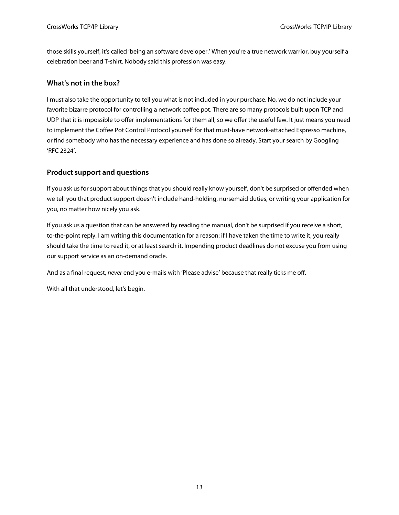those skills yourself, it's called 'being an software developer.' When you're a true network warrior, buy yourself a celebration beer and T-shirt. Nobody said this profession was easy.

#### **What's not in the box?**

I must also take the opportunity to tell you what is not included in your purchase. No, we do not include your favorite bizarre protocol for controlling a network coffee pot. There are so many protocols built upon TCP and UDP that it is impossible to offer implementations for them all, so we offer the useful few. It just means you need to implement the Coffee Pot Control Protocol yourself for that must-have network-attached Espresso machine, or find somebody who has the necessary experience and has done so already. Start your search by Googling 'RFC 2324'.

#### **Product support and questions**

If you ask us for support about things that you should really know yourself, don't be surprised or offended when we tell you that product support doesn't include hand-holding, nursemaid duties, or writing your application for you, no matter how nicely you ask.

If you ask us a question that can be answered by reading the manual, don't be surprised if you receive a short, to-the-point reply. I am writing this documentation for a reason: if I have taken the time to write it, you really should take the time to read it, or at least search it. Impending product deadlines do not excuse you from using our support service as an on-demand oracle.

And as a final request, *never* end you e-mails with 'Please advise' because that really ticks me off.

With all that understood, let's begin.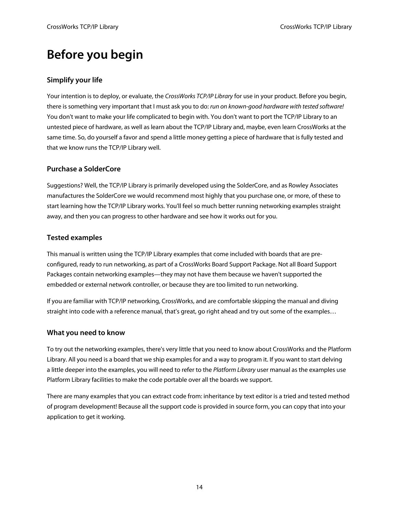# <span id="page-13-0"></span>**Before you begin**

#### **Simplify your life**

Your intention is to deploy, or evaluate, the *CrossWorks TCP/IP Library* for use in your product. Before you begin, there is something very important that I must ask you to do: *run on known-good hardware with tested software!* You don't want to make your life complicated to begin with. You don't want to port the TCP/IP Library to an untested piece of hardware, as well as learn about the TCP/IP Library and, maybe, even learn CrossWorks at the same time. So, do yourself a favor and spend a little money getting a piece of hardware that is fully tested and that we know runs the TCP/IP Library well.

#### **Purchase a SolderCore**

Suggestions? Well, the TCP/IP Library is primarily developed using the SolderCore, and as Rowley Associates manufactures the SolderCore we would recommend most highly that you purchase one, or more, of these to start learning how the TCP/IP Library works. You'll feel so much better running networking examples straight away, and then you can progress to other hardware and see how it works out for you.

#### **Tested examples**

This manual is written using the TCP/IP Library examples that come included with boards that are preconfigured, ready to run networking, as part of a CrossWorks Board Support Package. Not all Board Support Packages contain networking examples—they may not have them because we haven't supported the embedded or external network controller, or because they are too limited to run networking.

If you are familiar with TCP/IP networking, CrossWorks, and are comfortable skipping the manual and diving straight into code with a reference manual, that's great, go right ahead and try out some of the examples…

#### **What you need to know**

To try out the networking examples, there's very little that you need to know about CrossWorks and the Platform Library. All you need is a board that we ship examples for and a way to program it. If you want to start delving a little deeper into the examples, you will need to refer to the *Platform Library* user manual as the examples use Platform Library facilities to make the code portable over all the boards we support.

There are many examples that you can extract code from: inheritance by text editor is a tried and tested method of program development! Because all the support code is provided in source form, you can copy that into your application to get it working.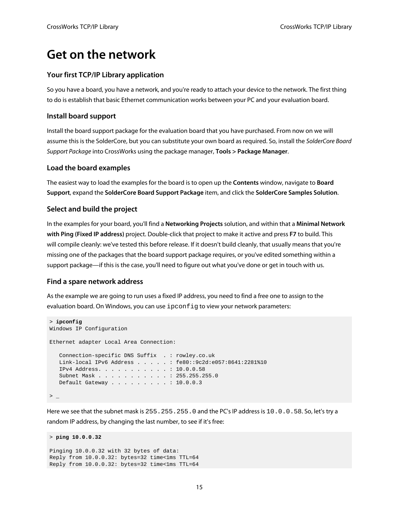### <span id="page-14-0"></span>**Get on the network**

#### **Your first TCP/IP Library application**

So you have a board, you have a network, and you're ready to attach your device to the network. The first thing to do is establish that basic Ethernet communication works between your PC and your evaluation board.

#### **Install board support**

Install the board support package for the evaluation board that you have purchased. From now on we will assume this is the SolderCore, but you can substitute your own board as required. So, install the *SolderCore Board Support Package* into CrossWorks using the package manager, **Tools > Package Manager**.

#### **Load the board examples**

The easiest way to load the examples for the board is to open up the **Contents** window, navigate to **Board Support**, expand the **SolderCore Board Support Package** item, and click the **SolderCore Samples Solution**.

#### **Select and build the project**

In the examples for your board, you'll find a **Networking Projects** solution, and within that a **Minimal Network with Ping (Fixed IP address)** project. Double-click that project to make it active and press **F7** to build. This will compile cleanly: we've tested this before release. If it doesn't build cleanly, that usually means that you're missing one of the packages that the board support package requires, or you've edited something within a support package—if this is the case, you'll need to figure out what you've done or get in touch with us.

#### **Find a spare network address**

As the example we are going to run uses a fixed IP address, you need to find a free one to assign to the evaluation board. On Windows, you can use ipconfig to view your network parameters:

```
> ipconfig
Windows IP Configuration
Ethernet adapter Local Area Connection:
    Connection-specific DNS Suffix . : rowley.co.uk
   Link-local IPv6 Address . . . . . : fe80::9c2d:e057:8641:2281%10
   IPv4 Address. . . . . . . . . . . : 10.0.0.58
   Subnet Mask . . . . . . . . . . . : 255.255.255.0
   Default Gateway . . . . . . . . . : 10.0.0.3
\qquad \qquad \geq _{-}
```
Here we see that the subnet mask is 255.255.255.0 and the PC's IP address is 10.0.0.58. So, let's try a random IP address, by changing the last number, to see if it's free:

```
> ping 10.0.0.32
Pinging 10.0.0.32 with 32 bytes of data:
Reply from 10.0.0.32: bytes=32 time<1ms TTL=64
Reply from 10.0.0.32: bytes=32 time<1ms TTL=64
```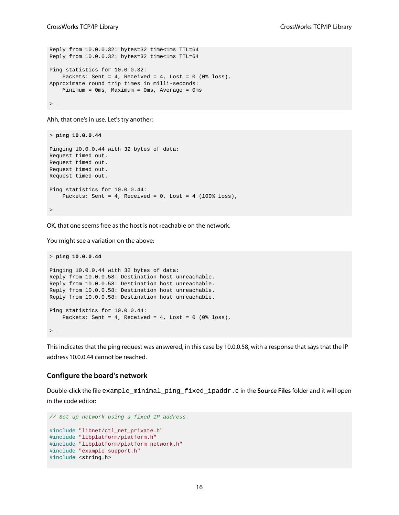```
Reply from 10.0.0.32: bytes=32 time<1ms TTL=64
Reply from 10.0.0.32: bytes=32 time<1ms TTL=64
Ping statistics for 10.0.0.32:
   Packets: Sent = 4, Received = 4, Lost = 0 (0% loss),
Approximate round trip times in milli-seconds:
    Minimum = 0ms, Maximum = 0ms, Average = 0ms
\,> \, \_
```
Ahh, that one's in use. Let's try another:

```
> ping 10.0.0.44
Pinging 10.0.0.44 with 32 bytes of data:
Request timed out.
Request timed out.
Request timed out.
Request timed out.
Ping statistics for 10.0.0.44:
    Packets: Sent = 4, Received = 0, Lost = 4 (100% loss),
\, \, \, \, \, \,
```
OK, that one seems free as the host is not reachable on the network.

You might see a variation on the above:

```
> ping 10.0.0.44
Pinging 10.0.0.44 with 32 bytes of data:
Reply from 10.0.0.58: Destination host unreachable.
Reply from 10.0.0.58: Destination host unreachable.
Reply from 10.0.0.58: Destination host unreachable.
Reply from 10.0.0.58: Destination host unreachable.
Ping statistics for 10.0.0.44:
   Packets: Sent = 4, Received = 4, Lost = 0 (0% loss),
> -
```
This indicates that the ping request was answered, in this case by 10.0.0.58, with a response that says that the IP address 10.0.0.44 cannot be reached.

#### **Configure the board's network**

Double-click the file example\_minimal\_ping\_fixed\_ipaddr.c in the **Source Files** folder and it will open in the code editor:

```
// Set up network using a fixed IP address.
#include "libnet/ctl_net_private.h"
#include "libplatform/platform.h"
#include "libplatform/platform_network.h"
#include "example_support.h"
#include <string.h>
```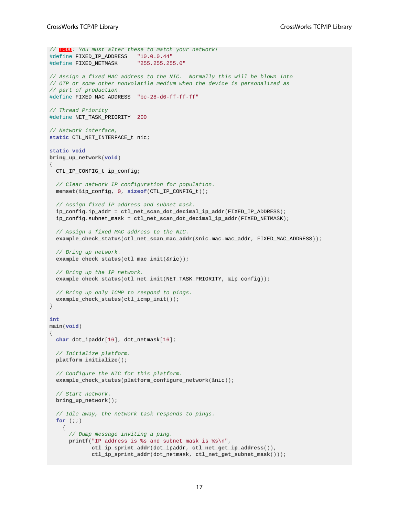```
// TODO: You must alter these to match your network!
#define FIXED_IP_ADDRESS "10.0.0.44"
#define FIXED_NETMASK "255.255.255.0"
// Assign a fixed MAC address to the NIC. Normally this will be blown into
// OTP or some other nonvolatile medium when the device is personalized as
// part of production.
#define FIXED_MAC_ADDRESS "bc-28-d6-ff-ff-ff"
// Thread Priority
#define NET_TASK_PRIORITY 200
// Network interface,
static CTL NET INTERFACE t nic;
static void
bring_up_network(void)
{
   CTL_IP_CONFIG_t ip_config;
   // Clear network IP configuration for population.
   memset(&ip_config, 0, sizeof(CTL_IP_CONFIG_t));
   // Assign fixed IP address and subnet mask.
   ip_config.ip_addr = ctl_net_scan_dot_decimal_ip_addr(FIXED_IP_ADDRESS);
   ip_config.subnet_mask = ctl_net_scan_dot_decimal_ip_addr(FIXED_NETMASK);
   // Assign a fixed MAC address to the NIC.
   example_check_status(ctl_net_scan_mac_addr(&nic.mac.mac_addr, FIXED_MAC_ADDRESS));
   // Bring up network.
   example_check_status(ctl_mac_init(&nic));
   // Bring up the IP network.
   example_check_status(ctl_net_init(NET_TASK_PRIORITY, &ip_config));
   // Bring up only ICMP to respond to pings.
   example_check_status(ctl_icmp_init());
}
int
main(void)
{
   char dot_ipaddr[16], dot_netmask[16];
   // Initialize platform.
   platform_initialize();
   // Configure the NIC for this platform.
   example_check_status(platform_configure_network(&nic));
   // Start network.
   bring_up_network();
   // Idle away, the network task responds to pings.
  for (i)\left\{\begin{array}{c} \end{array}\right\} // Dump message inviting a ping.
       printf("IP address is %s and subnet mask is %s\n",
              ctl_ip_sprint_addr(dot_ipaddr, ctl_net_get_ip_address()),
              ctl_ip_sprint_addr(dot_netmask, ctl_net_get_subnet_mask()));
```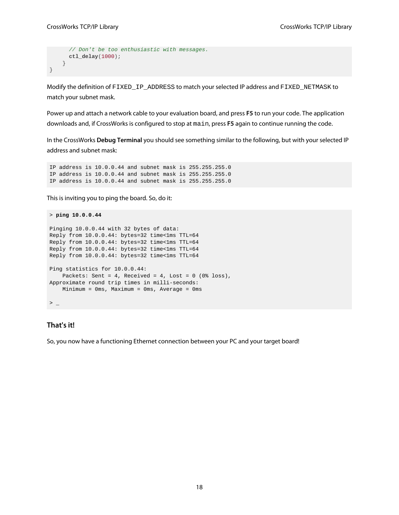```
 // Don't be too enthusiastic with messages.
       ctl_delay(1000);
     }
}
```
Modify the definition of FIXED\_IP\_ADDRESS to match your selected IP address and FIXED\_NETMASK to match your subnet mask.

Power up and attach a network cable to your evaluation board, and press **F5** to run your code. The application downloads and, if CrossWorks is configured to stop at main, press **F5** again to continue running the code.

In the CrossWorks **Debug Terminal** you should see something similar to the following, but with your selected IP address and subnet mask:

```
IP address is 10.0.0.44 and subnet mask is 255.255.255.0
IP address is 10.0.0.44 and subnet mask is 255.255.255.0
IP address is 10.0.0.44 and subnet mask is 255.255.255.0
```
This is inviting you to ping the board. So, do it:

```
> ping 10.0.0.44
Pinging 10.0.0.44 with 32 bytes of data:
Reply from 10.0.0.44: bytes=32 time<1ms TTL=64
Reply from 10.0.0.44: bytes=32 time<1ms TTL=64
Reply from 10.0.0.44: bytes=32 time<1ms TTL=64
Reply from 10.0.0.44: bytes=32 time<1ms TTL=64
Ping statistics for 10.0.0.44:
   Packets: Sent = 4, Received = 4, Lost = 0 (0% loss),
Approximate round trip times in milli-seconds:
    Minimum = 0ms, Maximum = 0ms, Average = 0ms
\,> \_
```
#### **That's it!**

So, you now have a functioning Ethernet connection between your PC and your target board!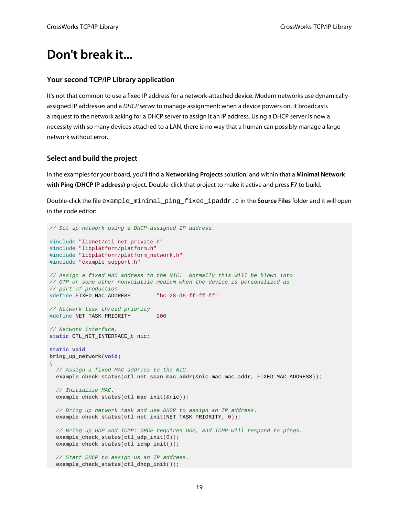### <span id="page-18-0"></span>**Don't break it...**

#### **Your second TCP/IP Library application**

It's not that common to use a fixed IP address for a network-attached device. Modern networks use dynamicallyassigned IP addresses and a *DHCP server* to manage assignment: when a device powers on, it broadcasts a request to the network asking for a DHCP server to assign it an IP address. Using a DHCP server is now a necessity with so many devices attached to a LAN, there is no way that a human can possibly manage a large network without error.

#### **Select and build the project**

In the examples for your board, you'll find a **Networking Projects** solution, and within that a **Minimal Network with Ping (DHCP IP address)** project. Double-click that project to make it active and press **F7** to build.

Double-click the file example\_minimal\_ping\_fixed\_ipaddr.c in the **Source Files** folder and it will open in the code editor:

```
// Set up network using a DHCP-assigned IP address.
#include "libnet/ctl_net_private.h"
#include "libplatform/platform.h"
#include "libplatform/platform_network.h"
#include "example_support.h"
// Assign a fixed MAC address to the NIC. Normally this will be blown into
// OTP or some other nonvolatile medium when the device is personalized as
// part of production.
#define FIXED_MAC_ADDRESS "bc-28-d6-ff-ff-ff"
// Network task thread priority
#define NET_TASK_PRIORITY 200
// Network interface,
static CTL_NET_INTERFACE_t nic;
static void
bring_up_network(void)
{
   // Assign a fixed MAC address to the NIC.
   example_check_status(ctl_net_scan_mac_addr(&nic.mac.mac_addr, FIXED_MAC_ADDRESS));
   // Initialize MAC.
   example_check_status(ctl_mac_init(&nic));
   // Bring up network task and use DHCP to assign an IP address.
   example_check_status(ctl_net_init(NET_TASK_PRIORITY, 0));
   // Bring up UDP and ICMP: DHCP requires UDP, and ICMP will respond to pings.
   example_check_status(ctl_udp_init(0));
   example_check_status(ctl_icmp_init());
   // Start DHCP to assign us an IP address.
   example_check_status(ctl_dhcp_init());
```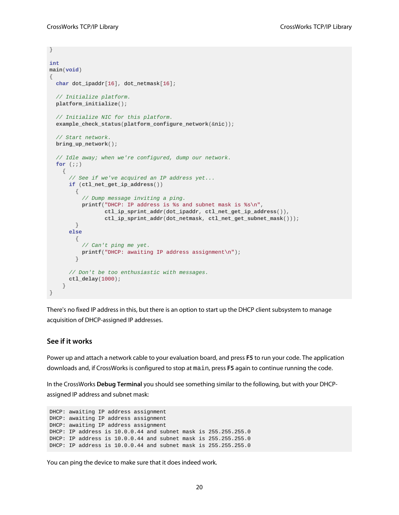}

```
int
main(void)
{
  char dot_ipaddr[16], dot_netmask[16];
   // Initialize platform.
  platform_initialize();
   // Initialize NIC for this platform.
   example_check_status(platform_configure_network(&nic));
   // Start network.
  bring_up_network();
   // Idle away; when we're configured, dump our network.
   for (;;)
\left\{\begin{array}{c} \end{array}\right\} // See if we've acquired an IP address yet...
       if (ctl_net_get_ip_address())
         {
            // Dump message inviting a ping.
           printf("DHCP: IP address is %s and subnet mask is %s\n",
                   ctl_ip_sprint_addr(dot_ipaddr, ctl_net_get_ip_address()),
                   ctl_ip_sprint_addr(dot_netmask, ctl_net_get_subnet_mask()));
         }
       else
         {
           // Can't ping me yet.
           printf("DHCP: awaiting IP address assignment\n");
 }
       // Don't be too enthusiastic with messages.
       ctl_delay(1000);
     }
}
```
There's no fixed IP address in this, but there is an option to start up the DHCP client subsystem to manage acquisition of DHCP-assigned IP addresses.

#### **See if it works**

Power up and attach a network cable to your evaluation board, and press **F5** to run your code. The application downloads and, if CrossWorks is configured to stop at main, press **F5** again to continue running the code.

In the CrossWorks **Debug Terminal** you should see something similar to the following, but with your DHCPassigned IP address and subnet mask:

DHCP: awaiting IP address assignment DHCP: awaiting IP address assignment DHCP: awaiting IP address assignment DHCP: IP address is 10.0.0.44 and subnet mask is 255.255.255.0 DHCP: IP address is 10.0.0.44 and subnet mask is 255.255.255.0 DHCP: IP address is 10.0.0.44 and subnet mask is 255.255.255.0

You can ping the device to make sure that it does indeed work.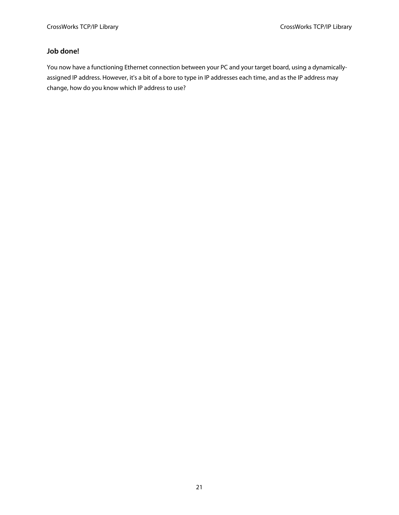#### **Job done!**

You now have a functioning Ethernet connection between your PC and your target board, using a dynamicallyassigned IP address. However, it's a bit of a bore to type in IP addresses each time, and as the IP address may change, how do you know which IP address to use?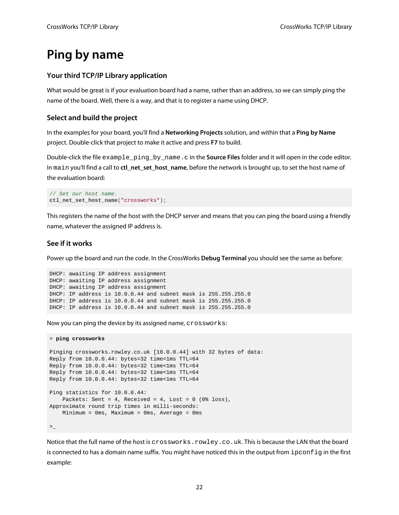### <span id="page-21-0"></span>**Ping by name**

#### **Your third TCP/IP Library application**

What would be great is if your evaluation board had a name, rather than an address, so we can simply ping the name of the board. Well, there is a way, and that is to register a name using DHCP.

#### **Select and build the project**

In the examples for your board, you'll find a **Networking Projects** solution, and within that a **Ping by Name** project. Double-click that project to make it active and press **F7** to build.

Double-click the file example\_ping\_by\_name.c in the **Source Files** folder and it will open in the code editor. In main you'll find a call to **ctl\_net\_set\_host\_name**, before the network is brought up, to set the host name of the evaluation board:

```
// Set our host name.
ctl_net_set_host_name("crossworks");
```
This registers the name of the host with the DHCP server and means that you can ping the board using a friendly name, whatever the assigned IP address is.

#### **See if it works**

Power up the board and run the code. In the CrossWorks **Debug Terminal** you should see the same as before:

DHCP: awaiting IP address assignment DHCP: awaiting IP address assignment DHCP: awaiting IP address assignment DHCP: IP address is 10.0.0.44 and subnet mask is 255.255.255.0 DHCP: IP address is 10.0.0.44 and subnet mask is 255.255.255.0 DHCP: IP address is 10.0.0.44 and subnet mask is 255.255.255.0

Now you can ping the device by its assigned name, crossworks:

```
> ping crossworks
Pinging crossworks.rowley.co.uk [10.0.0.44] with 32 bytes of data:
Reply from 10.0.0.44: bytes=32 time<1ms TTL=64
Reply from 10.0.0.44: bytes=32 time<1ms TTL=64
Reply from 10.0.0.44: bytes=32 time<1ms TTL=64
Reply from 10.0.0.44: bytes=32 time<1ms TTL=64
Ping statistics for 10.0.0.44:
   Packets: Sent = 4, Received = 4, Lost = 0 (0% loss),
Approximate round trip times in milli-seconds:
    Minimum = 0ms, Maximum = 0ms, Average = 0ms
>_
```
Notice that the full name of the host is crossworks.rowley.co.uk. This is because the LAN that the board is connected to has a domain name suffix. You might have noticed this in the output from ipconfig in the first example: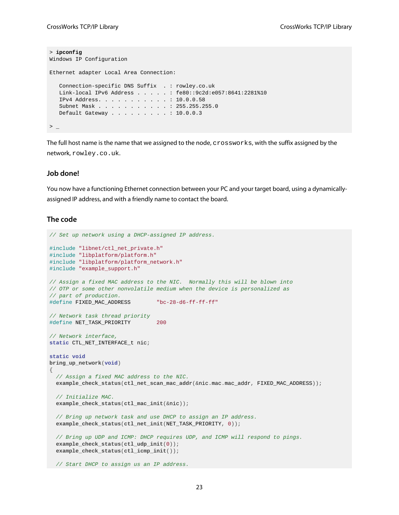```
> ipconfig
Windows IP Configuration
Ethernet adapter Local Area Connection:
    Connection-specific DNS Suffix . : rowley.co.uk
    Link-local IPv6 Address . . . . . : fe80::9c2d:e057:8641:2281%10
    IPv4 Address. . . . . . . . . . . : 10.0.0.58
    Subnet Mask . . . . . . . . . . . : 255.255.255.0
    Default Gateway . . . . . . . . . : 10.0.0.3
> -
```
The full host name is the name that we assigned to the node, crossworks, with the suffix assigned by the network, rowley.co.uk.

#### **Job done!**

You now have a functioning Ethernet connection between your PC and your target board, using a dynamicallyassigned IP address, and with a friendly name to contact the board.

#### **The code**

```
// Set up network using a DHCP-assigned IP address.
#include "libnet/ctl_net_private.h"
#include "libplatform/platform.h"
#include "libplatform/platform_network.h"
#include "example_support.h"
// Assign a fixed MAC address to the NIC. Normally this will be blown into
// OTP or some other nonvolatile medium when the device is personalized as
// part of production.
#define FIXED_MAC_ADDRESS "bc-28-d6-ff-ff-ff"
// Network task thread priority
#define NET_TASK_PRIORITY 200
// Network interface,
static CTL_NET_INTERFACE_t nic;
static void
bring_up_network(void)
{
   // Assign a fixed MAC address to the NIC.
   example_check_status(ctl_net_scan_mac_addr(&nic.mac.mac_addr, FIXED_MAC_ADDRESS));
   // Initialize MAC.
   example_check_status(ctl_mac_init(&nic));
   // Bring up network task and use DHCP to assign an IP address.
  example_check_status(ctl_net_init(NET_TASK_PRIORITY, 0));
   // Bring up UDP and ICMP: DHCP requires UDP, and ICMP will respond to pings.
   example_check_status(ctl_udp_init(0));
   example_check_status(ctl_icmp_init());
  // Start DHCP to assign us an IP address.
```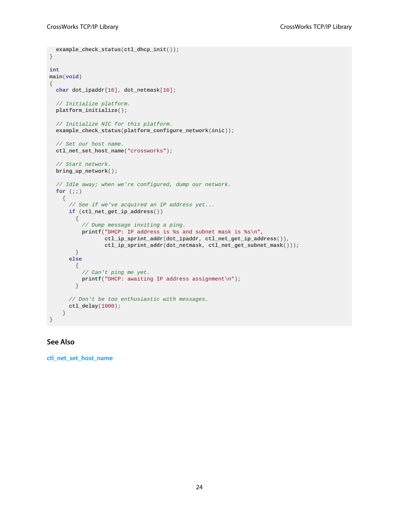```
 example_check_status(ctl_dhcp_init());
}
int
main(void)
{
   char dot_ipaddr[16], dot_netmask[16];
   // Initialize platform.
   platform_initialize();
   // Initialize NIC for this platform.
   example_check_status(platform_configure_network(&nic));
   // Set our host name.
   ctl_net_set_host_name("crossworks");
   // Start network.
   bring_up_network();
   // Idle away; when we're configured, dump our network.
   for (;;)
\left\{\begin{array}{c} \end{array}\right\} // See if we've acquired an IP address yet...
       if (ctl_net_get_ip_address())
         {
           // Dump message inviting a ping.
           printf("DHCP: IP address is %s and subnet mask is %s\n",
                  ctl_ip_sprint_addr(dot_ipaddr, ctl_net_get_ip_address()),
                  ctl_ip_sprint_addr(dot_netmask, ctl_net_get_subnet_mask()));
         }
        else
         {
           // Can't ping me yet.
           printf("DHCP: awaiting IP address assignment\n");
         }
       // Don't be too enthusiastic with messages.
       ctl_delay(1000);
 }
}
```
#### **See Also**

**[ctl\\_net\\_set\\_host\\_name](#page-110-0)**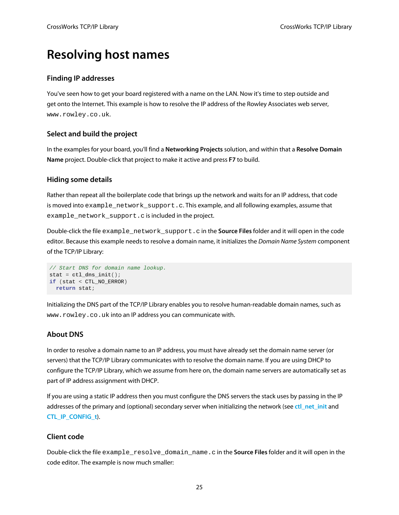## <span id="page-24-0"></span>**Resolving host names**

#### **Finding IP addresses**

You've seen how to get your board registered with a name on the LAN. Now it's time to step outside and get onto the Internet. This example is how to resolve the IP address of the Rowley Associates web server, www.rowley.co.uk.

#### **Select and build the project**

In the examples for your board, you'll find a **Networking Projects** solution, and within that a **Resolve Domain Name** project. Double-click that project to make it active and press **F7** to build.

#### **Hiding some details**

Rather than repeat all the boilerplate code that brings up the network and waits for an IP address, that code is moved into example\_network\_support.c. This example, and all following examples, assume that example\_network\_support.c is included in the project.

Double-click the file example\_network\_support.c in the **Source Files** folder and it will open in the code editor. Because this example needs to resolve a domain name, it initializes the *Domain Name System* component of the TCP/IP Library:

```
// Start DNS for domain name lookup.
stat = ctl_dns_init();
if (stat < CTL_NO_ERROR)
  return stat;
```
Initializing the DNS part of the TCP/IP Library enables you to resolve human-readable domain names, such as www.rowley.co.uk into an IP address you can communicate with.

#### **About DNS**

In order to resolve a domain name to an IP address, you must have already set the domain name server (or servers) that the TCP/IP Library communicates with to resolve the domain name. If you are using DHCP to configure the TCP/IP Library, which we assume from here on, the domain name servers are automatically set as part of IP address assignment with DHCP.

If you are using a static IP address then you must configure the DNS servers the stack uses by passing in the IP addresses of the primary and (optional) secondary server when initializing the network (see [ctl\\_net\\_init](#page-95-0) and **[CTL\\_IP\\_CONFIG\\_t](#page-38-0)**).

#### **Client code**

Double-click the file example\_resolve\_domain\_name.c in the **Source Files** folder and it will open in the code editor. The example is now much smaller: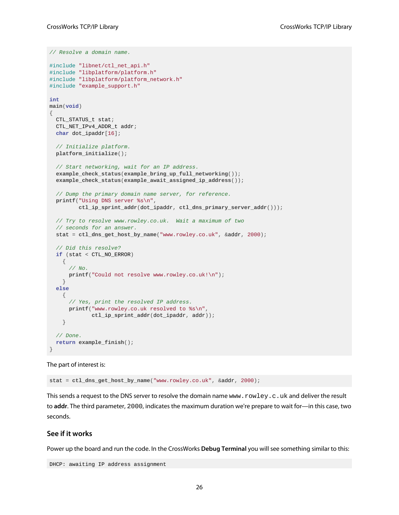```
// Resolve a domain name.
#include "libnet/ctl_net_api.h"
#include "libplatform/platform.h"
#include "libplatform/platform_network.h"
#include "example_support.h"
int
main(void)
{
  CTL_STATUS_t stat;
  CTL_NET_IPv4_ADDR_t addr;
  char dot_ipaddr[16];
   // Initialize platform.
  platform_initialize();
  // Start networking, wait for an IP address.
  example_check_status(example_bring_up_full_networking());
  example_check_status(example_await_assigned_ip_address());
   // Dump the primary domain name server, for reference.
   printf("Using DNS server %s\n",
          ctl_ip_sprint_addr(dot_ipaddr, ctl_dns_primary_server_addr()));
   // Try to resolve www.rowley.co.uk. Wait a maximum of two
   // seconds for an answer.
   stat = ctl_dns_get_host_by_name("www.rowley.co.uk", &addr, 2000);
   // Did this resolve?
   if (stat < CTL_NO_ERROR)
     {
       // No.
      printf("Could not resolve www.rowley.co.uk!\n");
 }
   else
\left\{\begin{array}{c} \end{array}\right\} // Yes, print the resolved IP address.
       printf("www.rowley.co.uk resolved to %s\n",
              ctl_ip_sprint_addr(dot_ipaddr, addr));
     }
   // Done.
   return example_finish();
}
```
The part of interest is:

stat = **ctl\_dns\_get\_host\_by\_name**("www.rowley.co.uk", &addr, 2000);

This sends a request to the DNS server to resolve the domain name www.rowley.c.uk and deliver the result to **addr**. The third parameter, 2000, indicates the maximum duration we're prepare to wait for—in this case, two seconds.

#### **See if it works**

Power up the board and run the code. In the CrossWorks **Debug Terminal** you will see something similar to this:

```
DHCP: awaiting IP address assignment
```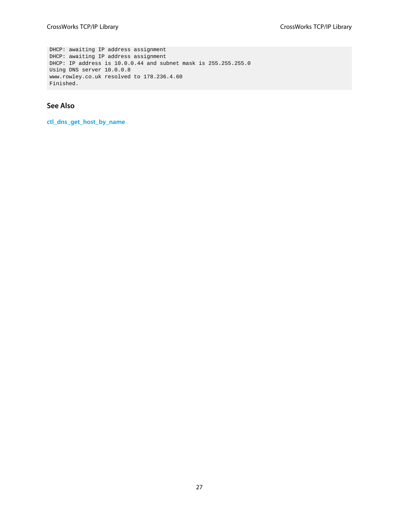DHCP: awaiting IP address assignment DHCP: awaiting IP address assignment DHCP: IP address is 10.0.0.44 and subnet mask is 255.255.255.0 Using DNS server 10.0.0.8 www.rowley.co.uk resolved to 178.236.4.60 Finished.

#### **See Also**

**[ctl\\_dns\\_get\\_host\\_by\\_name](#page-72-0)**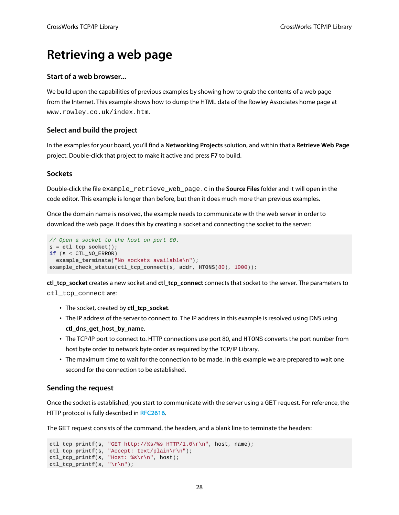### <span id="page-27-0"></span>**Retrieving a web page**

#### **Start of a web browser...**

We build upon the capabilities of previous examples by showing how to grab the contents of a web page from the Internet. This example shows how to dump the HTML data of the Rowley Associates home page at www.rowley.co.uk/index.htm.

#### **Select and build the project**

In the examples for your board, you'll find a **Networking Projects** solution, and within that a **Retrieve Web Page** project. Double-click that project to make it active and press **F7** to build.

#### **Sockets**

Double-click the file example\_retrieve\_web\_page.c in the **Source Files** folder and it will open in the code editor. This example is longer than before, but then it does much more than previous examples.

Once the domain name is resolved, the example needs to communicate with the web server in order to download the web page. It does this by creating a socket and connecting the socket to the server:

```
// Open a socket to the host on port 80.
s = ctl_tcp_socket();
if (s < CTL_NO_ERROR)
   example_terminate("No sockets available\n");
example_check_status(ctl_tcp_connect(s, addr, HTONS(80), 1000));
```
**ctl\_tcp\_socket** creates a new socket and **ctl\_tcp\_connect** connects that socket to the server. The parameters to ctl\_tcp\_connect are:

- The socket, created by **ctl\_tcp\_socket**.
- The IP address of the server to connect to. The IP address in this example is resolved using DNS using **ctl\_dns\_get\_host\_by\_name**.
- The TCP/IP port to connect to. HTTP connections use port 80, and HTONS converts the port number from host byte order to network byte order as required by the TCP/IP Library.
- The maximum time to wait for the connection to be made. In this example we are prepared to wait one second for the connection to be established.

#### **Sending the request**

Once the socket is established, you start to communicate with the server using a GET request. For reference, the HTTP protocol is fully described in **[RFC2616](http://www.w3.org/Protocols/rfc2616/rfc2616.html)**.

The GET request consists of the command, the headers, and a blank line to terminate the headers:

```
ctl_tcp_printf(s, "GET http://%s/%s HTTP/1.0\r\n", host, name);
ctl_tcp_printf(s, "Accept: text/plain\r\n");
ctl_tcp_printf(s, "Host: %s\r\n", host);
ctl_tcp_printf(s, "\r\n");
```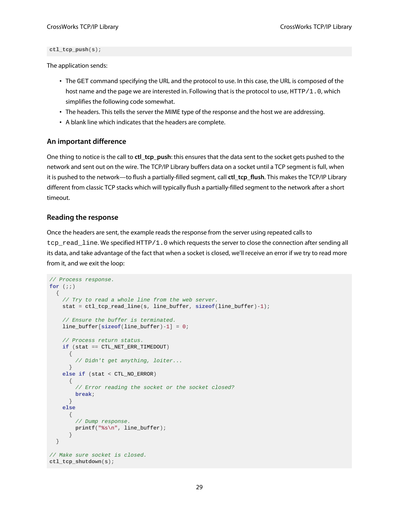**ctl\_tcp\_push**(s);

The application sends:

- The GET command specifying the URL and the protocol to use. In this case, the URL is composed of the host name and the page we are interested in. Following that is the protocol to use, HTTP/1.0, which simplifies the following code somewhat.
- The headers. This tells the server the MIME type of the response and the host we are addressing.
- A blank line which indicates that the headers are complete.

#### **An important difference**

One thing to notice is the call to **ctl\_tcp\_push**: this ensures that the data sent to the socket gets pushed to the network and sent out on the wire. The TCP/IP Library buffers data on a socket until a TCP segment is full, when it is pushed to the network—to flush a partially-filled segment, call **ctl\_tcp\_flush**. This makes the TCP/IP Library different from classic TCP stacks which will typically flush a partially-filled segment to the network after a short timeout.

#### **Reading the response**

Once the headers are sent, the example reads the response from the server using repeated calls to tcp\_read\_line. We specified HTTP/1.0 which requests the server to close the connection after sending all its data, and take advantage of the fact that when a socket is closed, we'll receive an error if we try to read more from it, and we exit the loop:

```
// Process response.
for (;;)
   {
     // Try to read a whole line from the web server.
     stat = ctl_tcp_read_line(s, line_buffer, sizeof(line_buffer)-1);
     // Ensure the buffer is terminated.
     line_buffer[sizeof(line_buffer)-1] = 0;
     // Process return status.
     if (stat == CTL_NET_ERR_TIMEDOUT)
        {
          // Didn't get anything, loiter...
 }
     else if (stat < CTL_NO_ERROR)
\left\{ \begin{array}{c} \end{array} \right. // Error reading the socket or the socket closed?
          break;
        }
     else
\left\{ \begin{array}{c} \end{array} \right. // Dump response.
          printf("%s\n", line_buffer);
 }
   }
// Make sure socket is closed.
ctl_tcp_shutdown(s);
```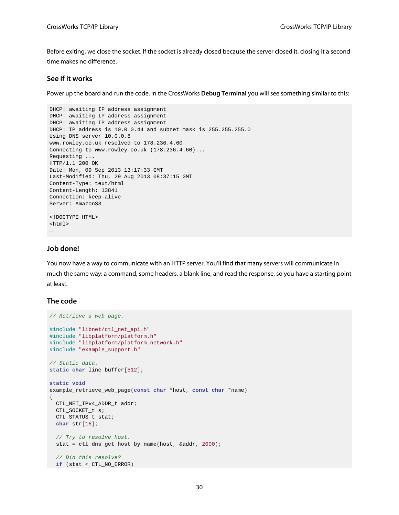Before exiting, we close the socket. If the socket is already closed because the server closed it, closing it a second time makes no difference.

#### **See if it works**

Power up the board and run the code. In the CrossWorks **Debug Terminal** you will see something similar to this:

```
DHCP: awaiting IP address assignment
DHCP: awaiting IP address assignment
DHCP: awaiting IP address assignment
DHCP: IP address is 10.0.0.44 and subnet mask is 255.255.255.0
Using DNS server 10.0.0.8
www.rowley.co.uk resolved to 178.236.4.60
Connecting to www.rowley.co.uk (178.236.4.60)...
Requesting ...
HTTP/1.1 200 OK
Date: Mon, 09 Sep 2013 13:17:33 GMT
Last-Modified: Thu, 29 Aug 2013 08:37:15 GMT
Content-Type: text/html
Content-Length: 13841
Connection: keep-alive
Server: AmazonS3
<!DOCTYPE HTML>
<h+ml>…
```
#### **Job done!**

You now have a way to communicate with an HTTP server. You'll find that many servers will communicate in much the same way: a command, some headers, a blank line, and read the response, so you have a starting point at least.

#### **The code**

```
// Retrieve a web page.
#include "libnet/ctl_net_api.h"
#include "libplatform/platform.h"
#include "libplatform/platform_network.h"
#include "example_support.h"
// Static data.
static char line_buffer[512];
static void
example_retrieve_web_page(const char *host, const char *name)
{
   CTL_NET_IPv4_ADDR_t addr;
   CTL_SOCKET_t s;
   CTL_STATUS_t stat;
   char str[16];
   // Try to resolve host.
   stat = ctl_dns_get_host_by_name(host, &addr, 2000);
   // Did this resolve?
   if (stat < CTL_NO_ERROR)
```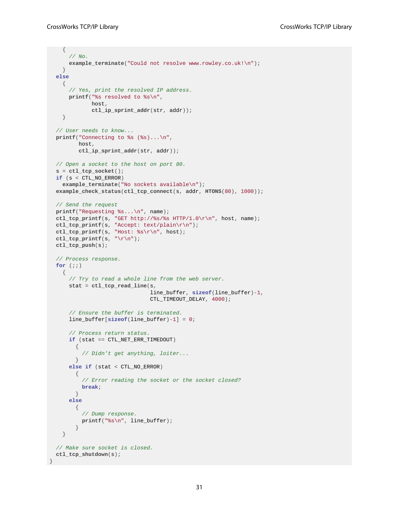{

}

```
 // No.
      example_terminate("Could not resolve www.rowley.co.uk!\n");
    }
  else
    {
      // Yes, print the resolved IP address.
      printf("%s resolved to %s\n",
             host,
              ctl_ip_sprint_addr(str, addr));
    }
  // User needs to know...
  printf("Connecting to %s (%s)...\n",
         host,
          ctl_ip_sprint_addr(str, addr));
  // Open a socket to the host on port 80.
  s = ctl_tcp_socket();
  if (s < CTL_NO_ERROR)
    example_terminate("No sockets available\n");
  example_check_status(ctl_tcp_connect(s, addr, HTONS(80), 1000));
  // Send the request
  printf("Requesting %s...\n", name);
  ctl_tcp_printf(s, "GET http://%s/%s HTTP/1.0\r\n", host, name);
  ctl_tcp_printf(s, "Accept: text/plain\r\n");
  ctl_tcp_printf(s, "Host: %s\r\n", host);
 ctl_tcp_printf(s, "\r\n'\n);
  ctl_tcp_push(s);
  // Process response.
  for (;;)
\left\{\begin{array}{c} \end{array}\right\} // Try to read a whole line from the web server.
      stat = ctl_tcp_read_line(s,
                                 line_buffer, sizeof(line_buffer)-1,
                                CTL TIMEOUT DELAY, 4000);
       // Ensure the buffer is terminated.
      line_buffer[sizeof(line_buffer)-1] = 0;
       // Process return status.
       if (stat == CTL_NET_ERR_TIMEDOUT)
        {
          // Didn't get anything, loiter...
 }
       else if (stat < CTL_NO_ERROR)
\{ // Error reading the socket or the socket closed?
          break;
        }
      else
         {
          // Dump response.
          printf("%s\n", line_buffer);
         }
    }
  // Make sure socket is closed.
  ctl_tcp_shutdown(s);
```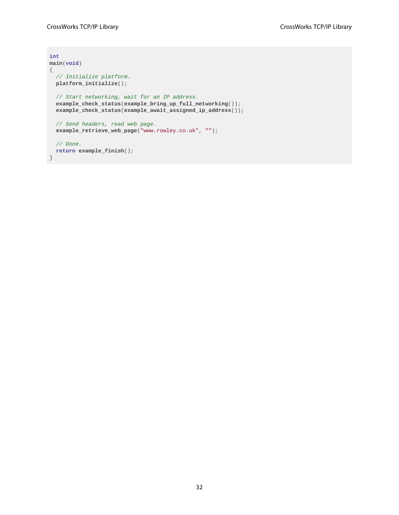**int main**(**void**) { // Initialize platform. **platform\_initialize**(); // Start networking, wait for an IP address. **example\_check\_status**(**example\_bring\_up\_full\_networking**()); **example\_check\_status**(**example\_await\_assigned\_ip\_address**()); // Send headers, read web page. **example\_retrieve\_web\_page**("www.rowley.co.uk", "");

```
 // Done.
 return example_finish();
```
}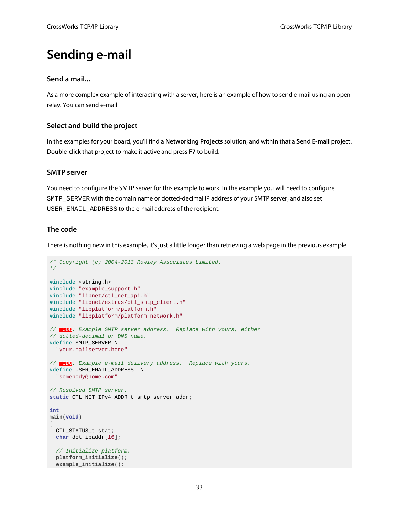## <span id="page-32-0"></span>**Sending e-mail**

#### **Send a mail...**

As a more complex example of interacting with a server, here is an example of how to send e-mail using an open relay. You can send e-mail

#### **Select and build the project**

In the examples for your board, you'll find a **Networking Projects** solution, and within that a **Send E-mail** project. Double-click that project to make it active and press **F7** to build.

#### **SMTP server**

You need to configure the SMTP server for this example to work. In the example you will need to configure SMTP\_SERVER with the domain name or dotted-decimal IP address of your SMTP server, and also set USER\_EMAIL\_ADDRESS to the e-mail address of the recipient.

#### **The code**

There is nothing new in this example, it's just a little longer than retrieving a web page in the previous example.

```
/* Copyright (c) 2004-2013 Rowley Associates Limited.
*/
#include <string.h>
#include "example_support.h"
#include "libnet/ctl_net_api.h"
#include "libnet/extras/ctl_smtp_client.h"
#include "libplatform/platform.h"
#include "libplatform/platform network.h"
// TODO: Example SMTP server address. Replace with yours, either
// dotted-decimal or DNS name.
#define SMTP_SERVER \
  "your.mailserver.here"
// TODO: Example e-mail delivery address. Replace with yours.
#define USER_EMAIL_ADDRESS \
   "somebody@home.com"
// Resolved SMTP server.
static CTL_NET_IPv4_ADDR_t smtp_server_addr;
int
main(void)
{
  CTL_STATUS_t stat;
  char dot_ipaddr[16];
  // Initialize platform.
  platform_initialize();
  example_initialize();
```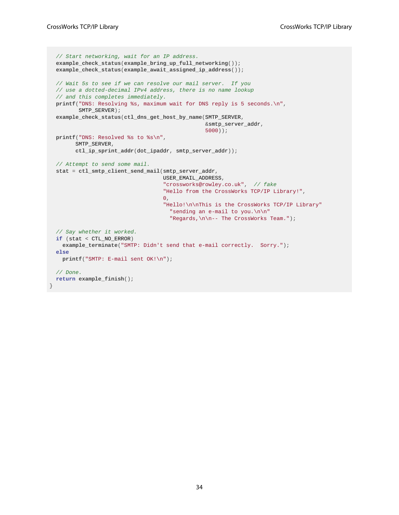}

```
 // Start networking, wait for an IP address.
 example_check_status(example_bring_up_full_networking());
 example_check_status(example_await_assigned_ip_address());
 // Wait 5s to see if we can resolve our mail server. If you
 // use a dotted-decimal IPv4 address, there is no name lookup
 // and this completes immediately.
 printf("DNS: Resolving %s, maximum wait for DNS reply is 5 seconds.\n",
       SMTP_SERVER);
 example_check_status(ctl_dns_get_host_by_name(SMTP_SERVER,
                                                &smtp_server_addr,
                                               5000));
 printf("DNS: Resolved %s to %s\n",
       SMTP_SERVER,
       ctl_ip_sprint_addr(dot_ipaddr, smtp_server_addr));
 // Attempt to send some mail.
 stat = ctl_smtp_client_send_mail(smtp_server_addr,
                                   USER_EMAIL_ADDRESS,
                                  "crossworks@rowley.co.uk", // fake
                                   "Hello from the CrossWorks TCP/IP Library!",
                                  0,"Hello!\n\nThis is the CrossWorks TCP/IP Library"
                                     "sending an e-mail to you.\n\n"
                                    "Regards,\n\n-- The CrossWorks Team.");
 // Say whether it worked.
 if (stat < CTL_NO_ERROR)
  example_terminate("SMTP: Didn't send that e-mail correctly. Sorry.");
 else
  printf("SMTP: E-mail sent OK!\n");
 // Done.
 return example_finish();
```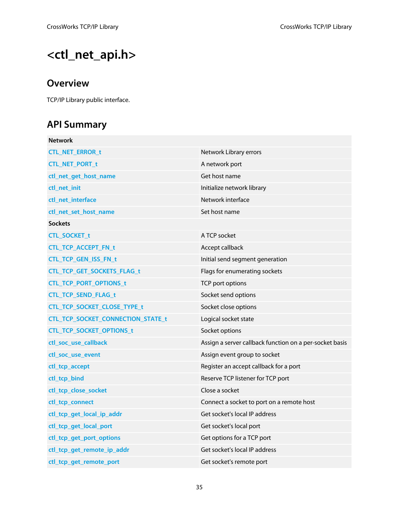# <span id="page-34-0"></span>**<ctl\_net\_api.h>**

### **Overview**

TCP/IP Library public interface.

### **API Summary**

| <b>Network</b>                    |                                                         |
|-----------------------------------|---------------------------------------------------------|
| <b>CTL_NET_ERROR_t</b>            | Network Library errors                                  |
| <b>CTL_NET_PORT_t</b>             | A network port                                          |
| ctl_net_get_host_name             | Get host name                                           |
| ctl_net_init                      | Initialize network library                              |
| ctl_net_interface                 | Network interface                                       |
| ctl_net_set_host_name             | Set host name                                           |
| <b>Sockets</b>                    |                                                         |
| <b>CTL SOCKET t</b>               | A TCP socket                                            |
| <b>CTL_TCP_ACCEPT_FN_t</b>        | Accept callback                                         |
| <b>CTL_TCP_GEN_ISS_FN_t</b>       | Initial send segment generation                         |
| <b>CTL_TCP_GET_SOCKETS_FLAG_t</b> | Flags for enumerating sockets                           |
| <b>CTL_TCP_PORT_OPTIONS_t</b>     | TCP port options                                        |
| <b>CTL_TCP_SEND_FLAG_t</b>        | Socket send options                                     |
| CTL_TCP_SOCKET_CLOSE_TYPE_t       | Socket close options                                    |
| CTL_TCP_SOCKET_CONNECTION_STATE_t | Logical socket state                                    |
| CTL_TCP_SOCKET_OPTIONS_t          | Socket options                                          |
| ctl_soc_use_callback              | Assign a server callback function on a per-socket basis |
| ctl_soc_use_event                 | Assign event group to socket                            |
| ctl_tcp_accept                    | Register an accept callback for a port                  |
| ctl_tcp_bind                      | Reserve TCP listener for TCP port                       |
| ctl_tcp_close_socket              | Close a socket                                          |
| ctl_tcp_connect                   | Connect a socket to port on a remote host               |
| ctl_tcp_get_local_ip_addr         | Get socket's local IP address                           |
| ctl_tcp_get_local_port            | Get socket's local port                                 |
| ctl_tcp_get_port_options          | Get options for a TCP port                              |
| ctl_tcp_get_remote_ip_addr        | Get socket's local IP address                           |
| ctl_tcp_get_remote_port           | Get socket's remote port                                |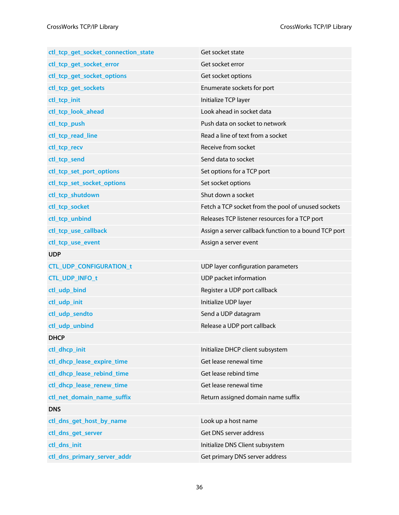| ctl_tcp_get_socket_connection_state | Get socket state                                      |  |
|-------------------------------------|-------------------------------------------------------|--|
| ctl_tcp_get_socket_error            | Get socket error                                      |  |
| ctl_tcp_get_socket_options          | Get socket options                                    |  |
| ctl_tcp_get_sockets                 | Enumerate sockets for port                            |  |
| ctl_tcp_init                        | Initialize TCP layer                                  |  |
| ctl_tcp_look_ahead                  | Look ahead in socket data                             |  |
| ctl_tcp_push                        | Push data on socket to network                        |  |
| ctl_tcp_read_line                   | Read a line of text from a socket                     |  |
| ctl_tcp_recv                        | Receive from socket                                   |  |
| ctl_tcp_send                        | Send data to socket                                   |  |
| ctl_tcp_set_port_options            | Set options for a TCP port                            |  |
| ctl_tcp_set_socket_options          | Set socket options                                    |  |
| ctl_tcp_shutdown                    | Shut down a socket                                    |  |
| ctl_tcp_socket                      | Fetch a TCP socket from the pool of unused sockets    |  |
| ctl_tcp_unbind                      | Releases TCP listener resources for a TCP port        |  |
| ctl_tcp_use_callback                | Assign a server callback function to a bound TCP port |  |
| ctl_tcp_use_event                   | Assign a server event                                 |  |
| <b>UDP</b>                          |                                                       |  |
| CTL_UDP_CONFIGURATION_t             | UDP layer configuration parameters                    |  |
| CTL_UDP_INFO_t                      | UDP packet information                                |  |
| ctl_udp_bind                        | Register a UDP port callback                          |  |
| ctl_udp_init                        | Initialize UDP layer                                  |  |
| ctl_udp_sendto                      | Send a UDP datagram                                   |  |
| ctl_udp_unbind                      | Release a UDP port callback                           |  |
| <b>DHCP</b>                         |                                                       |  |
| ctl_dhcp_init                       | Initialize DHCP client subsystem                      |  |
| ctl_dhcp_lease_expire_time          | Get lease renewal time                                |  |
| ctl_dhcp_lease_rebind_time          | Get lease rebind time                                 |  |
| ctl_dhcp_lease_renew_time           | Get lease renewal time                                |  |
| ctl_net_domain_name_suffix          | Return assigned domain name suffix                    |  |
| <b>DNS</b>                          |                                                       |  |
| ctl_dns_get_host_by_name            | Look up a host name                                   |  |
| ctl_dns_get_server                  | Get DNS server address                                |  |
| ctl_dns_init                        | Initialize DNS Client subsystem                       |  |
| ctl_dns_primary_server_addr         | Get primary DNS server address                        |  |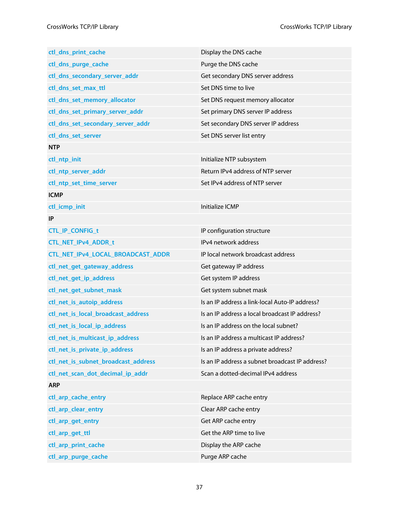| ctl_dns_print_cache                 | Display the DNS cache                           |  |
|-------------------------------------|-------------------------------------------------|--|
| ctl_dns_purge_cache                 | Purge the DNS cache                             |  |
| ctl_dns_secondary_server_addr       | Get secondary DNS server address                |  |
| ctl_dns_set_max_ttl                 | Set DNS time to live                            |  |
| ctl_dns_set_memory_allocator        | Set DNS request memory allocator                |  |
| ctl_dns_set_primary_server_addr     | Set primary DNS server IP address               |  |
| ctl_dns_set_secondary_server_addr   | Set secondary DNS server IP address             |  |
| ctl_dns_set_server                  | Set DNS server list entry                       |  |
| <b>NTP</b>                          |                                                 |  |
| ctl_ntp_init                        | Initialize NTP subsystem                        |  |
| ctl_ntp_server_addr                 | Return IPv4 address of NTP server               |  |
| ctl_ntp_set_time_server             | Set IPv4 address of NTP server                  |  |
| <b>ICMP</b>                         |                                                 |  |
| ctl_icmp_init                       | Initialize ICMP                                 |  |
| IP                                  |                                                 |  |
| CTL_IP_CONFIG_t                     | IP configuration structure                      |  |
| CTL_NET_IPv4_ADDR_t                 | IPv4 network address                            |  |
| CTL_NET_IPv4_LOCAL_BROADCAST_ADDR   | IP local network broadcast address              |  |
| ctl_net_get_gateway_address         | Get gateway IP address                          |  |
| ctl_net_get_ip_address              | Get system IP address                           |  |
| ctl_net_get_subnet_mask             | Get system subnet mask                          |  |
| ctl_net_is_autoip_address           | Is an IP address a link-local Auto-IP address?  |  |
| ctl_net_is_local_broadcast_address  | Is an IP address a local broadcast IP address?  |  |
| ctl_net_is_local_ip_address         | Is an IP address on the local subnet?           |  |
| ctl_net_is_multicast_ip_address     | Is an IP address a multicast IP address?        |  |
| ctl_net_is_private_ip_address       | Is an IP address a private address?             |  |
| ctl_net_is_subnet_broadcast_address | Is an IP address a subnet broadcast IP address? |  |
| ctl_net_scan_dot_decimal_ip_addr    | Scan a dotted-decimal IPv4 address              |  |
| <b>ARP</b>                          |                                                 |  |
| ctl_arp_cache_entry                 | Replace ARP cache entry                         |  |
| ctl_arp_clear_entry                 | Clear ARP cache entry                           |  |
| ctl_arp_get_entry                   | Get ARP cache entry                             |  |
| ctl_arp_get_ttl                     | Get the ARP time to live                        |  |
| ctl_arp_print_cache                 | Display the ARP cache                           |  |
| ctl_arp_purge_cache                 | Purge ARP cache                                 |  |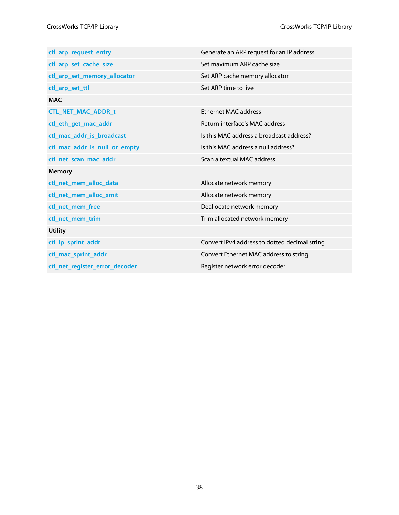| ctl_arp_request_entry          | Generate an ARP request for an IP address     |  |
|--------------------------------|-----------------------------------------------|--|
| ctl_arp_set_cache_size         | Set maximum ARP cache size                    |  |
| ctl_arp_set_memory_allocator   | Set ARP cache memory allocator                |  |
| ctl_arp_set_ttl                | Set ARP time to live                          |  |
| <b>MAC</b>                     |                                               |  |
| <b>CTL_NET_MAC_ADDR_t</b>      | Ethernet MAC address                          |  |
| ctl_eth_get_mac_addr           | Return interface's MAC address                |  |
| ctl_mac_addr_is_broadcast      | Is this MAC address a broadcast address?      |  |
| ctl_mac_addr_is_null_or_empty  | Is this MAC address a null address?           |  |
| ctl_net_scan_mac_addr          | Scan a textual MAC address                    |  |
| <b>Memory</b>                  |                                               |  |
| ctl_net_mem_alloc_data         | Allocate network memory                       |  |
| ctl_net_mem_alloc_xmit         | Allocate network memory                       |  |
| ctl_net_mem_free               | Deallocate network memory                     |  |
| ctl_net_mem_trim               | Trim allocated network memory                 |  |
| <b>Utility</b>                 |                                               |  |
| ctl_ip_sprint_addr             | Convert IPv4 address to dotted decimal string |  |
| ctl_mac_sprint_addr            | Convert Ethernet MAC address to string        |  |
| ctl_net_register_error_decoder | Register network error decoder                |  |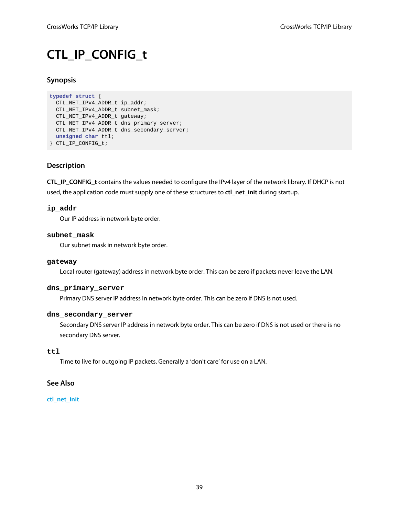# <span id="page-38-0"></span>**CTL\_IP\_CONFIG\_t**

### **Synopsis**

```
typedef struct {
   CTL_NET_IPv4_ADDR_t ip_addr;
  CTL_NET_IPv4_ADDR_t subnet_mask;
  CTL_NET_IPv4_ADDR_t gateway;
  CTL_NET_IPv4_ADDR_t dns_primary_server;
  CTL_NET_IPv4_ADDR_t dns_secondary_server;
  unsigned char ttl;
} CTL_IP_CONFIG_t;
```
### **Description**

**CTL\_IP\_CONFIG\_t** contains the values needed to configure the IPv4 layer of the network library. If DHCP is not used, the application code must supply one of these structures to **ctl\_net\_init** during startup.

#### **ip\_addr**

Our IP address in network byte order.

#### **subnet\_mask**

Our subnet mask in network byte order.

#### **gateway**

Local router (gateway) address in network byte order. This can be zero if packets never leave the LAN.

#### **dns\_primary\_server**

Primary DNS server IP address in network byte order. This can be zero if DNS is not used.

#### **dns\_secondary\_server**

Secondary DNS server IP address in network byte order. This can be zero if DNS is not used or there is no secondary DNS server.

#### **ttl**

Time to live for outgoing IP packets. Generally a 'don't care' for use on a LAN.

#### **See Also**

**[ctl\\_net\\_init](#page-95-0)**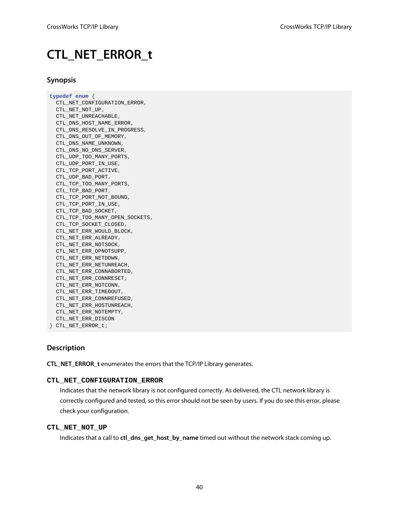# **CTL\_NET\_ERROR\_t**

#### **Synopsis**

**typedef enum** { CTL\_NET\_CONFIGURATION\_ERROR, CTL\_NET\_NOT\_UP, CTL\_NET\_UNREACHABLE, CTL\_DNS\_HOST\_NAME\_ERROR, CTL\_DNS\_RESOLVE\_IN\_PROGRESS, CTL\_DNS\_OUT\_OF\_MEMORY, CTL\_DNS\_NAME\_UNKNOWN, CTL\_DNS\_NO\_DNS\_SERVER, CTL\_UDP\_TOO\_MANY\_PORTS, CTL\_UDP\_PORT\_IN\_USE, CTL\_TCP\_PORT\_ACTIVE, CTL\_UDP\_BAD\_PORT, CTL TCP TOO MANY PORTS, CTL\_TCP\_BAD\_PORT, CTL\_TCP\_PORT\_NOT\_BOUND, CTL\_TCP\_PORT\_IN\_USE, CTL\_TCP\_BAD\_SOCKET, CTL\_TCP\_TOO\_MANY\_OPEN\_SOCKETS, CTL\_TCP\_SOCKET\_CLOSED, CTL\_NET\_ERR\_WOULD\_BLOCK, CTL\_NET\_ERR\_ALREADY, CTL\_NET\_ERR\_NOTSOCK, CTL\_NET\_ERR\_OPNOTSUPP, CTL\_NET\_ERR\_NETDOWN, CTL\_NET\_ERR\_NETUNREACH, CTL NET ERR CONNABORTED, CTL\_NET\_ERR\_CONNRESET, CTL\_NET\_ERR\_NOTCONN, CTL\_NET\_ERR\_TIMEDOUT, CTL\_NET\_ERR\_CONNREFUSED, CTL NET ERR HOSTUNREACH, CTL\_NET\_ERR\_NOTEMPTY, CTL\_NET\_ERR\_DISCON } CTL\_NET\_ERROR\_t;

## **Description**

**CTL\_NET\_ERROR\_t** enumerates the errors that the TCP/IP Library generates.

#### **CTL\_NET\_CONFIGURATION\_ERROR**

Indicates that the network library is not configured correctly. As delivered, the CTL network library is correctly configured and tested, so this error should not be seen by users. If you do see this error, please check your configuration.

#### **CTL\_NET\_NOT\_UP**

Indicates that a call to **ctl\_dns\_get\_host\_by\_name** timed out without the network stack coming up.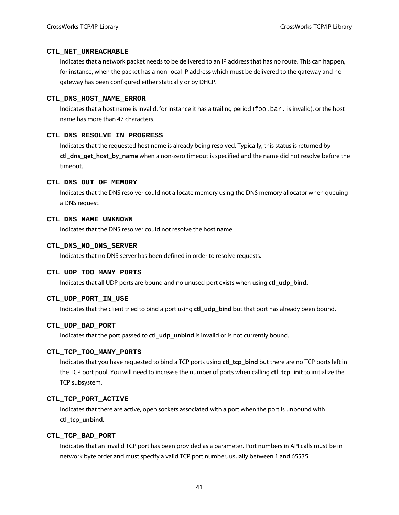#### **CTL\_NET\_UNREACHABLE**

Indicates that a network packet needs to be delivered to an IP address that has no route. This can happen, for instance, when the packet has a non-local IP address which must be delivered to the gateway and no gateway has been configured either statically or by DHCP.

#### **CTL\_DNS\_HOST\_NAME\_ERROR**

Indicates that a host name is invalid, for instance it has a trailing period ( $f \circ \circ$ ). bar. is invalid), or the host name has more than 47 characters.

#### **CTL\_DNS\_RESOLVE\_IN\_PROGRESS**

Indicates that the requested host name is already being resolved. Typically, this status is returned by **ctl\_dns\_get\_host\_by\_name** when a non-zero timeout is specified and the name did not resolve before the timeout.

#### **CTL\_DNS\_OUT\_OF\_MEMORY**

Indicates that the DNS resolver could not allocate memory using the DNS memory allocator when queuing a DNS request.

#### **CTL\_DNS\_NAME\_UNKNOWN**

Indicates that the DNS resolver could not resolve the host name.

#### **CTL\_DNS\_NO\_DNS\_SERVER**

Indicates that no DNS server has been defined in order to resolve requests.

#### **CTL\_UDP\_TOO\_MANY\_PORTS**

Indicates that all UDP ports are bound and no unused port exists when using **ctl\_udp\_bind**.

#### **CTL\_UDP\_PORT\_IN\_USE**

Indicates that the client tried to bind a port using **ctl udp bind** but that port has already been bound.

#### **CTL\_UDP\_BAD\_PORT**

Indicates that the port passed to **ctl\_udp\_unbind** is invalid or is not currently bound.

#### **CTL\_TCP\_TOO\_MANY\_PORTS**

Indicates that you have requested to bind a TCP ports using **ctl\_tcp\_bind** but there are no TCP ports left in the TCP port pool. You will need to increase the number of ports when calling **ctl\_tcp\_init** to initialize the TCP subsystem.

#### **CTL\_TCP\_PORT\_ACTIVE**

Indicates that there are active, open sockets associated with a port when the port is unbound with **ctl\_tcp\_unbind**.

#### **CTL\_TCP\_BAD\_PORT**

Indicates that an invalid TCP port has been provided as a parameter. Port numbers in API calls must be in network byte order and must specify a valid TCP port number, usually between 1 and 65535.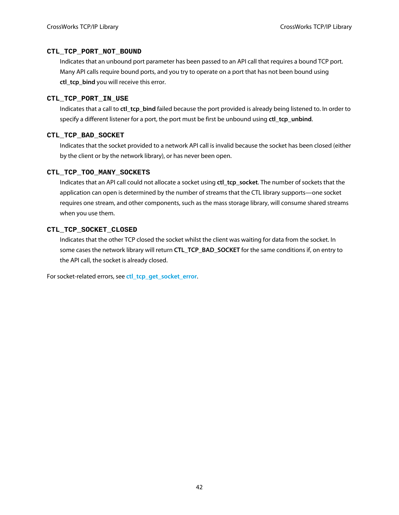#### **CTL\_TCP\_PORT\_NOT\_BOUND**

Indicates that an unbound port parameter has been passed to an API call that requires a bound TCP port. Many API calls require bound ports, and you try to operate on a port that has not been bound using **ctl\_tcp\_bind** you will receive this error.

#### **CTL\_TCP\_PORT\_IN\_USE**

Indicates that a call to **ctl\_tcp\_bind** failed because the port provided is already being listened to. In order to specify a different listener for a port, the port must be first be unbound using **ctl\_tcp\_unbind**.

#### **CTL\_TCP\_BAD\_SOCKET**

Indicates that the socket provided to a network API call is invalid because the socket has been closed (either by the client or by the network library), or has never been open.

#### **CTL\_TCP\_TOO\_MANY\_SOCKETS**

Indicates that an API call could not allocate a socket using **ctl\_tcp\_socket**. The number of sockets that the application can open is determined by the number of streams that the CTL library supports—one socket requires one stream, and other components, such as the mass storage library, will consume shared streams when you use them.

#### **CTL\_TCP\_SOCKET\_CLOSED**

Indicates that the other TCP closed the socket whilst the client was waiting for data from the socket. In some cases the network library will return **CTL\_TCP\_BAD\_SOCKET** for the same conditions if, on entry to the API call, the socket is already closed.

For socket-related errors, see **[ctl\\_tcp\\_get\\_socket\\_error](#page-126-0)**.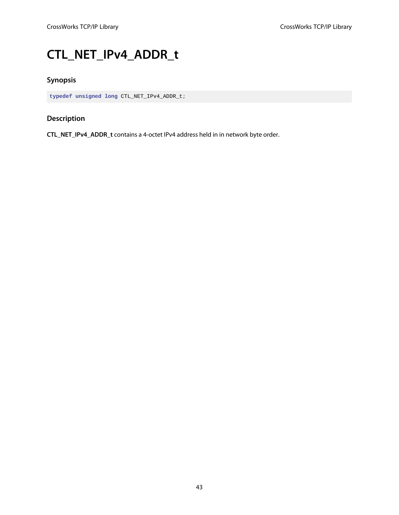# <span id="page-42-0"></span>**CTL\_NET\_IPv4\_ADDR\_t**

## **Synopsis**

**typedef unsigned long** CTL\_NET\_IPv4\_ADDR\_t;

## **Description**

**CTL\_NET\_IPv4\_ADDR\_t** contains a 4-octet IPv4 address held in in network byte order.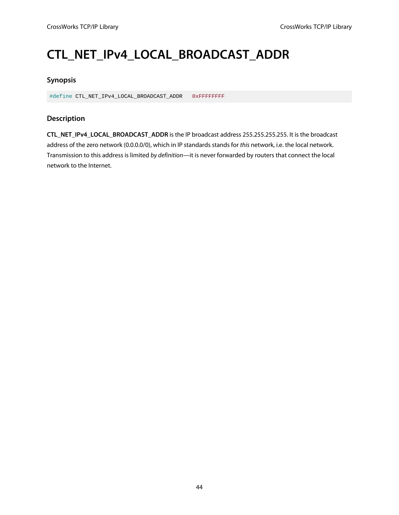# <span id="page-43-0"></span>**CTL\_NET\_IPv4\_LOCAL\_BROADCAST\_ADDR**

### **Synopsis**

#define CTL\_NET\_IPv4\_LOCAL\_BROADCAST\_ADDR 0xFFFFFFFF

## **Description**

**CTL\_NET\_IPv4\_LOCAL\_BROADCAST\_ADDR** is the IP broadcast address 255.255.255.255. It is the broadcast address of the zero network (0.0.0.0/0), which in IP standards stands for *this* network, i.e. the local network. Transmission to this address is limited *by definition*—it is never forwarded by routers that connect the local network to the Internet.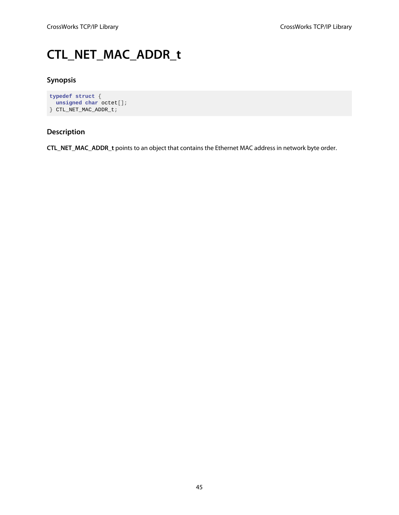# <span id="page-44-0"></span>**CTL\_NET\_MAC\_ADDR\_t**

## **Synopsis**

```
typedef struct {
 unsigned char octet[];
} CTL_NET_MAC_ADDR_t;
```
## **Description**

**CTL\_NET\_MAC\_ADDR\_t** points to an object that contains the Ethernet MAC address in network byte order.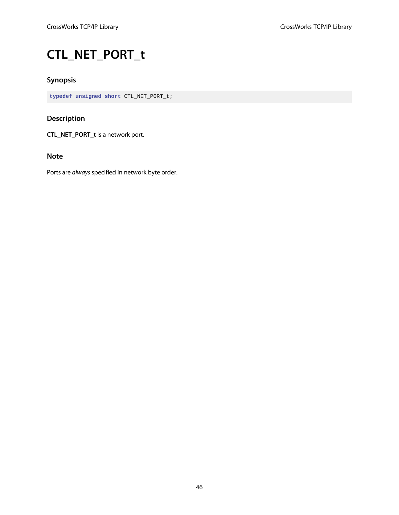# **CTL\_NET\_PORT\_t**

## **Synopsis**

**typedef unsigned short** CTL\_NET\_PORT\_t;

## **Description**

**CTL\_NET\_PORT\_t** is a network port.

## **Note**

Ports are *always* specified in network byte order.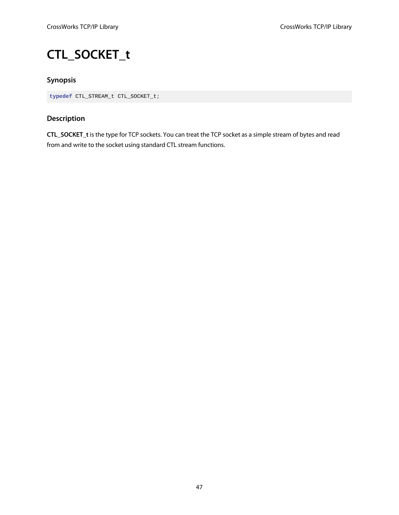# **CTL\_SOCKET\_t**

## **Synopsis**

**typedef** CTL\_STREAM\_t CTL\_SOCKET\_t;

## **Description**

**CTL\_SOCKET\_t** is the type for TCP sockets. You can treat the TCP socket as a simple stream of bytes and read from and write to the socket using standard CTL stream functions.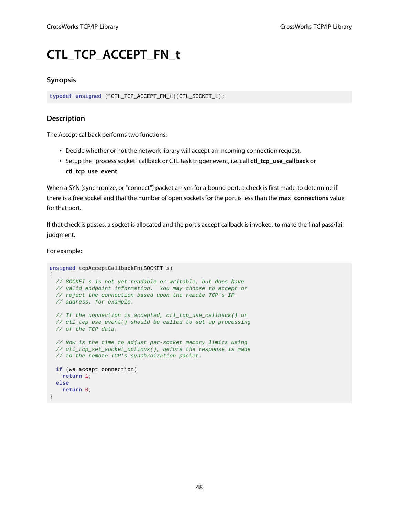# **CTL\_TCP\_ACCEPT\_FN\_t**

## **Synopsis**

**typedef unsigned** (\*CTL\_TCP\_ACCEPT\_FN\_t)(CTL\_SOCKET\_t);

## **Description**

The Accept callback performs two functions:

- Decide whether or not the network library will accept an incoming connection request.
- Setup the "process socket" callback or CTL task trigger event, i.e. call **ctl\_tcp\_use\_callback** or **ctl\_tcp\_use\_event**.

When a SYN (synchronize, or "connect") packet arrives for a bound port, a check is first made to determine if there is a free socket and that the number of open sockets for the port is less than the **max\_connections** value for that port.

If that check is passes, a socket is allocated and the port's accept callback is invoked, to make the final pass/fail judgment.

For example:

```
unsigned tcpAcceptCallbackFn(SOCKET s)
{
  // SOCKET s is not yet readable or writable, but does have
  // valid endpoint information. You may choose to accept or
  // reject the connection based upon the remote TCP's IP
   // address, for example.
   // If the connection is accepted, ctl_tcp_use_callback() or
   // ctl_tcp_use_event() should be called to set up processing
   // of the TCP data.
   // Now is the time to adjust per-socket memory limits using
   // ctl_tcp_set_socket_options(), before the response is made
  // to the remote TCP's synchroization packet.
  if (we accept connection)
    return 1;
   else
    return 0;
}
```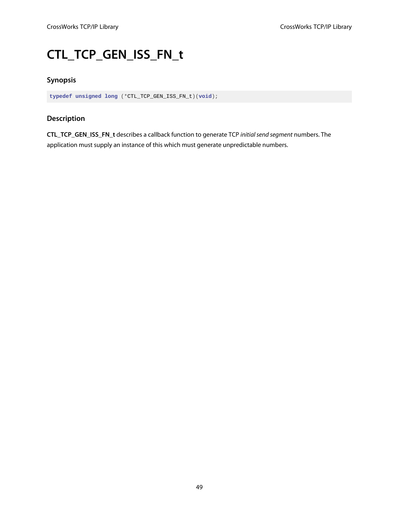# **CTL\_TCP\_GEN\_ISS\_FN\_t**

## **Synopsis**

**typedef unsigned long** (\*CTL\_TCP\_GEN\_ISS\_FN\_t)(**void**);

## **Description**

**CTL\_TCP\_GEN\_ISS\_FN\_t** describes a callback function to generate TCP *initial send segment* numbers. The application must supply an instance of this which must generate unpredictable numbers.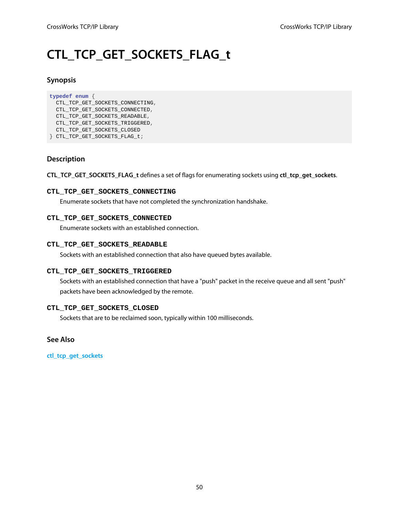# **CTL\_TCP\_GET\_SOCKETS\_FLAG\_t**

### **Synopsis**

```
typedef enum {
   CTL_TCP_GET_SOCKETS_CONNECTING,
  CTL_TCP_GET_SOCKETS_CONNECTED,
  CTL_TCP_GET_SOCKETS_READABLE,
  CTL_TCP_GET_SOCKETS_TRIGGERED,
  CTL_TCP_GET_SOCKETS_CLOSED
} CTL_TCP_GET_SOCKETS_FLAG_t;
```
## **Description**

**CTL\_TCP\_GET\_SOCKETS\_FLAG\_t** defines a set of flags for enumerating sockets using **ctl\_tcp\_get\_sockets**.

#### **CTL\_TCP\_GET\_SOCKETS\_CONNECTING**

Enumerate sockets that have not completed the synchronization handshake.

#### **CTL\_TCP\_GET\_SOCKETS\_CONNECTED**

Enumerate sockets with an established connection.

#### **CTL\_TCP\_GET\_SOCKETS\_READABLE**

Sockets with an established connection that also have queued bytes available.

#### **CTL\_TCP\_GET\_SOCKETS\_TRIGGERED**

Sockets with an established connection that have a "push" packet in the receive queue and all sent "push" packets have been acknowledged by the remote.

#### **CTL\_TCP\_GET\_SOCKETS\_CLOSED**

Sockets that are to be reclaimed soon, typically within 100 milliseconds.

### **See Also**

**[ctl\\_tcp\\_get\\_sockets](#page-129-0)**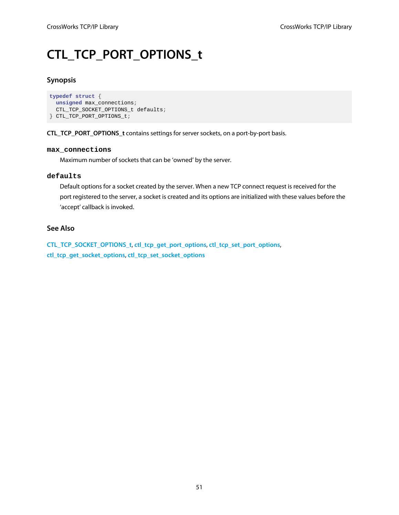# **CTL\_TCP\_PORT\_OPTIONS\_t**

## **Synopsis**

```
typedef struct {
   unsigned max_connections;
   CTL_TCP_SOCKET_OPTIONS_t defaults;
} CTL_TCP_PORT_OPTIONS_t;
```
**CTL\_TCP\_PORT\_OPTIONS\_t** contains settings for server sockets, on a port-by-port basis.

#### **max\_connections**

Maximum number of sockets that can be 'owned' by the server.

#### **defaults**

Default options for a socket created by the server. When a new TCP connect request is received for the port registered to the server, a socket is created and its options are initialized with these values before the 'accept' callback is invoked.

### **See Also**

**[CTL\\_TCP\\_SOCKET\\_OPTIONS\\_t](#page-54-0)**, **[ctl\\_tcp\\_get\\_port\\_options](#page-122-0)**, **[ctl\\_tcp\\_set\\_port\\_options](#page-137-0)**, **[ctl\\_tcp\\_get\\_socket\\_options](#page-128-0)**, **[ctl\\_tcp\\_set\\_socket\\_options](#page-138-0)**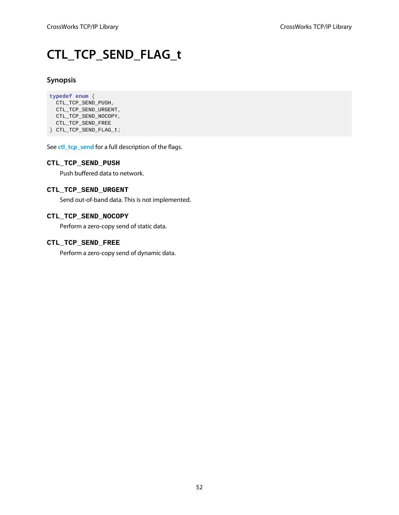# **CTL\_TCP\_SEND\_FLAG\_t**

## **Synopsis**

**typedef enum** { CTL\_TCP\_SEND\_PUSH, CTL\_TCP\_SEND\_URGENT, CTL\_TCP\_SEND\_NOCOPY, CTL\_TCP\_SEND\_FREE } CTL\_TCP\_SEND\_FLAG\_t;

See **[ctl\\_tcp\\_send](#page-135-0)** for a full description of the flags.

#### **CTL\_TCP\_SEND\_PUSH**

Push buffered data to network.

#### **CTL\_TCP\_SEND\_URGENT**

Send out-of-band data. This is not implemented.

#### **CTL\_TCP\_SEND\_NOCOPY**

Perform a zero-copy send of static data.

#### **CTL\_TCP\_SEND\_FREE**

Perform a zero-copy send of dynamic data.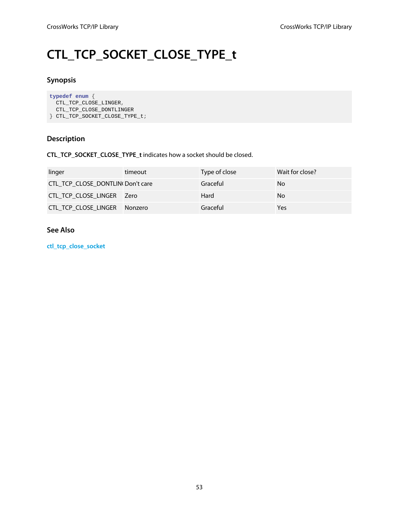# **CTL\_TCP\_SOCKET\_CLOSE\_TYPE\_t**

## **Synopsis**

```
typedef enum {
  CTL_TCP_CLOSE_LINGER,
  CTL_TCP_CLOSE_DONTLINGER
} CTL_TCP_SOCKET_CLOSE_TYPE_t;
```
## **Description**

**CTL\_TCP\_SOCKET\_CLOSE\_TYPE\_t** indicates how a socket should be closed.

| linger                            | timeout | Type of close | Wait for close? |
|-----------------------------------|---------|---------------|-----------------|
| CTL TCP CLOSE DONTLIN( Don't care |         | Graceful      | No.             |
| CTL_TCP_CLOSE_LINGER Zero         |         | Hard          | No.             |
| CTL_TCP_CLOSE_LINGER Nonzero      |         | Graceful      | Yes             |

## **See Also**

**[ctl\\_tcp\\_close\\_socket](#page-118-0)**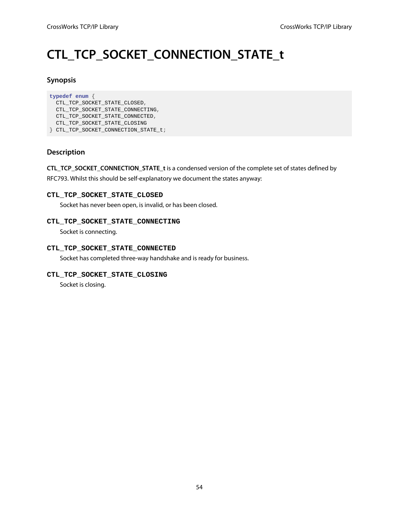# **CTL\_TCP\_SOCKET\_CONNECTION\_STATE\_t**

### **Synopsis**

```
typedef enum {
   CTL_TCP_SOCKET_STATE_CLOSED,
  CTL_TCP_SOCKET_STATE_CONNECTING,
  CTL_TCP_SOCKET_STATE_CONNECTED,
  CTL_TCP_SOCKET_STATE_CLOSING
} CTL_TCP_SOCKET_CONNECTION_STATE_t;
```
### **Description**

**CTL\_TCP\_SOCKET\_CONNECTION\_STATE\_t** is a condensed version of the complete set of states defined by RFC793. Whilst this should be self-explanatory we document the states anyway:

#### **CTL\_TCP\_SOCKET\_STATE\_CLOSED**

Socket has never been open, is invalid, or has been closed.

#### **CTL\_TCP\_SOCKET\_STATE\_CONNECTING**

Socket is connecting.

#### **CTL\_TCP\_SOCKET\_STATE\_CONNECTED**

Socket has completed three-way handshake and is ready for business.

#### **CTL\_TCP\_SOCKET\_STATE\_CLOSING**

Socket is closing.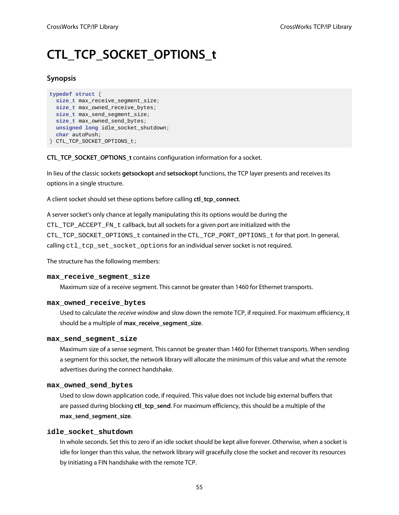# <span id="page-54-0"></span>**CTL\_TCP\_SOCKET\_OPTIONS\_t**

### **Synopsis**

```
typedef struct {
  size_t max_receive_segment_size;
  size_t max_owned_receive_bytes;
  size_t max_send_segment_size;
  size_t max_owned_send_bytes;
  unsigned long idle_socket_shutdown;
  char autoPush;
} CTL_TCP_SOCKET_OPTIONS_t;
```
**CTL\_TCP\_SOCKET\_OPTIONS\_t** contains configuration information for a socket.

In lieu of the classic sockets **getsockopt** and **setsockopt** functions, the TCP layer presents and receives its options in a single structure.

A client socket should set these options before calling **ctl\_tcp\_connect**.

A server socket's only chance at legally manipulating this its options would be during the CTL\_TCP\_ACCEPT\_FN\_t callback, but all sockets for a given port are initialized with the CTL\_TCP\_SOCKET\_OPTIONS\_t contained in the CTL\_TCP\_PORT\_OPTIONS\_t for that port. In general, calling ctl tcp set socket options for an individual server socket is not required.

The structure has the following members:

#### **max\_receive\_segment\_size**

Maximum size of a receive segment. This cannot be greater than 1460 for Ethernet transports.

#### **max\_owned\_receive\_bytes**

Used to calculate the *receive window* and slow down the remote TCP, if required. For maximum efficiency, it should be a multiple of **max\_receive\_segment\_size**.

#### **max\_send\_segment\_size**

Maximum size of a sense segment. This cannot be greater than 1460 for Ethernet transports. When sending a segment for this socket, the network library will allocate the minimum of this value and what the remote advertises during the connect handshake.

#### **max\_owned\_send\_bytes**

Used to slow down application code, if required. This value does not include big external buffers that are passed during blocking **ctl\_tcp\_send**. For maximum efficiency, this should be a multiple of the **max\_send\_segment\_size**.

#### **idle\_socket\_shutdown**

In whole seconds. Set this to zero if an idle socket should be kept alive forever. Otherwise, when a socket is idle for longer than this value, the network library will gracefully close the socket and recover its resources by initiating a FIN handshake with the remote TCP.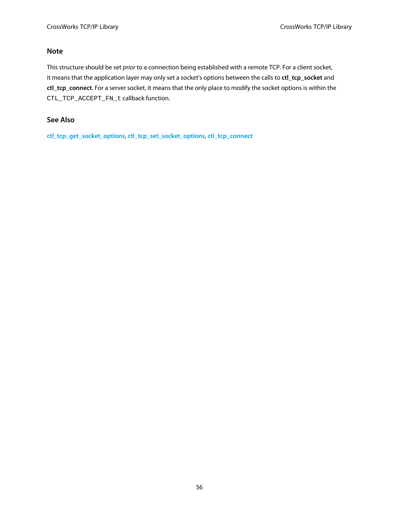## **Note**

This structure should be set *prior* to a connection being established with a remote TCP. For a client socket, it means that the application layer may only set a socket's options between the calls to **ctl\_tcp\_socket** and **ctl\_tcp\_connect**. For a server socket, it means that the only place to modify the socket options is within the CTL\_TCP\_ACCEPT\_FN\_t callback function.

## **See Also**

**[ctl\\_tcp\\_get\\_socket\\_options](#page-128-0)**, **[ctl\\_tcp\\_set\\_socket\\_options](#page-138-0)**, **[ctl\\_tcp\\_connect](#page-119-0)**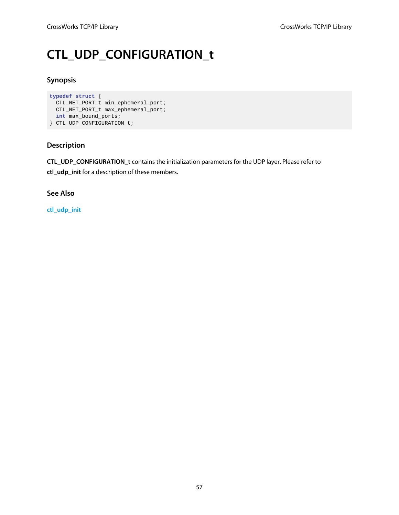# **CTL\_UDP\_CONFIGURATION\_t**

## **Synopsis**

```
typedef struct {
  CTL_NET_PORT_t min_ephemeral_port;
  CTL_NET_PORT_t max_ephemeral_port;
  int max_bound_ports;
} CTL_UDP_CONFIGURATION_t;
```
## **Description**

**CTL\_UDP\_CONFIGURATION\_t** contains the initialization parameters for the UDP layer. Please refer to **ctl\_udp\_init** for a description of these members.

## **See Also**

**[ctl\\_udp\\_init](#page-145-0)**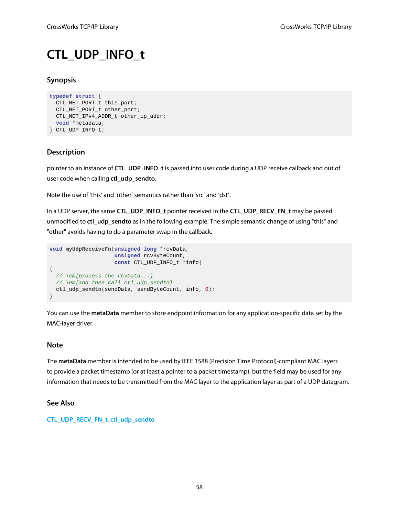# **CTL\_UDP\_INFO\_t**

## **Synopsis**

```
typedef struct {
   CTL_NET_PORT_t this_port;
   CTL_NET_PORT_t other_port;
  CTL_NET_IPv4_ADDR_t other_ip_addr;
   void *metadata;
} CTL_UDP_INFO_t;
```
## **Description**

pointer to an instance of **CTL\_UDP\_INFO\_t** is passed into user code during a UDP receive callback and out of user code when calling **ctl\_udp\_sendto**.

Note the use of 'this' and 'other' semantics rather than 'src' and 'dst'.

In a UDP server, the same **CTL\_UDP\_INFO\_t** pointer received in the **CTL\_UDP\_RECV\_FN\_t** may be passed unmodified to **ctl\_udp\_sendto** as in the following example: The simple semantic change of using "this" and "other" avoids having to do a parameter swap in the callback.

```
void myUdpReceiveFn(unsigned long *rcvData,
                     unsigned rcvByteCount,
                    const CTL_UDP_INFO_t *info)
{
 // \text{lem} process the rcvData...}
  // \em{and then call ctl_udp_sendto}
  ctl_udp_sendto(sendData, sendByteCount, info, 0);
}
```
You can use the **metaData** member to store endpoint information for any application-specific data set by the MAC-layer driver.

#### **Note**

The **metaData** member is intended to be used by IEEE 1588 (Precision Time Protocol)-compliant MAC layers to provide a packet timestamp (or at least a pointer to a packet timestamp), but the field may be used for any information that needs to be transmitted from the MAC layer to the application layer as part of a UDP datagram.

#### **See Also**

**CTL\_UDP\_RECV\_FN\_t**, **[ctl\\_udp\\_sendto](#page-146-0)**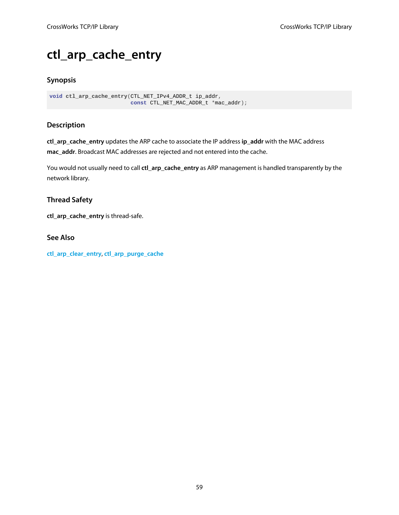## <span id="page-58-0"></span>**ctl\_arp\_cache\_entry**

## **Synopsis**

```
void ctl_arp_cache_entry(CTL_NET_IPv4_ADDR_t ip_addr,
                          const CTL_NET_MAC_ADDR_t *mac_addr);
```
## **Description**

**ctl\_arp\_cache\_entry** updates the ARP cache to associate the IP address **ip\_addr** with the MAC address **mac\_addr**. Broadcast MAC addresses are rejected and not entered into the cache.

You would not usually need to call **ctl\_arp\_cache\_entry** as ARP management is handled transparently by the network library.

## **Thread Safety**

**ctl\_arp\_cache\_entry** is thread-safe.

## **See Also**

**[ctl\\_arp\\_clear\\_entry](#page-59-0)**, **[ctl\\_arp\\_purge\\_cache](#page-63-0)**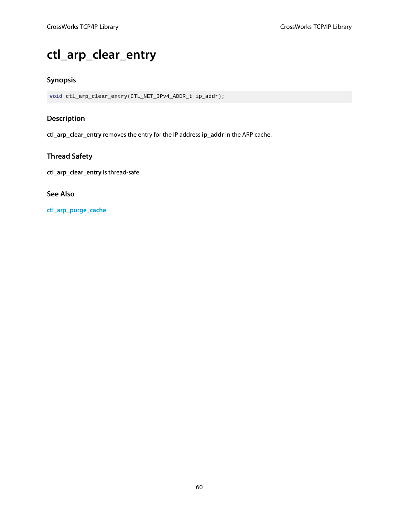## <span id="page-59-0"></span>**ctl\_arp\_clear\_entry**

## **Synopsis**

**void ctl\_arp\_clear\_entry**(CTL\_NET\_IPv4\_ADDR\_t ip\_addr);

## **Description**

**ctl\_arp\_clear\_entry** removes the entry for the IP address **ip\_addr** in the ARP cache.

## **Thread Safety**

**ctl\_arp\_clear\_entry** is thread-safe.

## **See Also**

**[ctl\\_arp\\_purge\\_cache](#page-63-0)**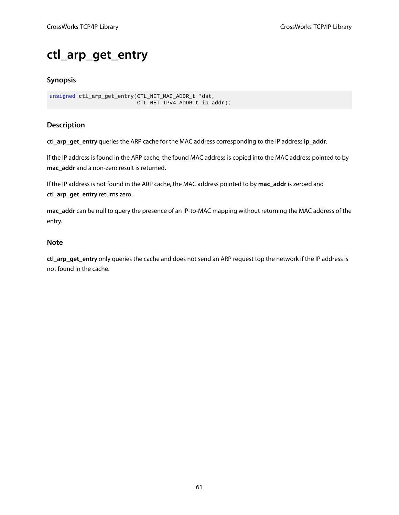## <span id="page-60-0"></span>**ctl\_arp\_get\_entry**

## **Synopsis**

```
unsigned ctl_arp_get_entry(CTL_NET_MAC_ADDR_t *dst,
                            CTL_NET_IPv4_ADDR_t ip_addr);
```
## **Description**

**ctl\_arp\_get\_entry** queries the ARP cache for the MAC address corresponding to the IP address **ip\_addr**.

If the IP address is found in the ARP cache, the found MAC address is copied into the MAC address pointed to by **mac\_addr** and a non-zero result is returned.

If the IP address is not found in the ARP cache, the MAC address pointed to by **mac\_addr** is zeroed and **ctl\_arp\_get\_entry** returns zero.

**mac\_addr** can be null to query the presence of an IP-to-MAC mapping without returning the MAC address of the entry.

### **Note**

**ctl\_arp\_get\_entry** only queries the cache and does not send an ARP request top the network if the IP address is not found in the cache.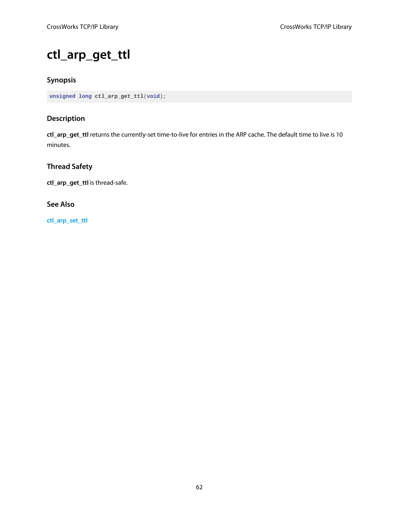## <span id="page-61-0"></span>**ctl\_arp\_get\_ttl**

## **Synopsis**

**unsigned long ctl\_arp\_get\_ttl**(**void**);

## **Description**

**ctl\_arp\_get\_ttl** returns the currently-set time-to-live for entries in the ARP cache. The default time to live is 10 minutes.

## **Thread Safety**

**ctl\_arp\_get\_ttl** is thread-safe.

## **See Also**

**[ctl\\_arp\\_set\\_ttl](#page-67-0)**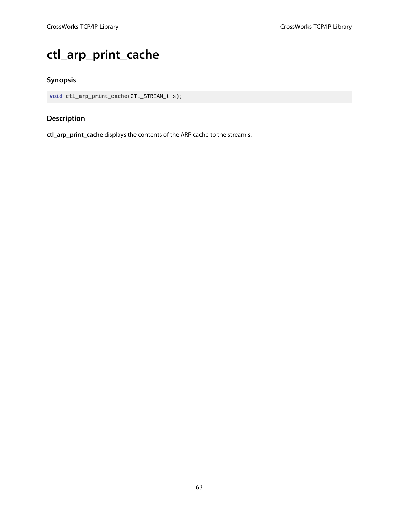# <span id="page-62-0"></span>**ctl\_arp\_print\_cache**

## **Synopsis**

**void ctl\_arp\_print\_cache**(CTL\_STREAM\_t s);

## **Description**

**ctl\_arp\_print\_cache** displays the contents of the ARP cache to the stream **s**.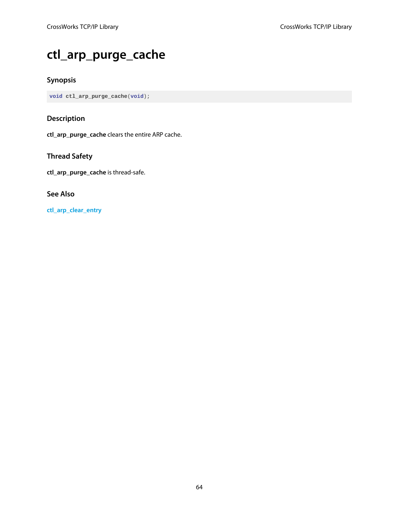## <span id="page-63-0"></span>**ctl\_arp\_purge\_cache**

## **Synopsis**

**void ctl\_arp\_purge\_cache**(**void**);

## **Description**

**ctl\_arp\_purge\_cache** clears the entire ARP cache.

**Thread Safety**

**ctl\_arp\_purge\_cache** is thread-safe.

## **See Also**

**[ctl\\_arp\\_clear\\_entry](#page-59-0)**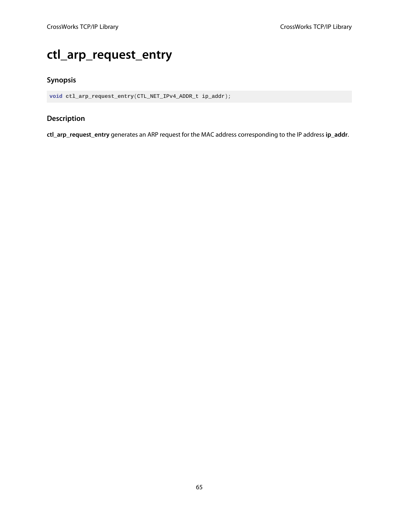## <span id="page-64-0"></span>**ctl\_arp\_request\_entry**

## **Synopsis**

**void ctl\_arp\_request\_entry**(CTL\_NET\_IPv4\_ADDR\_t ip\_addr);

## **Description**

**ctl\_arp\_request\_entry** generates an ARP request for the MAC address corresponding to the IP address **ip\_addr**.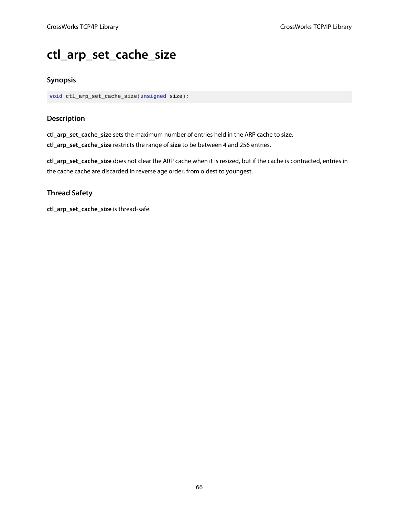## <span id="page-65-0"></span>**ctl\_arp\_set\_cache\_size**

## **Synopsis**

**void ctl\_arp\_set\_cache\_size**(**unsigned** size);

## **Description**

**ctl\_arp\_set\_cache\_size** sets the maximum number of entries held in the ARP cache to **size**. **ctl\_arp\_set\_cache\_size** restricts the range of **size** to be between 4 and 256 entries.

**ctl\_arp\_set\_cache\_size** does not clear the ARP cache when it is resized, but if the cache is contracted, entries in the cache cache are discarded in reverse age order, from oldest to youngest.

## **Thread Safety**

**ctl\_arp\_set\_cache\_size** is thread-safe.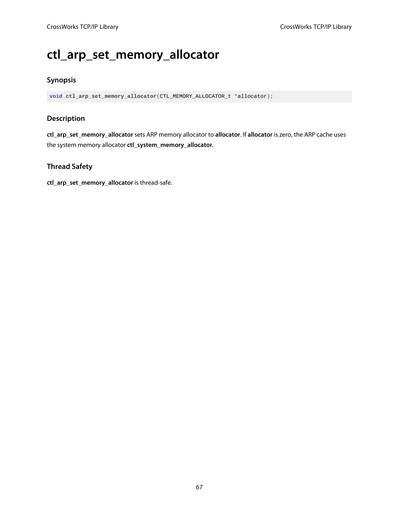## <span id="page-66-0"></span>**ctl\_arp\_set\_memory\_allocator**

## **Synopsis**

**void ctl\_arp\_set\_memory\_allocator**(CTL\_MEMORY\_ALLOCATOR\_t \*allocator);

## **Description**

**ctl\_arp\_set\_memory\_allocator** sets ARP memory allocator to **allocator**. If **allocator** is zero, the ARP cache uses the system memory allocator **ctl\_system\_memory\_allocator**.

## **Thread Safety**

**ctl\_arp\_set\_memory\_allocator** is thread-safe.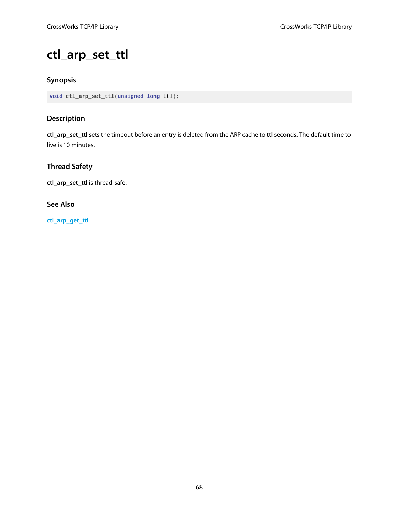## <span id="page-67-0"></span>**ctl\_arp\_set\_ttl**

## **Synopsis**

**void ctl\_arp\_set\_ttl**(**unsigned long** ttl);

## **Description**

**ctl\_arp\_set\_ttl** sets the timeout before an entry is deleted from the ARP cache to **ttl** seconds. The default time to live is 10 minutes.

## **Thread Safety**

**ctl\_arp\_set\_ttl** is thread-safe.

## **See Also**

**[ctl\\_arp\\_get\\_ttl](#page-61-0)**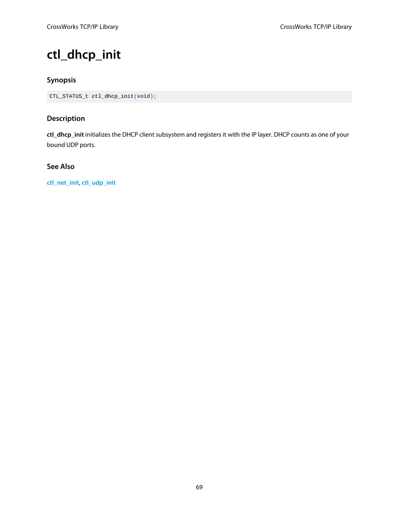# **ctl\_dhcp\_init**

## **Synopsis**

CTL\_STATUS\_t **ctl\_dhcp\_init**(**void**);

## **Description**

**ctl\_dhcp\_init** initializes the DHCP client subsystem and registers it with the IP layer. DHCP counts as one of your bound UDP ports.

## **See Also**

**[ctl\\_net\\_init](#page-95-0)**, **[ctl\\_udp\\_init](#page-145-0)**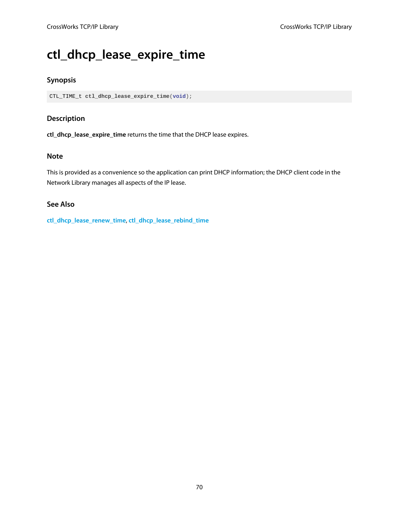# <span id="page-69-0"></span>**ctl\_dhcp\_lease\_expire\_time**

## **Synopsis**

CTL\_TIME\_t **ctl\_dhcp\_lease\_expire\_time**(**void**);

## **Description**

**ctl\_dhcp\_lease\_expire\_time** returns the time that the DHCP lease expires.

## **Note**

This is provided as a convenience so the application can print DHCP information; the DHCP client code in the Network Library manages all aspects of the IP lease.

## **See Also**

**[ctl\\_dhcp\\_lease\\_renew\\_time](#page-71-0)**, **[ctl\\_dhcp\\_lease\\_rebind\\_time](#page-70-0)**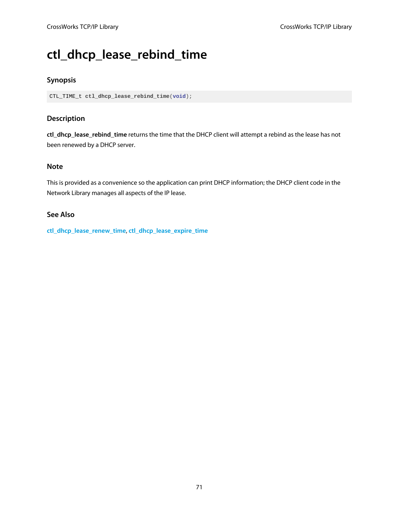## <span id="page-70-0"></span>**ctl\_dhcp\_lease\_rebind\_time**

## **Synopsis**

CTL\_TIME\_t **ctl\_dhcp\_lease\_rebind\_time**(**void**);

## **Description**

**ctl\_dhcp\_lease\_rebind\_time** returns the time that the DHCP client will attempt a rebind as the lease has not been renewed by a DHCP server.

## **Note**

This is provided as a convenience so the application can print DHCP information; the DHCP client code in the Network Library manages all aspects of the IP lease.

## **See Also**

**[ctl\\_dhcp\\_lease\\_renew\\_time](#page-71-0)**, **[ctl\\_dhcp\\_lease\\_expire\\_time](#page-69-0)**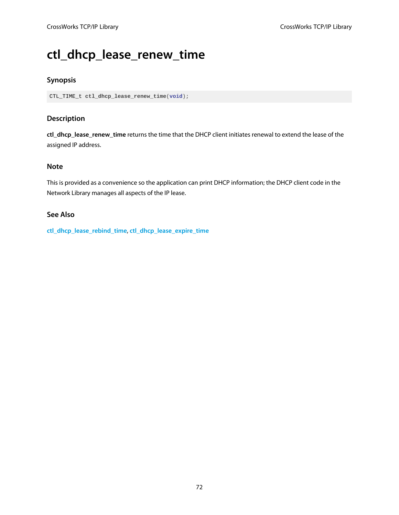# <span id="page-71-0"></span>**ctl\_dhcp\_lease\_renew\_time**

## **Synopsis**

CTL\_TIME\_t **ctl\_dhcp\_lease\_renew\_time**(**void**);

## **Description**

**ctl\_dhcp\_lease\_renew\_time** returns the time that the DHCP client initiates renewal to extend the lease of the assigned IP address.

## **Note**

This is provided as a convenience so the application can print DHCP information; the DHCP client code in the Network Library manages all aspects of the IP lease.

## **See Also**

**[ctl\\_dhcp\\_lease\\_rebind\\_time](#page-70-0)**, **[ctl\\_dhcp\\_lease\\_expire\\_time](#page-69-0)**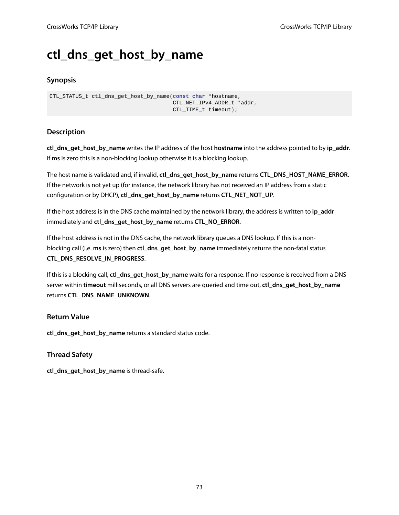## **ctl\_dns\_get\_host\_by\_name**

### **Synopsis**

```
CTL_STATUS_t ctl_dns_get_host_by_name(const char *hostname,
                                       CTL_NET_IPv4_ADDR_t *addr,
                                      CTL_TIME_t timeout);
```
### **Description**

**ctl\_dns\_get\_host\_by\_name** writes the IP address of the host **hostname** into the address pointed to by **ip\_addr**. If **ms** is zero this is a non-blocking lookup otherwise it is a blocking lookup.

The host name is validated and, if invalid, **ctl\_dns\_get\_host\_by\_name** returns **CTL\_DNS\_HOST\_NAME\_ERROR**. If the network is not yet up (for instance, the network library has not received an IP address from a static configuration or by DHCP), **ctl\_dns\_get\_host\_by\_name** returns **CTL\_NET\_NOT\_UP**.

If the host address is in the DNS cache maintained by the network library, the address is written to **ip\_addr** immediately and **ctl\_dns\_get\_host\_by\_name** returns **CTL\_NO\_ERROR**.

If the host address is not in the DNS cache, the network library queues a DNS lookup. If this is a nonblocking call (i.e. **ms** is zero) then **ctl\_dns\_get\_host\_by\_name** immediately returns the non-fatal status **CTL\_DNS\_RESOLVE\_IN\_PROGRESS**.

If this is a blocking call, **ctl\_dns\_get\_host\_by\_name** waits for a response. If no response is received from a DNS server within **timeout** milliseconds, or all DNS servers are queried and time out, **ctl\_dns\_get\_host\_by\_name** returns **CTL\_DNS\_NAME\_UNKNOWN**.

#### **Return Value**

**ctl\_dns\_get\_host\_by\_name** returns a standard status code.

**Thread Safety**

**ctl\_dns\_get\_host\_by\_name** is thread-safe.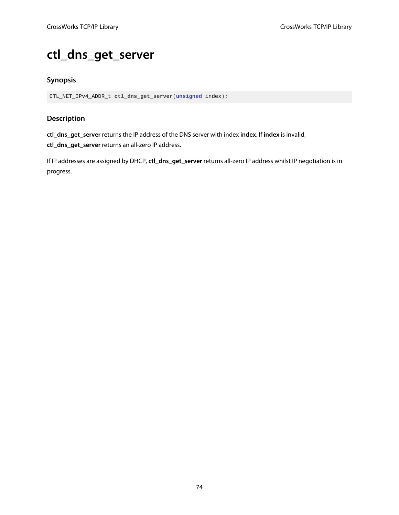# **ctl\_dns\_get\_server**

### **Synopsis**

CTL\_NET\_IPv4\_ADDR\_t **ctl\_dns\_get\_server**(**unsigned** index);

## **Description**

**ctl\_dns\_get\_server** returns the IP address of the DNS server with index **index**. If **index** is invalid, **ctl\_dns\_get\_server** returns an all-zero IP address.

If IP addresses are assigned by DHCP, **ctl\_dns\_get\_server** returns all-zero IP address whilst IP negotiation is in progress.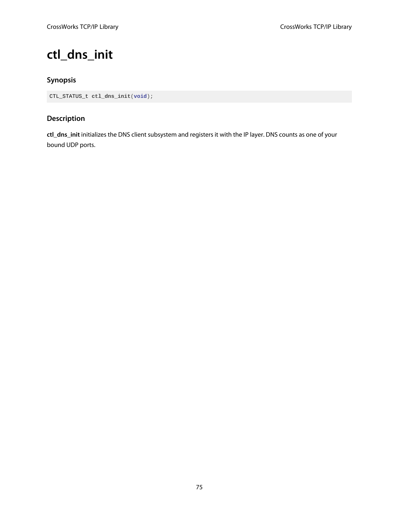# **ctl\_dns\_init**

## **Synopsis**

CTL\_STATUS\_t **ctl\_dns\_init**(**void**);

## **Description**

**ctl\_dns\_init** initializes the DNS client subsystem and registers it with the IP layer. DNS counts as one of your bound UDP ports.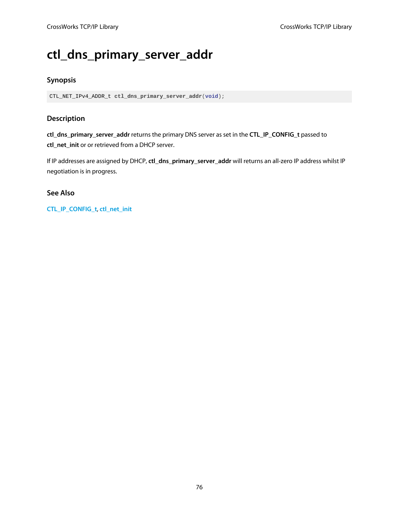# **ctl\_dns\_primary\_server\_addr**

## **Synopsis**

CTL\_NET\_IPv4\_ADDR\_t **ctl\_dns\_primary\_server\_addr**(**void**);

## **Description**

**ctl\_dns\_primary\_server\_addr** returns the primary DNS server as set in the **CTL\_IP\_CONFIG\_t** passed to **ctl\_net\_init** or or retrieved from a DHCP server.

If IP addresses are assigned by DHCP, **ctl\_dns\_primary\_server\_addr** will returns an all-zero IP address whilst IP negotiation is in progress.

### **See Also**

**[CTL\\_IP\\_CONFIG\\_t](#page-38-0)**, **[ctl\\_net\\_init](#page-95-0)**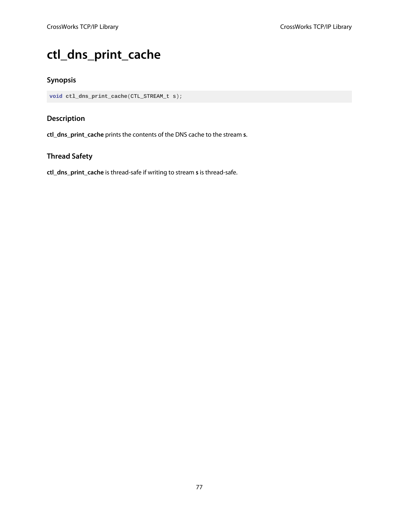# **ctl\_dns\_print\_cache**

## **Synopsis**

**void ctl\_dns\_print\_cache**(CTL\_STREAM\_t s);

## **Description**

**ctl\_dns\_print\_cache** prints the contents of the DNS cache to the stream **s**.

## **Thread Safety**

**ctl\_dns\_print\_cache** is thread-safe if writing to stream **s** is thread-safe.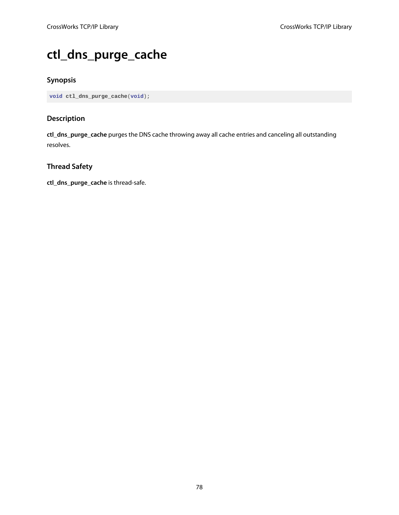# **ctl\_dns\_purge\_cache**

### **Synopsis**

**void ctl\_dns\_purge\_cache**(**void**);

## **Description**

**ctl\_dns\_purge\_cache** purges the DNS cache throwing away all cache entries and canceling all outstanding resolves.

### **Thread Safety**

**ctl\_dns\_purge\_cache** is thread-safe.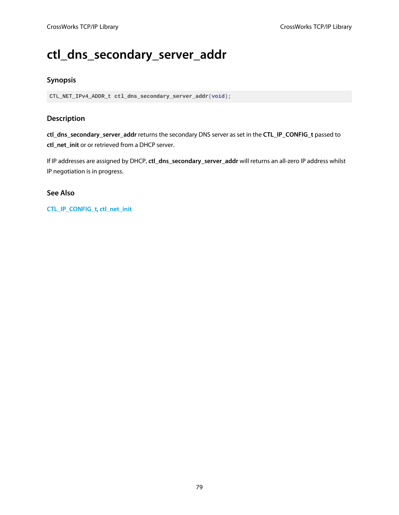# **ctl\_dns\_secondary\_server\_addr**

### **Synopsis**

CTL\_NET\_IPv4\_ADDR\_t **ctl\_dns\_secondary\_server\_addr**(**void**);

## **Description**

**ctl\_dns\_secondary\_server\_addr** returns the secondary DNS server as set in the **CTL\_IP\_CONFIG\_t** passed to **ctl\_net\_init** or or retrieved from a DHCP server.

If IP addresses are assigned by DHCP, **ctl\_dns\_secondary\_server\_addr** will returns an all-zero IP address whilst IP negotiation is in progress.

### **See Also**

**[CTL\\_IP\\_CONFIG\\_t](#page-38-0)**, **[ctl\\_net\\_init](#page-95-0)**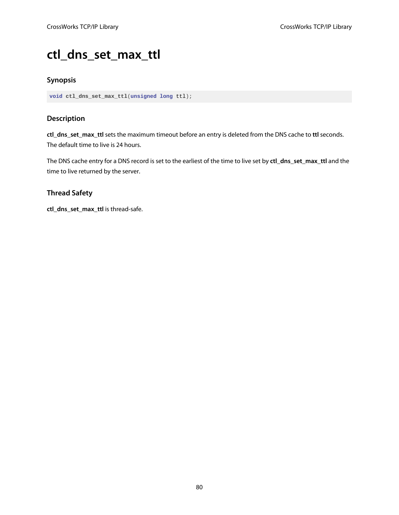## **ctl\_dns\_set\_max\_ttl**

### **Synopsis**

**void ctl\_dns\_set\_max\_ttl**(**unsigned long** ttl);

#### **Description**

**ctl\_dns\_set\_max\_ttl** sets the maximum timeout before an entry is deleted from the DNS cache to **ttl** seconds. The default time to live is 24 hours.

The DNS cache entry for a DNS record is set to the earliest of the time to live set by **ctl\_dns\_set\_max\_ttl** and the time to live returned by the server.

### **Thread Safety**

**ctl\_dns\_set\_max\_ttl** is thread-safe.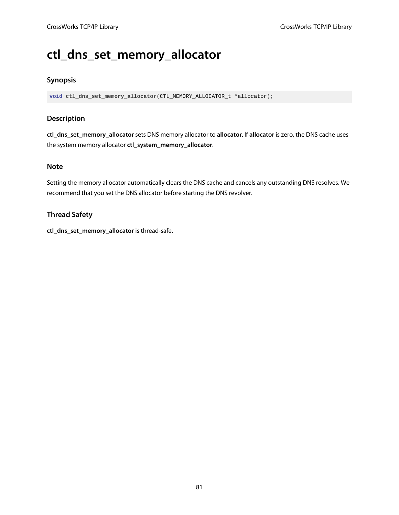# **ctl\_dns\_set\_memory\_allocator**

### **Synopsis**

**void ctl\_dns\_set\_memory\_allocator**(CTL\_MEMORY\_ALLOCATOR\_t \*allocator);

### **Description**

**ctl\_dns\_set\_memory\_allocator** sets DNS memory allocator to **allocator**. If **allocator** is zero, the DNS cache uses the system memory allocator **ctl\_system\_memory\_allocator**.

#### **Note**

Setting the memory allocator automatically clears the DNS cache and cancels any outstanding DNS resolves. We recommend that you set the DNS allocator before starting the DNS revolver.

## **Thread Safety**

**ctl\_dns\_set\_memory\_allocator** is thread-safe.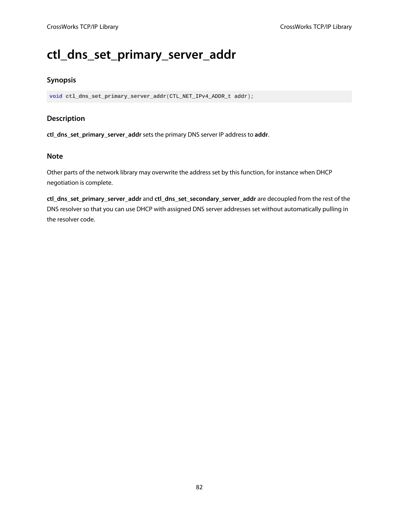## **ctl\_dns\_set\_primary\_server\_addr**

### **Synopsis**

**void ctl\_dns\_set\_primary\_server\_addr**(CTL\_NET\_IPv4\_ADDR\_t addr);

## **Description**

**ctl\_dns\_set\_primary\_server\_addr** sets the primary DNS server IP address to **addr**.

#### **Note**

Other parts of the network library may overwrite the address set by this function, for instance when DHCP negotiation is complete.

**ctl\_dns\_set\_primary\_server\_addr** and **ctl\_dns\_set\_secondary\_server\_addr** are decoupled from the rest of the DNS resolver so that you can use DHCP with assigned DNS server addresses set without automatically pulling in the resolver code.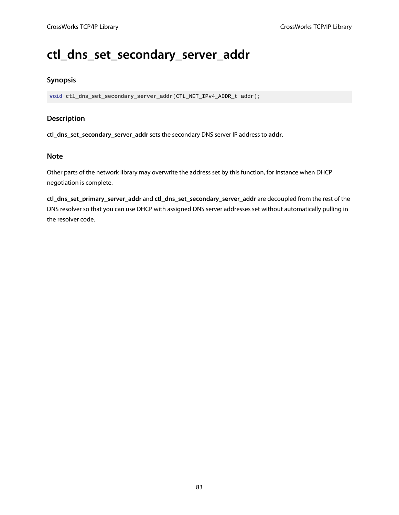## **ctl\_dns\_set\_secondary\_server\_addr**

#### **Synopsis**

**void ctl\_dns\_set\_secondary\_server\_addr**(CTL\_NET\_IPv4\_ADDR\_t addr);

## **Description**

**ctl\_dns\_set\_secondary\_server\_addr** sets the secondary DNS server IP address to **addr**.

#### **Note**

Other parts of the network library may overwrite the address set by this function, for instance when DHCP negotiation is complete.

**ctl\_dns\_set\_primary\_server\_addr** and **ctl\_dns\_set\_secondary\_server\_addr** are decoupled from the rest of the DNS resolver so that you can use DHCP with assigned DNS server addresses set without automatically pulling in the resolver code.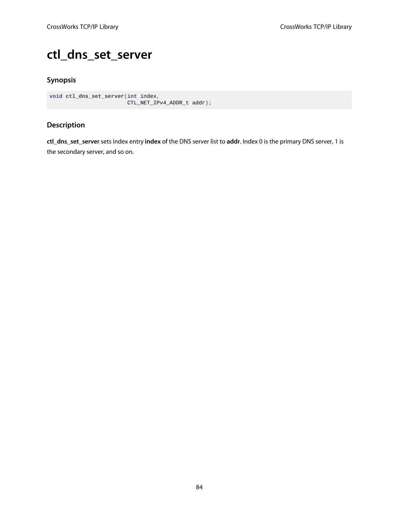# **ctl\_dns\_set\_server**

### **Synopsis**

```
void ctl_dns_set_server(int index,
                         CTL_NET_IPv4_ADDR_t addr);
```
### **Description**

**ctl\_dns\_set\_server** sets index entry **index** of the DNS server list to **addr**. Index 0 is the primary DNS server, 1 is the secondary server, and so on.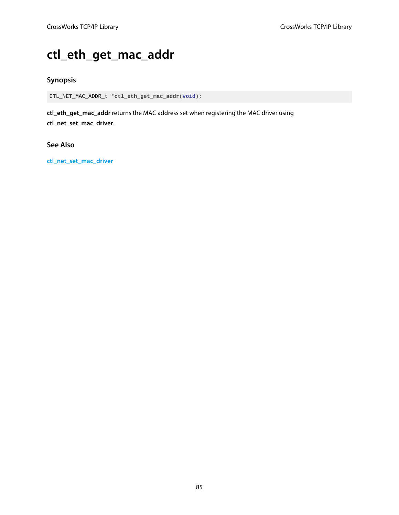# **ctl\_eth\_get\_mac\_addr**

## **Synopsis**

CTL\_NET\_MAC\_ADDR\_t \***ctl\_eth\_get\_mac\_addr**(**void**);

**ctl\_eth\_get\_mac\_addr** returns the MAC address set when registering the MAC driver using **ctl\_net\_set\_mac\_driver**.

**See Also**

**ctl\_net\_set\_mac\_driver**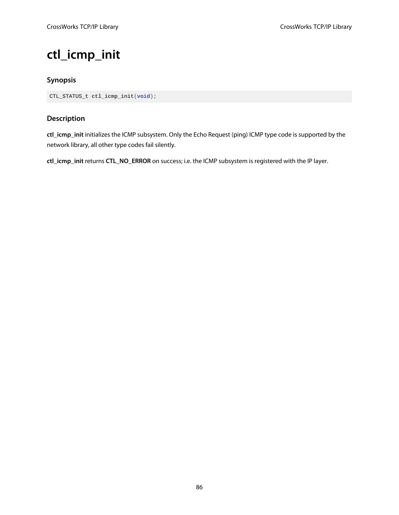# **ctl\_icmp\_init**

## **Synopsis**

CTL\_STATUS\_t **ctl\_icmp\_init**(**void**);

## **Description**

**ctl\_icmp\_init** initializes the ICMP subsystem. Only the Echo Request (ping) ICMP type code is supported by the network library, all other type codes fail silently.

**ctl\_icmp\_init** returns **CTL\_NO\_ERROR** on success; i.e. the ICMP subsystem is registered with the IP layer.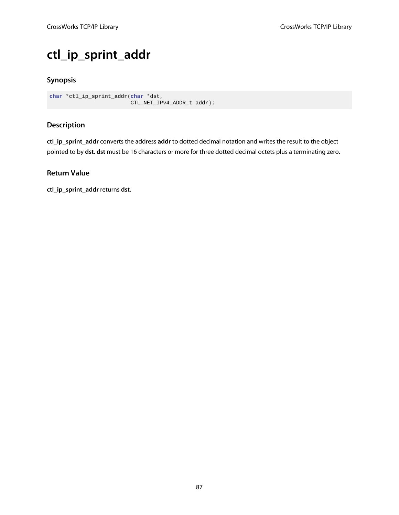# **ctl\_ip\_sprint\_addr**

## **Synopsis**

```
char *ctl_ip_sprint_addr(char *dst,
                          CTL_NET_IPv4_ADDR_t addr);
```
### **Description**

**ctl\_ip\_sprint\_addr** converts the address **addr** to dotted decimal notation and writes the result to the object pointed to by **dst**. **dst** must be 16 characters or more for three dotted decimal octets plus a terminating zero.

### **Return Value**

**ctl\_ip\_sprint\_addr** returns **dst**.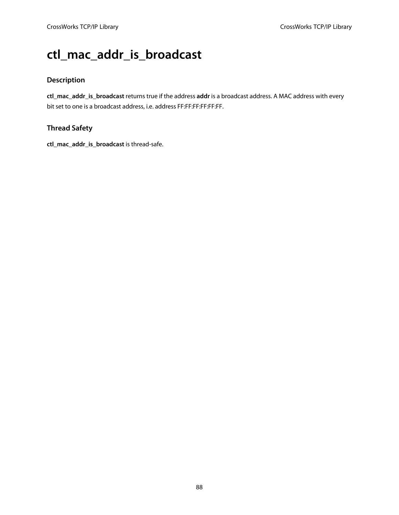# **ctl\_mac\_addr\_is\_broadcast**

## **Description**

**ctl\_mac\_addr\_is\_broadcast** returns true if the address **addr** is a broadcast address. A MAC address with every bit set to one is a broadcast address, i.e. address FF:FF:FF:FF:FF:FF.

## **Thread Safety**

**ctl\_mac\_addr\_is\_broadcast** is thread-safe.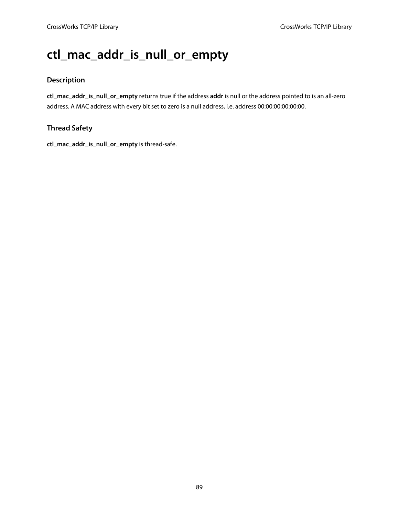# **ctl\_mac\_addr\_is\_null\_or\_empty**

## **Description**

**ctl\_mac\_addr\_is\_null\_or\_empty** returns true if the address **addr** is null or the address pointed to is an all-zero address. A MAC address with every bit set to zero is a null address, i.e. address 00:00:00:00:00:00.

## **Thread Safety**

**ctl\_mac\_addr\_is\_null\_or\_empty** is thread-safe.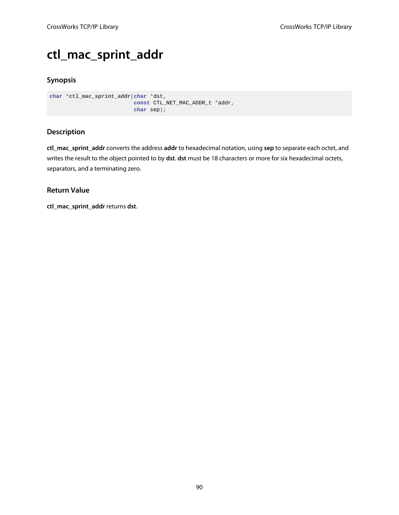## **ctl\_mac\_sprint\_addr**

#### **Synopsis**

```
char *ctl_mac_sprint_addr(char *dst,
                           const CTL_NET_MAC_ADDR_t *addr,
                           char sep);
```
## **Description**

**ctl\_mac\_sprint\_addr** converts the address **addr** to hexadecimal notation, using **sep** to separate each octet, and writes the result to the object pointed to by **dst**. **dst** must be 18 characters or more for six hexadecimal octets, separators, and a terminating zero.

#### **Return Value**

**ctl\_mac\_sprint\_addr** returns **dst**.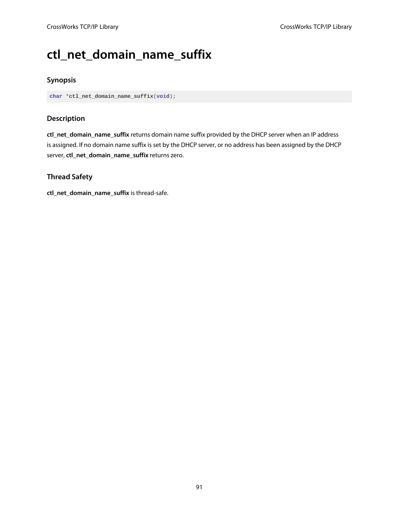# **ctl\_net\_domain\_name\_suffix**

### **Synopsis**

**char** \***ctl\_net\_domain\_name\_suffix**(**void**);

## **Description**

**ctl\_net\_domain\_name\_suffix** returns domain name suffix provided by the DHCP server when an IP address is assigned. If no domain name suffix is set by the DHCP server, or no address has been assigned by the DHCP server, **ctl\_net\_domain\_name\_suffix** returns zero.

## **Thread Safety**

**ctl\_net\_domain\_name\_suffix** is thread-safe.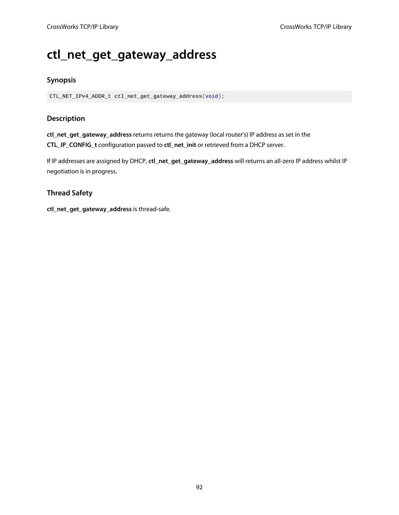# **ctl\_net\_get\_gateway\_address**

### **Synopsis**

CTL\_NET\_IPv4\_ADDR\_t **ctl\_net\_get\_gateway\_address**(**void**);

## **Description**

**ctl\_net\_get\_gateway\_address** returns returns the gateway (local router's) IP address as set in the **CTL\_IP\_CONFIG\_t** configuration passed to **ctl\_net\_init** or retrieved from a DHCP server.

If IP addresses are assigned by DHCP, **ctl\_net\_get\_gateway\_address** will returns an all-zero IP address whilst IP negotiation is in progress.

## **Thread Safety**

**ctl\_net\_get\_gateway\_address** is thread-safe.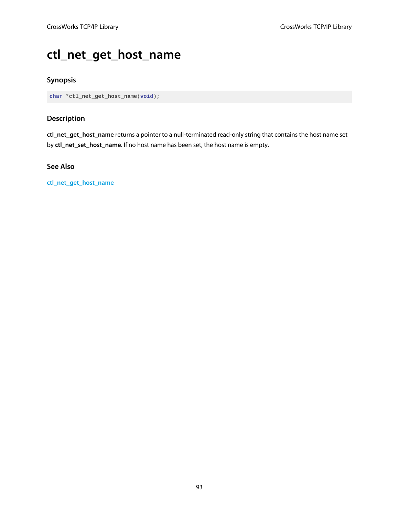# <span id="page-92-0"></span>**ctl\_net\_get\_host\_name**

### **Synopsis**

**char** \***ctl\_net\_get\_host\_name**(**void**);

## **Description**

**ctl\_net\_get\_host\_name** returns a pointer to a null-terminated read-only string that contains the host name set by **ctl\_net\_set\_host\_name**. If no host name has been set, the host name is empty.

#### **See Also**

**[ctl\\_net\\_get\\_host\\_name](#page-92-0)**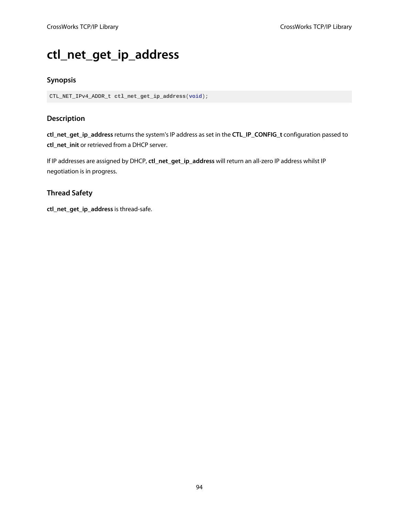## **ctl\_net\_get\_ip\_address**

#### **Synopsis**

CTL\_NET\_IPv4\_ADDR\_t **ctl\_net\_get\_ip\_address**(**void**);

## **Description**

**ctl\_net\_get\_ip\_address** returns the system's IP address as set in the **CTL\_IP\_CONFIG\_t** configuration passed to **ctl\_net\_init** or retrieved from a DHCP server.

If IP addresses are assigned by DHCP, **ctl\_net\_get\_ip\_address** will return an all-zero IP address whilst IP negotiation is in progress.

## **Thread Safety**

**ctl\_net\_get\_ip\_address** is thread-safe.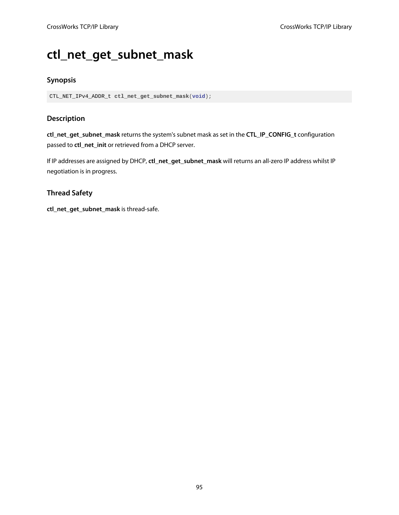# **ctl\_net\_get\_subnet\_mask**

### **Synopsis**

CTL\_NET\_IPv4\_ADDR\_t **ctl\_net\_get\_subnet\_mask**(**void**);

## **Description**

**ctl\_net\_get\_subnet\_mask** returns the system's subnet mask as set in the **CTL\_IP\_CONFIG\_t** configuration passed to **ctl\_net\_init** or retrieved from a DHCP server.

If IP addresses are assigned by DHCP, **ctl\_net\_get\_subnet\_mask** will returns an all-zero IP address whilst IP negotiation is in progress.

## **Thread Safety**

**ctl\_net\_get\_subnet\_mask** is thread-safe.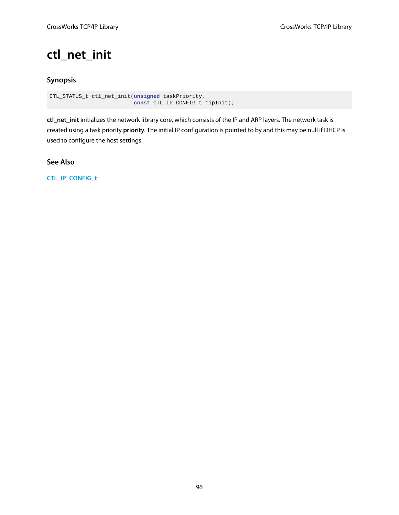# <span id="page-95-0"></span>**ctl\_net\_init**

## **Synopsis**

```
CTL_STATUS_t ctl_net_init(unsigned taskPriority,
const CTL_IP_CONFIG_t *ipInit);
```
**ctl\_net\_init** initializes the network library core, which consists of the IP and ARP layers. The network task is created using a task priority **priority**. The initial IP configuration is pointed to by and this may be null if DHCP is used to configure the host settings.

**See Also**

**[CTL\\_IP\\_CONFIG\\_t](#page-38-0)**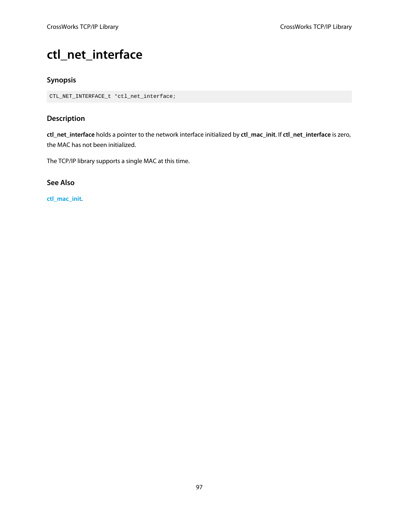# **ctl\_net\_interface**

### **Synopsis**

CTL\_NET\_INTERFACE\_t \*ctl\_net\_interface;

## **Description**

**ctl\_net\_interface** holds a pointer to the network interface initialized by **ctl\_mac\_init**. If **ctl\_net\_interface** is zero, the MAC has not been initialized.

The TCP/IP library supports a single MAC at this time.

## **See Also**

**[ctl\\_mac\\_init](#page-167-0)**.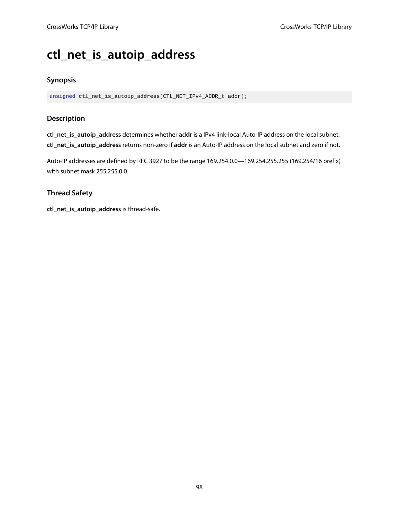# **ctl\_net\_is\_autoip\_address**

### **Synopsis**

**unsigned ctl\_net\_is\_autoip\_address**(CTL\_NET\_IPv4\_ADDR\_t addr);

## **Description**

**ctl\_net\_is\_autoip\_address** determines whether **addr** is a IPv4 link-local Auto-IP address on the local subnet. **ctl\_net\_is\_autoip\_address** returns non-zero if **addr** is an Auto-IP address on the local subnet and zero if not.

Auto-IP addresses are defined by RFC 3927 to be the range 169.254.0.0—169.254.255.255 (169.254/16 prefix) with subnet mask 255.255.0.0.

## **Thread Safety**

**ctl\_net\_is\_autoip\_address** is thread-safe.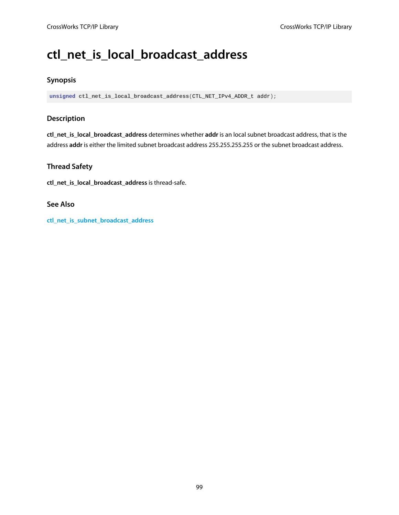# <span id="page-98-0"></span>**ctl\_net\_is\_local\_broadcast\_address**

### **Synopsis**

**unsigned ctl\_net\_is\_local\_broadcast\_address**(CTL\_NET\_IPv4\_ADDR\_t addr);

## **Description**

**ctl\_net\_is\_local\_broadcast\_address** determines whether **addr** is an local subnet broadcast address, that is the address **addr** is either the limited subnet broadcast address 255.255.255.255 or the subnet broadcast address.

## **Thread Safety**

**ctl\_net\_is\_local\_broadcast\_address** is thread-safe.

## **See Also**

**[ctl\\_net\\_is\\_subnet\\_broadcast\\_address](#page-102-0)**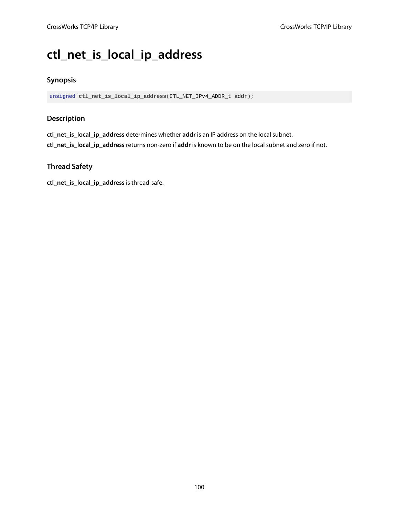# **ctl\_net\_is\_local\_ip\_address**

### **Synopsis**

**unsigned ctl\_net\_is\_local\_ip\_address**(CTL\_NET\_IPv4\_ADDR\_t addr);

## **Description**

**ctl\_net\_is\_local\_ip\_address** determines whether **addr** is an IP address on the local subnet. **ctl\_net\_is\_local\_ip\_address** returns non-zero if **addr** is known to be on the local subnet and zero if not.

## **Thread Safety**

**ctl\_net\_is\_local\_ip\_address** is thread-safe.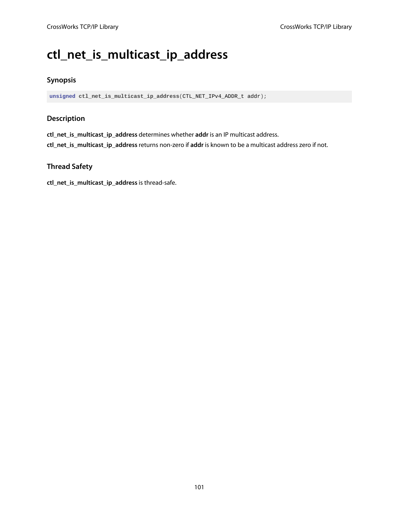# **ctl\_net\_is\_multicast\_ip\_address**

### **Synopsis**

**unsigned ctl\_net\_is\_multicast\_ip\_address**(CTL\_NET\_IPv4\_ADDR\_t addr);

## **Description**

**ctl\_net\_is\_multicast\_ip\_address** determines whether **addr** is an IP multicast address. **ctl\_net\_is\_multicast\_ip\_address** returns non-zero if **addr** is known to be a multicast address zero if not.

## **Thread Safety**

**ctl\_net\_is\_multicast\_ip\_address** is thread-safe.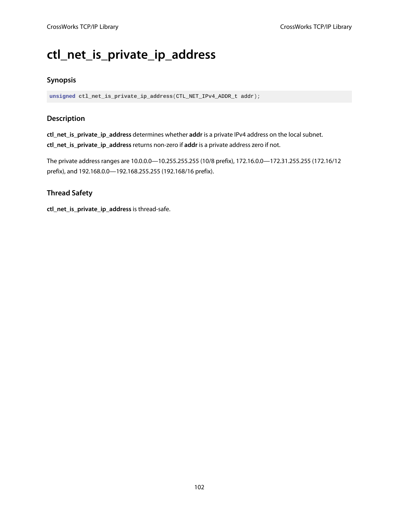# **ctl\_net\_is\_private\_ip\_address**

### **Synopsis**

**unsigned ctl\_net\_is\_private\_ip\_address**(CTL\_NET\_IPv4\_ADDR\_t addr);

## **Description**

**ctl\_net\_is\_private\_ip\_address** determines whether **addr** is a private IPv4 address on the local subnet. **ctl\_net\_is\_private\_ip\_address** returns non-zero if **addr** is a private address zero if not.

The private address ranges are 10.0.0.0—10.255.255.255 (10/8 prefix), 172.16.0.0—172.31.255.255 (172.16/12 prefix), and 192.168.0.0—192.168.255.255 (192.168/16 prefix).

## **Thread Safety**

**ctl\_net\_is\_private\_ip\_address** is thread-safe.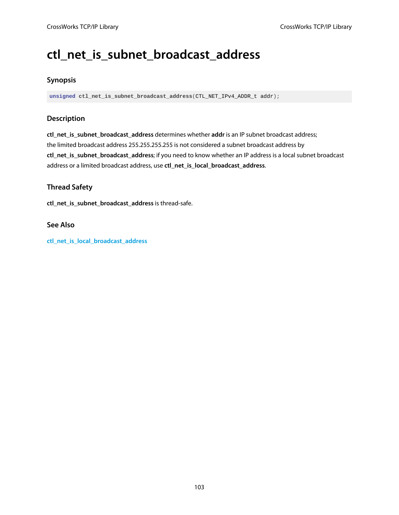## <span id="page-102-0"></span>**ctl\_net\_is\_subnet\_broadcast\_address**

### **Synopsis**

**unsigned ctl\_net\_is\_subnet\_broadcast\_address**(CTL\_NET\_IPv4\_ADDR\_t addr);

## **Description**

**ctl\_net\_is\_subnet\_broadcast\_address** determines whether **addr** is an IP subnet broadcast address; the limited broadcast address 255.255.255.255 is not considered a subnet broadcast address by **ctl\_net\_is\_subnet\_broadcast\_address**; if you need to know whether an IP address is a local subnet broadcast address or a limited broadcast address, use **ctl\_net\_is\_local\_broadcast\_address**.

## **Thread Safety**

**ctl\_net\_is\_subnet\_broadcast\_address** is thread-safe.

#### **See Also**

**[ctl\\_net\\_is\\_local\\_broadcast\\_address](#page-98-0)**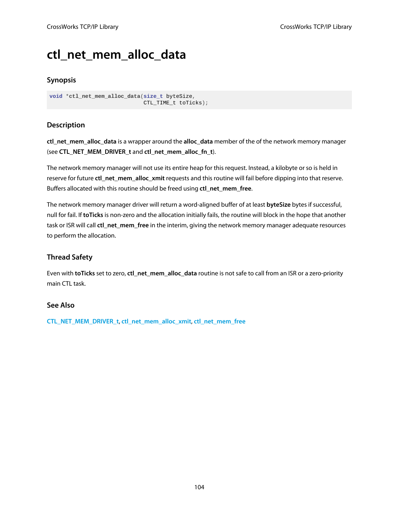## <span id="page-103-0"></span>**ctl\_net\_mem\_alloc\_data**

#### **Synopsis**

```
void *ctl_net_mem_alloc_data(size_t byteSize,
                              CTL_TIME_t toTicks);
```
#### **Description**

**ctl\_net\_mem\_alloc\_data** is a wrapper around the **alloc\_data** member of the of the network memory manager (see **CTL\_NET\_MEM\_DRIVER\_t** and **ctl\_net\_mem\_alloc\_fn\_t**).

The network memory manager will not use its entire heap for this request. Instead, a kilobyte or so is held in reserve for future ctl net mem alloc xmit requests and this routine will fail before dipping into that reserve. Buffers allocated with this routine should be freed using **ctl\_net\_mem\_free**.

The network memory manager driver will return a word-aligned buffer of at least **byteSize** bytes if successful, null for fail. If **toTicks** is non-zero and the allocation initially fails, the routine will block in the hope that another task or ISR will call **ctl\_net\_mem\_free** in the interim, giving the network memory manager adequate resources to perform the allocation.

## **Thread Safety**

Even with **toTicks** set to zero, **ctl\_net\_mem\_alloc\_data** routine is not safe to call from an ISR or a zero-priority main CTL task.

#### **See Also**

**[CTL\\_NET\\_MEM\\_DRIVER\\_t](#page-160-0)**, **[ctl\\_net\\_mem\\_alloc\\_xmit](#page-104-0)**, **[ctl\\_net\\_mem\\_free](#page-105-0)**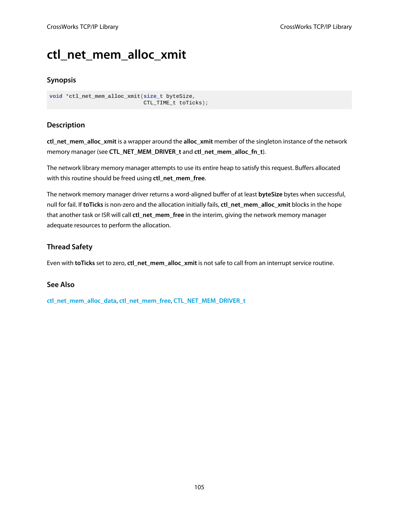## <span id="page-104-0"></span>**ctl\_net\_mem\_alloc\_xmit**

#### **Synopsis**

```
void *ctl_net_mem_alloc_xmit(size_t byteSize,
                              CTL_TIME_t toTicks);
```
### **Description**

**ctl\_net\_mem\_alloc\_xmit** is a wrapper around the **alloc\_xmit** member of the singleton instance of the network memory manager (see **CTL\_NET\_MEM\_DRIVER\_t** and **ctl\_net\_mem\_alloc\_fn\_t**).

The network library memory manager attempts to use its entire heap to satisfy this request. Buffers allocated with this routine should be freed using **ctl\_net\_mem\_free**.

The network memory manager driver returns a word-aligned buffer of at least **byteSize** bytes when successful, null for fail. If **toTicks** is non-zero and the allocation initially fails, **ctl\_net\_mem\_alloc\_xmit** blocks in the hope that another task or ISR will call **ctl\_net\_mem\_free** in the interim, giving the network memory manager adequate resources to perform the allocation.

### **Thread Safety**

Even with **toTicks** set to zero, **ctl\_net\_mem\_alloc\_xmit** is not safe to call from an interrupt service routine.

#### **See Also**

**[ctl\\_net\\_mem\\_alloc\\_data](#page-103-0)**, **[ctl\\_net\\_mem\\_free](#page-105-0)**, **[CTL\\_NET\\_MEM\\_DRIVER\\_t](#page-160-0)**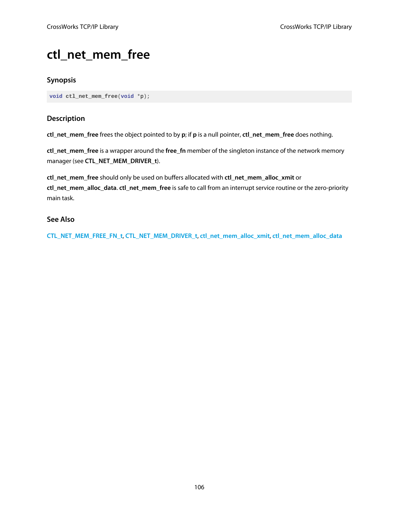# <span id="page-105-0"></span>**ctl\_net\_mem\_free**

#### **Synopsis**

**void ctl\_net\_mem\_free**(**void** \*p);

#### **Description**

**ctl\_net\_mem\_free** frees the object pointed to by **p**; if **p** is a null pointer, **ctl\_net\_mem\_free** does nothing.

**ctl\_net\_mem\_free** is a wrapper around the **free\_fn** member of the singleton instance of the network memory manager (see **CTL\_NET\_MEM\_DRIVER\_t**).

**ctl\_net\_mem\_free** should only be used on buffers allocated with **ctl\_net\_mem\_alloc\_xmit** or **ctl\_net\_mem\_alloc\_data**. **ctl\_net\_mem\_free** is safe to call from an interrupt service routine or the zero-priority main task.

#### **See Also**

**CTL\_NET\_MEM\_FREE\_FN\_t**, **[CTL\\_NET\\_MEM\\_DRIVER\\_t](#page-160-0)**, **[ctl\\_net\\_mem\\_alloc\\_xmit](#page-104-0)**, **[ctl\\_net\\_mem\\_alloc\\_data](#page-103-0)**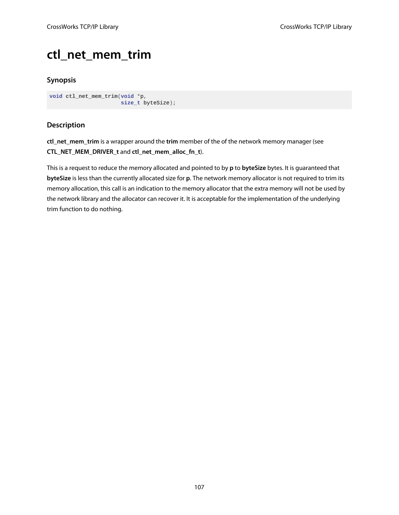## **ctl\_net\_mem\_trim**

#### **Synopsis**

```
void ctl_net_mem_trim(void *p,
                        size_t byteSize);
```
### **Description**

**ctl\_net\_mem\_trim** is a wrapper around the **trim** member of the of the network memory manager (see **CTL\_NET\_MEM\_DRIVER\_t** and **ctl\_net\_mem\_alloc\_fn\_t**).

This is a request to reduce the memory allocated and pointed to by **p** to **byteSize** bytes. It is guaranteed that **byteSize** is less than the currently allocated size for **p**. The network memory allocator is not required to trim its memory allocation, this call is an indication to the memory allocator that the extra memory will not be used by the network library and the allocator can recover it. It is acceptable for the implementation of the underlying trim function to do nothing.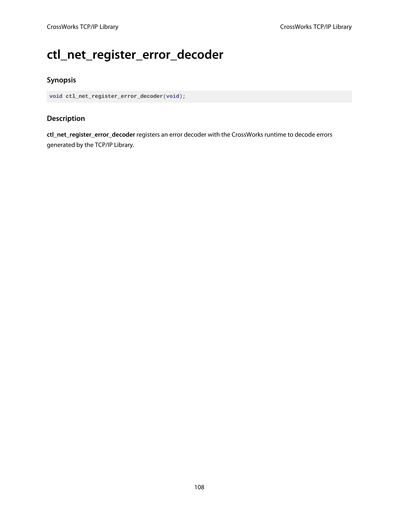# **ctl\_net\_register\_error\_decoder**

## **Synopsis**

**void ctl\_net\_register\_error\_decoder**(**void**);

## **Description**

**ctl\_net\_register\_error\_decoder** registers an error decoder with the CrossWorks runtime to decode errors generated by the TCP/IP Library.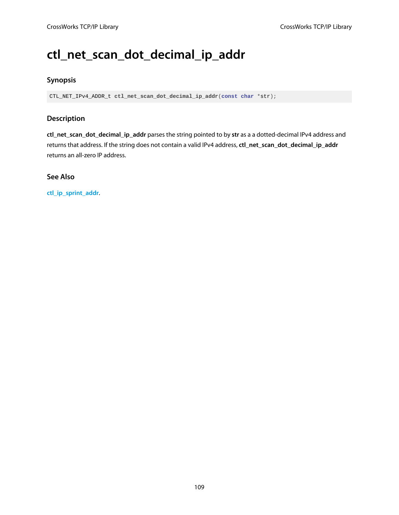# **ctl\_net\_scan\_dot\_decimal\_ip\_addr**

## **Synopsis**

CTL\_NET\_IPv4\_ADDR\_t **ctl\_net\_scan\_dot\_decimal\_ip\_addr**(**const char** \*str);

## **Description**

**ctl\_net\_scan\_dot\_decimal\_ip\_addr** parses the string pointed to by **str** as a a dotted-decimal IPv4 address and returns that address. If the string does not contain a valid IPv4 address, **ctl\_net\_scan\_dot\_decimal\_ip\_addr** returns an all-zero IP address.

## **See Also**

**[ctl\\_ip\\_sprint\\_addr](#page-86-0)**.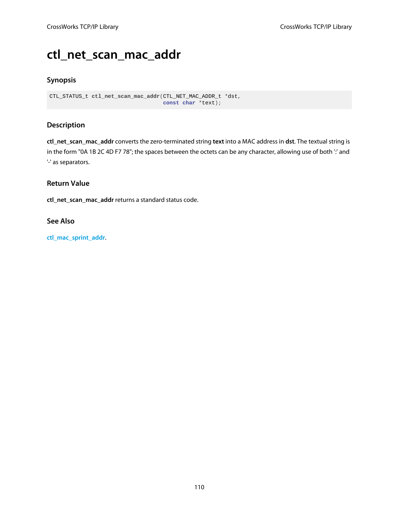## **ctl\_net\_scan\_mac\_addr**

## **Synopsis**

```
CTL_STATUS_t ctl_net_scan_mac_addr(CTL_NET_MAC_ADDR_t *dst,
                                   const char *text);
```
## **Description**

**ctl\_net\_scan\_mac\_addr** converts the zero-terminated string **text** into a MAC address in **dst**. The textual string is in the form "0A 1B 2C 4D F7 78"; the spaces between the octets can be any character, allowing use of both ':' and '-' as separators.

## **Return Value**

**ctl\_net\_scan\_mac\_addr** returns a standard status code.

### **See Also**

**[ctl\\_mac\\_sprint\\_addr](#page-89-0)**.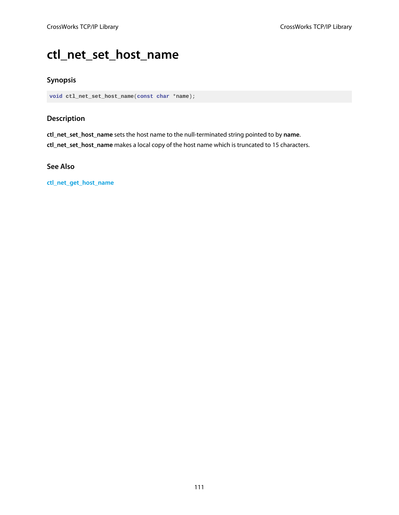## **ctl\_net\_set\_host\_name**

## **Synopsis**

**void ctl\_net\_set\_host\_name**(**const char** \*name);

## **Description**

**ctl\_net\_set\_host\_name** sets the host name to the null-terminated string pointed to by **name**. **ctl\_net\_set\_host\_name** makes a local copy of the host name which is truncated to 15 characters.

### **See Also**

**[ctl\\_net\\_get\\_host\\_name](#page-92-0)**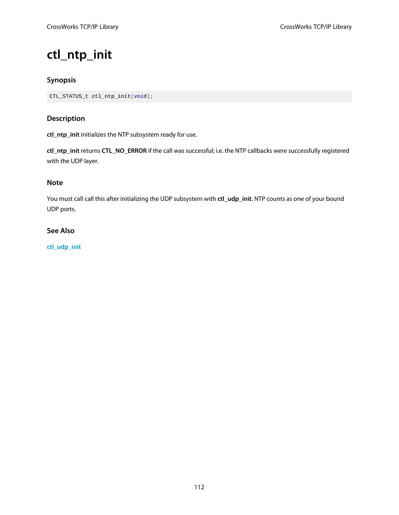# **ctl\_ntp\_init**

## **Synopsis**

CTL\_STATUS\_t **ctl\_ntp\_init**(**void**);

## **Description**

**ctl\_ntp\_init** initializes the NTP subsystem ready for use.

**ctl\_ntp\_init** returns **CTL\_NO\_ERROR** if the call was successful; i.e. the NTP callbacks were successfully registered with the UDP layer.

## **Note**

You must call call this after initializing the UDP subsystem with **ctl\_udp\_init**. NTP counts as one of your bound UDP ports.

## **See Also**

**[ctl\\_udp\\_init](#page-145-0)**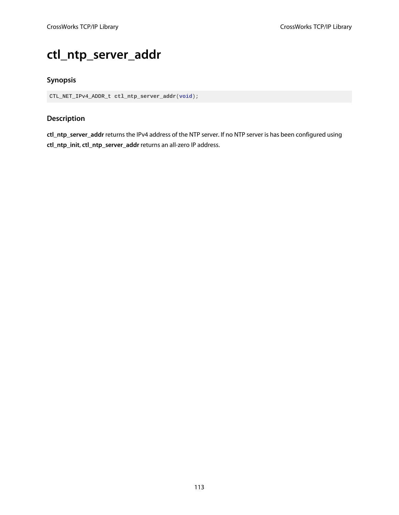# **ctl\_ntp\_server\_addr**

## **Synopsis**

CTL\_NET\_IPv4\_ADDR\_t **ctl\_ntp\_server\_addr**(**void**);

## **Description**

**ctl\_ntp\_server\_addr** returns the IPv4 address of the NTP server. If no NTP server is has been configured using **ctl\_ntp\_init**, **ctl\_ntp\_server\_addr** returns an all-zero IP address.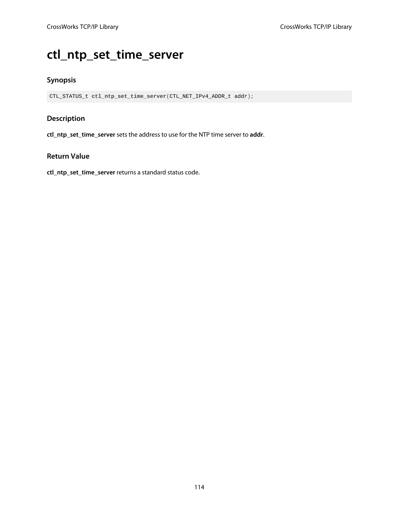## **ctl\_ntp\_set\_time\_server**

## **Synopsis**

CTL\_STATUS\_t **ctl\_ntp\_set\_time\_server**(CTL\_NET\_IPv4\_ADDR\_t addr);

## **Description**

**ctl\_ntp\_set\_time\_server** sets the address to use for the NTP time server to **addr**.

## **Return Value**

**ctl\_ntp\_set\_time\_server** returns a standard status code.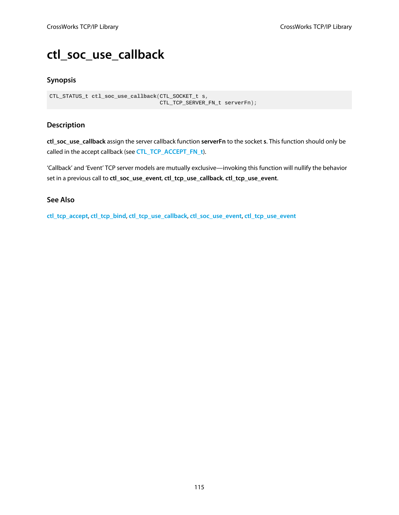## <span id="page-114-0"></span>**ctl\_soc\_use\_callback**

## **Synopsis**

```
CTL_STATUS_t ctl_soc_use_callback(CTL_SOCKET_t s,
                                  CTL_TCP_SERVER_FN_t serverFn);
```
## **Description**

**ctl\_soc\_use\_callback** assign the server callback function **serverFn** to the socket **s**. This function should only be called in the accept callback (see **[CTL\\_TCP\\_ACCEPT\\_FN\\_t](#page-47-0)**).

'Callback' and 'Event' TCP server models are mutually exclusive—invoking this function will nullify the behavior set in a previous call to **ctl\_soc\_use\_event**, **ctl\_tcp\_use\_callback**, **ctl\_tcp\_use\_event**.

### **See Also**

**[ctl\\_tcp\\_accept](#page-116-0)**, **[ctl\\_tcp\\_bind](#page-117-0)**, **[ctl\\_tcp\\_use\\_callback](#page-142-0)**, **[ctl\\_soc\\_use\\_event](#page-115-0)**, **[ctl\\_tcp\\_use\\_event](#page-143-0)**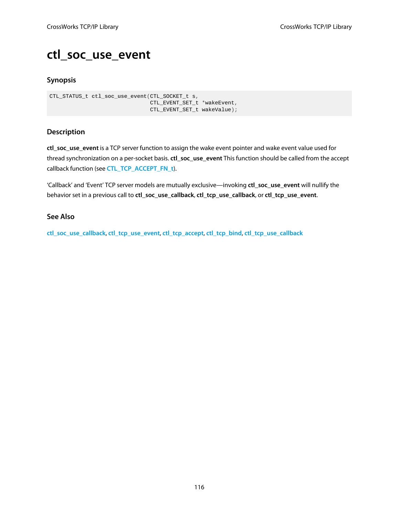## <span id="page-115-0"></span>**ctl\_soc\_use\_event**

## **Synopsis**

```
CTL_STATUS_t ctl_soc_use_event(CTL_SOCKET_t s,
                               CTL_EVENT_SET_t *wakeEvent,
                              CTL_EVENT_SET_t wakeValue);
```
## **Description**

**ctl\_soc\_use\_event** is a TCP server function to assign the wake event pointer and wake event value used for thread synchronization on a per-socket basis. **ctl\_soc\_use\_event** This function should be called from the accept callback function (see **[CTL\\_TCP\\_ACCEPT\\_FN\\_t](#page-47-0)**).

'Callback' and 'Event' TCP server models are mutually exclusive—invoking **ctl\_soc\_use\_event** will nullify the behavior set in a previous call to **ctl\_soc\_use\_callback**, **ctl\_tcp\_use\_callback**, or **ctl\_tcp\_use\_event**.

### **See Also**

**[ctl\\_soc\\_use\\_callback](#page-114-0)**, **[ctl\\_tcp\\_use\\_event](#page-143-0)**, **[ctl\\_tcp\\_accept](#page-116-0)**, **[ctl\\_tcp\\_bind](#page-117-0)**, **[ctl\\_tcp\\_use\\_callback](#page-142-0)**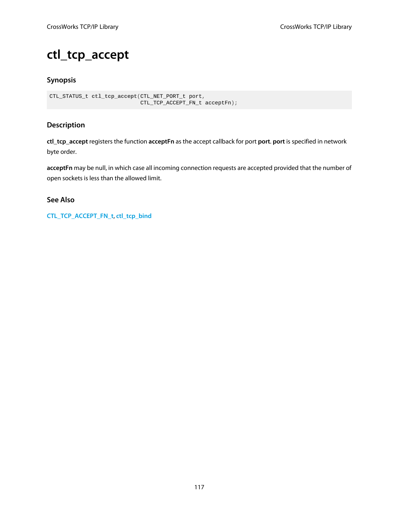# <span id="page-116-0"></span>**ctl\_tcp\_accept**

## **Synopsis**

```
CTL_STATUS_t ctl_tcp_accept(CTL_NET_PORT_t port,
CTL_TCP_ACCEPT_FN_t acceptFn);
```
## **Description**

**ctl\_tcp\_accept** registers the function **acceptFn** as the accept callback for port **port**. **port** is specified in network byte order.

**acceptFn** may be null, in which case all incoming connection requests are accepted provided that the number of open sockets is less than the allowed limit.

## **See Also**

**[CTL\\_TCP\\_ACCEPT\\_FN\\_t](#page-47-0)**, **[ctl\\_tcp\\_bind](#page-117-0)**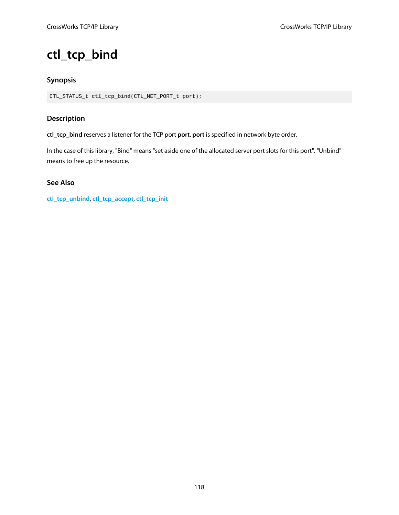# <span id="page-117-0"></span>**ctl\_tcp\_bind**

## **Synopsis**

```
CTL_STATUS_t ctl_tcp_bind(CTL_NET_PORT_t port);
```
## **Description**

**ctl\_tcp\_bind** reserves a listener for the TCP port **port**. **port** is specified in network byte order.

In the case of this library, "Bind" means "set aside one of the allocated server port slots for this port". "Unbind" means to free up the resource.

## **See Also**

**[ctl\\_tcp\\_unbind](#page-141-0)**, **[ctl\\_tcp\\_accept](#page-116-0)**, **[ctl\\_tcp\\_init](#page-130-0)**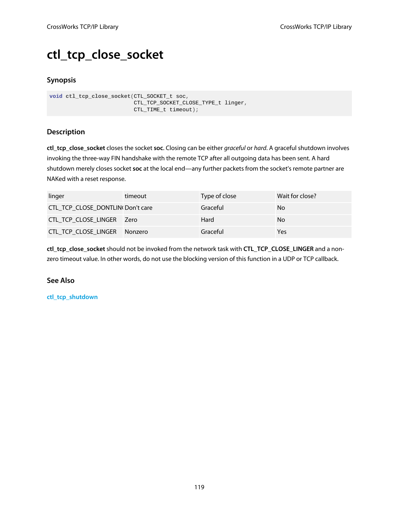## <span id="page-118-0"></span>**ctl\_tcp\_close\_socket**

## **Synopsis**

```
void ctl_tcp_close_socket(CTL_SOCKET_t soc,
                          CTL_TCP_SOCKET_CLOSE_TYPE_t linger,
                         CTL_TIME_t timeout);
```
## **Description**

**ctl\_tcp\_close\_socket** closes the socket **soc**. Closing can be either *graceful* or *hard*. A graceful shutdown involves invoking the three-way FIN handshake with the remote TCP after all outgoing data has been sent. A hard shutdown merely closes socket **soc** at the local end—any further packets from the socket's remote partner are NAKed with a reset response.

| linger                           | timeout | Type of close | Wait for close? |
|----------------------------------|---------|---------------|-----------------|
| CTL_TCP_CLOSE_DONTLIN(Don't care |         | Graceful      | No.             |
| CTL_TCP_CLOSE_LINGER Zero        |         | Hard          | No.             |
| CTL TCP CLOSE LINGER Nonzero     |         | Graceful      | Yes             |

**ctl\_tcp\_close\_socket** should not be invoked from the network task with **CTL\_TCP\_CLOSE\_LINGER** and a nonzero timeout value. In other words, do not use the blocking version of this function in a UDP or TCP callback.

## **See Also**

#### **[ctl\\_tcp\\_shutdown](#page-139-0)**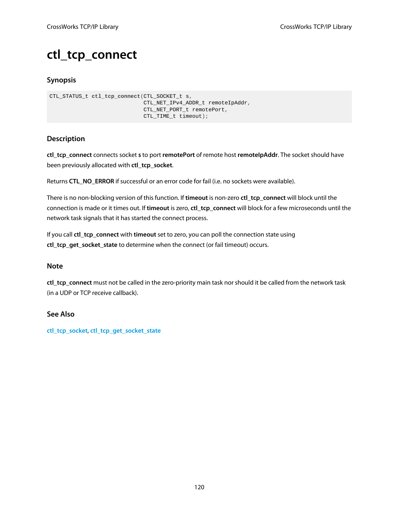## <span id="page-119-0"></span>**ctl\_tcp\_connect**

## **Synopsis**

```
CTL_STATUS_t ctl_tcp_connect(CTL_SOCKET_t s,
                             CTL_NET_IPv4_ADDR_t remoteIpAddr,
                            CTL_NET_PORT_t remotePort,
                            CTL_TIME_t timeout);
```
## **Description**

**ctl\_tcp\_connect** connects socket **s** to port **remotePort** of remote host **remoteIpAddr**. The socket should have been previously allocated with **ctl\_tcp\_socket**.

Returns **CTL\_NO\_ERROR** if successful or an error code for fail (i.e. no sockets were available).

There is no non-blocking version of this function. If **timeout** is non-zero **ctl\_tcp\_connect** will block until the connection is made or it times out. If **timeout** is zero, **ctl\_tcp\_connect** will block for a few microseconds until the network task signals that it has started the connect process.

If you call **ctl\_tcp\_connect** with **timeout** set to zero, you can poll the connection state using **ctl\_tcp\_get\_socket\_state** to determine when the connect (or fail timeout) occurs.

## **Note**

**ctl\_tcp\_connect** must not be called in the zero-priority main task nor should it be called from the network task (in a UDP or TCP receive callback).

## **See Also**

**[ctl\\_tcp\\_socket](#page-140-0)**, **ctl\_tcp\_get\_socket\_state**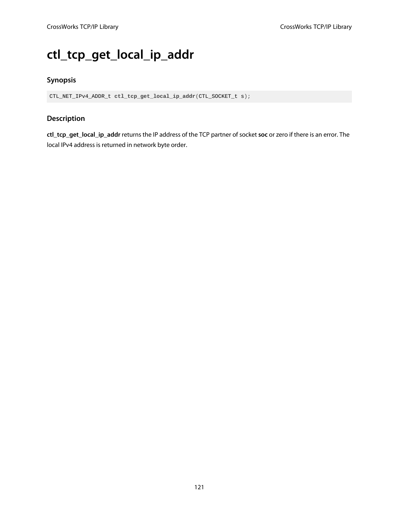# **ctl\_tcp\_get\_local\_ip\_addr**

## **Synopsis**

CTL\_NET\_IPv4\_ADDR\_t **ctl\_tcp\_get\_local\_ip\_addr**(CTL\_SOCKET\_t s);

## **Description**

**ctl\_tcp\_get\_local\_ip\_addr** returns the IP address of the TCP partner of socket **soc** or zero if there is an error. The local IPv4 address is returned in network byte order.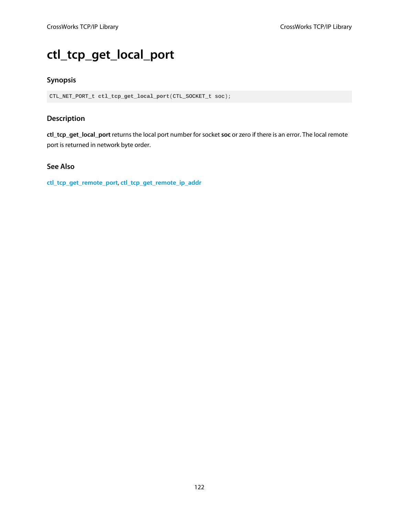# <span id="page-121-0"></span>**ctl\_tcp\_get\_local\_port**

## **Synopsis**

CTL\_NET\_PORT\_t **ctl\_tcp\_get\_local\_port**(CTL\_SOCKET\_t soc);

## **Description**

**ctl\_tcp\_get\_local\_port** returns the local port number for socket **soc** or zero if there is an error. The local remote port is returned in network byte order.

## **See Also**

**[ctl\\_tcp\\_get\\_remote\\_port](#page-124-0)**, **[ctl\\_tcp\\_get\\_remote\\_ip\\_addr](#page-123-0)**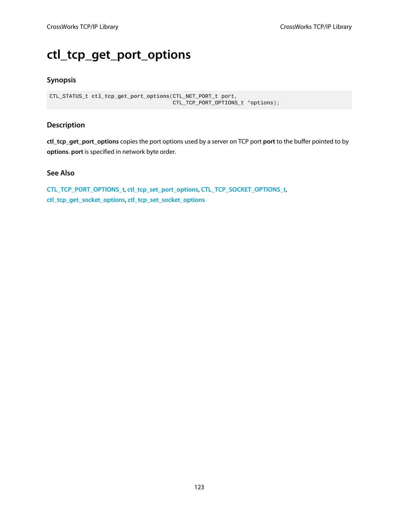## <span id="page-122-0"></span>**ctl\_tcp\_get\_port\_options**

## **Synopsis**

```
CTL_STATUS_t ctl_tcp_get_port_options(CTL_NET_PORT_t port,
                                    CTL_TCP_PORT_OPTIONS_t *options);
```
## **Description**

**ctl\_tcp\_get\_port\_options** copies the port options used by a server on TCP port **port** to the buffer pointed to by **options**. **port** is specified in network byte order.

## **See Also**

**[CTL\\_TCP\\_PORT\\_OPTIONS\\_t](#page-50-0)**, **[ctl\\_tcp\\_set\\_port\\_options](#page-137-0)**, **[CTL\\_TCP\\_SOCKET\\_OPTIONS\\_t](#page-54-0)**, **[ctl\\_tcp\\_get\\_socket\\_options](#page-128-0)**, **[ctl\\_tcp\\_set\\_socket\\_options](#page-138-0)**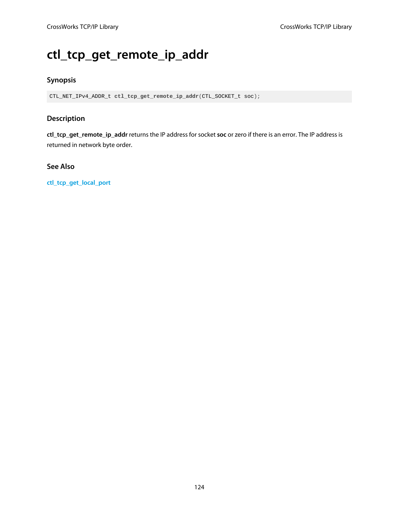# <span id="page-123-0"></span>**ctl\_tcp\_get\_remote\_ip\_addr**

## **Synopsis**

CTL\_NET\_IPv4\_ADDR\_t **ctl\_tcp\_get\_remote\_ip\_addr**(CTL\_SOCKET\_t soc);

## **Description**

**ctl\_tcp\_get\_remote\_ip\_addr** returns the IP address for socket **soc** or zero if there is an error. The IP address is returned in network byte order.

## **See Also**

**[ctl\\_tcp\\_get\\_local\\_port](#page-121-0)**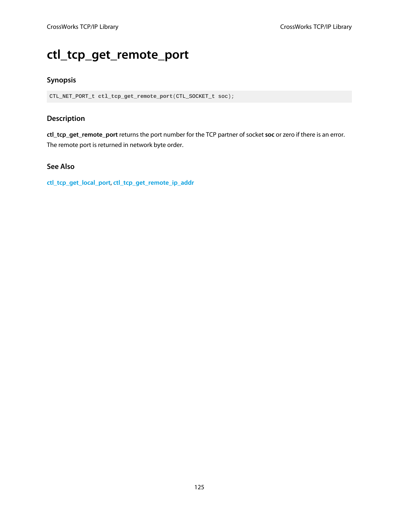## <span id="page-124-0"></span>**ctl\_tcp\_get\_remote\_port**

## **Synopsis**

CTL\_NET\_PORT\_t **ctl\_tcp\_get\_remote\_port**(CTL\_SOCKET\_t soc);

## **Description**

**ctl\_tcp\_get\_remote\_port** returns the port number for the TCP partner of socket **soc** or zero if there is an error. The remote port is returned in network byte order.

## **See Also**

**[ctl\\_tcp\\_get\\_local\\_port](#page-121-0)**, **[ctl\\_tcp\\_get\\_remote\\_ip\\_addr](#page-123-0)**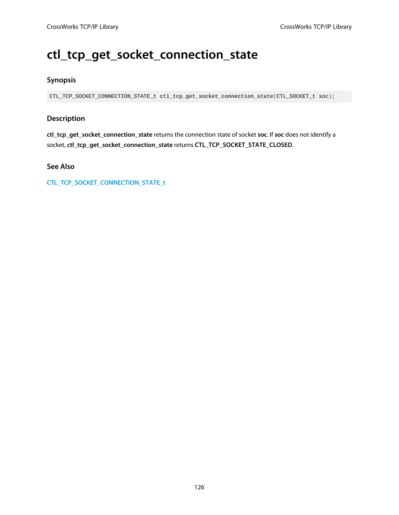## **ctl\_tcp\_get\_socket\_connection\_state**

## **Synopsis**

CTL\_TCP\_SOCKET\_CONNECTION\_STATE\_t **ctl\_tcp\_get\_socket\_connection\_state**(CTL\_SOCKET\_t soc);

## **Description**

**ctl\_tcp\_get\_socket\_connection\_state** returns the connection state of socket **soc**. If **soc** does not identify a socket, **ctl\_tcp\_get\_socket\_connection\_state** returns **CTL\_TCP\_SOCKET\_STATE\_CLOSED**.

## **See Also**

**[CTL\\_TCP\\_SOCKET\\_CONNECTION\\_STATE\\_t](#page-53-0)**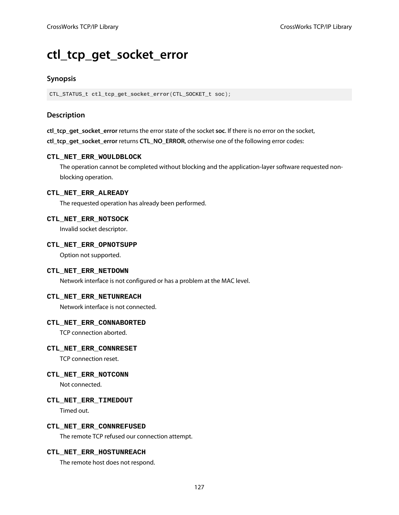## <span id="page-126-0"></span>**ctl\_tcp\_get\_socket\_error**

### **Synopsis**

CTL\_STATUS\_t **ctl\_tcp\_get\_socket\_error**(CTL\_SOCKET\_t soc);

#### **Description**

**ctl\_tcp\_get\_socket\_error** returns the error state of the socket **soc**. If there is no error on the socket, **ctl\_tcp\_get\_socket\_error** returns **CTL\_NO\_ERROR**, otherwise one of the following error codes:

#### **CTL\_NET\_ERR\_WOULDBLOCK**

The operation cannot be completed without blocking and the application-layer software requested nonblocking operation.

#### **CTL\_NET\_ERR\_ALREADY**

The requested operation has already been performed.

#### **CTL\_NET\_ERR\_NOTSOCK**

Invalid socket descriptor.

#### **CTL\_NET\_ERR\_OPNOTSUPP**

Option not supported.

#### **CTL\_NET\_ERR\_NETDOWN**

Network interface is not configured or has a problem at the MAC level.

#### **CTL\_NET\_ERR\_NETUNREACH**

Network interface is not connected.

#### **CTL\_NET\_ERR\_CONNABORTED**

TCP connection aborted.

#### **CTL\_NET\_ERR\_CONNRESET**

TCP connection reset.

#### **CTL\_NET\_ERR\_NOTCONN**

Not connected.

#### **CTL\_NET\_ERR\_TIMEDOUT**

Timed out.

#### **CTL\_NET\_ERR\_CONNREFUSED**

The remote TCP refused our connection attempt.

#### **CTL\_NET\_ERR\_HOSTUNREACH**

The remote host does not respond.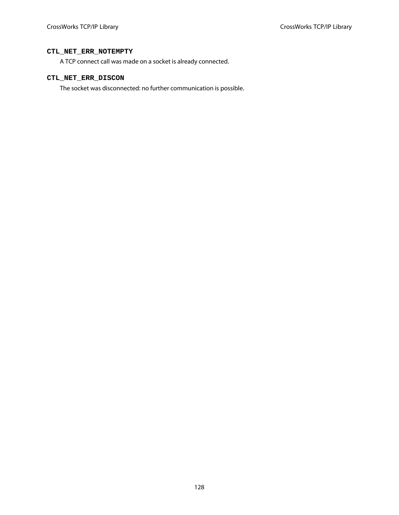#### **CTL\_NET\_ERR\_NOTEMPTY**

A TCP connect call was made on a socket is already connected.

### **CTL\_NET\_ERR\_DISCON**

The socket was disconnected: no further communication is possible.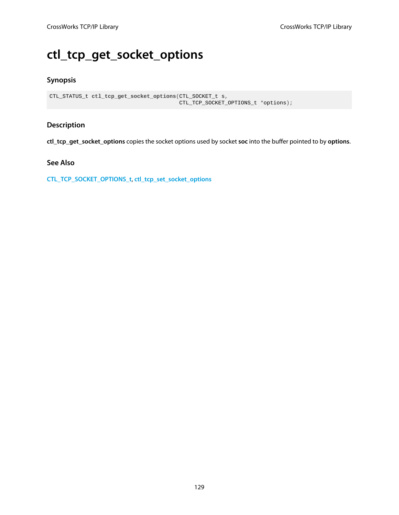# <span id="page-128-0"></span>**ctl\_tcp\_get\_socket\_options**

## **Synopsis**

```
CTL_STATUS_t ctl_tcp_get_socket_options(CTL_SOCKET_t s,
CTL_TCP_SOCKET_OPTIONS_t *options);
```
## **Description**

**ctl\_tcp\_get\_socket\_options** copies the socket options used by socket **soc** into the buffer pointed to by **options**.

## **See Also**

**[CTL\\_TCP\\_SOCKET\\_OPTIONS\\_t](#page-54-0)**, **[ctl\\_tcp\\_set\\_socket\\_options](#page-138-0)**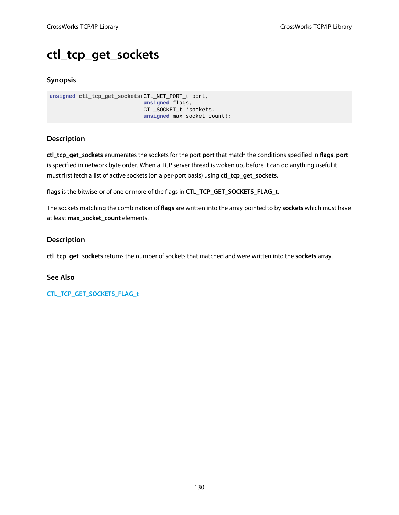## **ctl\_tcp\_get\_sockets**

## **Synopsis**

```
unsigned ctl_tcp_get_sockets(CTL_NET_PORT_t port,
                             unsigned flags,
                            CTL_SOCKET_t *sockets,
                            unsigned max_socket_count);
```
## **Description**

**ctl\_tcp\_get\_sockets** enumerates the sockets for the port **port** that match the conditions specified in **flags**. **port** is specified in network byte order. When a TCP server thread is woken up, before it can do anything useful it must first fetch a list of active sockets (on a per-port basis) using **ctl\_tcp\_get\_sockets**.

**flags** is the bitwise-or of one or more of the flags in **CTL\_TCP\_GET\_SOCKETS\_FLAG\_t**.

The sockets matching the combination of **flags** are written into the array pointed to by **sockets** which must have at least **max\_socket\_count** elements.

## **Description**

**ctl\_tcp\_get\_sockets** returns the number of sockets that matched and were written into the **sockets** array.

#### **See Also**

**[CTL\\_TCP\\_GET\\_SOCKETS\\_FLAG\\_t](#page-49-0)**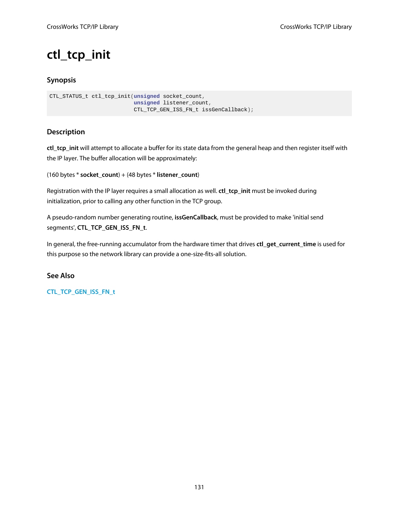# <span id="page-130-0"></span>**ctl\_tcp\_init**

## **Synopsis**

```
CTL_STATUS_t ctl_tcp_init(unsigned socket_count,
                          unsigned listener_count,
                         CTL_TCP_GEN_ISS_FN_t issGenCallback);
```
## **Description**

**ctl\_tcp\_init** will attempt to allocate a buffer for its state data from the general heap and then register itself with the IP layer. The buffer allocation will be approximately:

```
(160 bytes * socket_count) + (48 bytes * listener_count)
```
Registration with the IP layer requires a small allocation as well. **ctl\_tcp\_init** must be invoked during initialization, prior to calling any other function in the TCP group.

A pseudo-random number generating routine, **issGenCallback**, must be provided to make 'initial send segments', **CTL\_TCP\_GEN\_ISS\_FN\_t**.

In general, the free-running accumulator from the hardware timer that drives **ctl\_get\_current\_time** is used for this purpose so the network library can provide a one-size-fits-all solution.

## **See Also**

**[CTL\\_TCP\\_GEN\\_ISS\\_FN\\_t](#page-48-0)**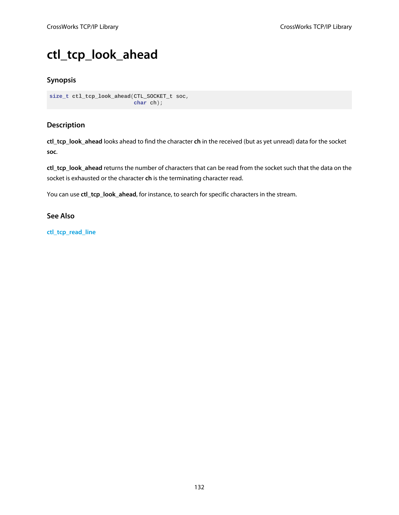# <span id="page-131-0"></span>**ctl\_tcp\_look\_ahead**

## **Synopsis**

```
size_t ctl_tcp_look_ahead(CTL_SOCKET_t soc,
                          char ch);
```
## **Description**

**ctl\_tcp\_look\_ahead** looks ahead to find the character **ch** in the received (but as yet unread) data for the socket **soc**.

**ctl\_tcp\_look\_ahead** returns the number of characters that can be read from the socket such that the data on the socket is exhausted or the character **ch** is the terminating character read.

You can use **ctl\_tcp\_look\_ahead**, for instance, to search for specific characters in the stream.

## **See Also**

**[ctl\\_tcp\\_read\\_line](#page-133-0)**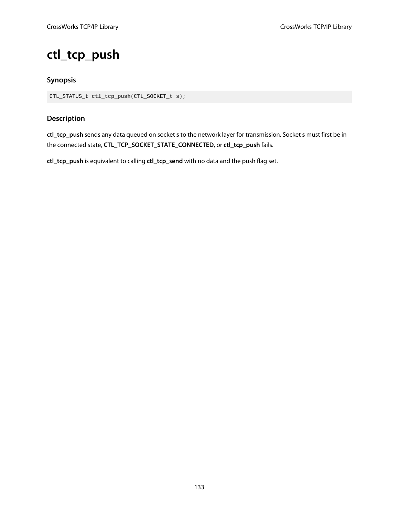# **ctl\_tcp\_push**

## **Synopsis**

CTL\_STATUS\_t **ctl\_tcp\_push**(CTL\_SOCKET\_t s);

## **Description**

**ctl\_tcp\_push** sends any data queued on socket **s** to the network layer for transmission. Socket **s** must first be in the connected state, **CTL\_TCP\_SOCKET\_STATE\_CONNECTED**, or **ctl\_tcp\_push** fails.

**ctl\_tcp\_push** is equivalent to calling **ctl\_tcp\_send** with no data and the push flag set.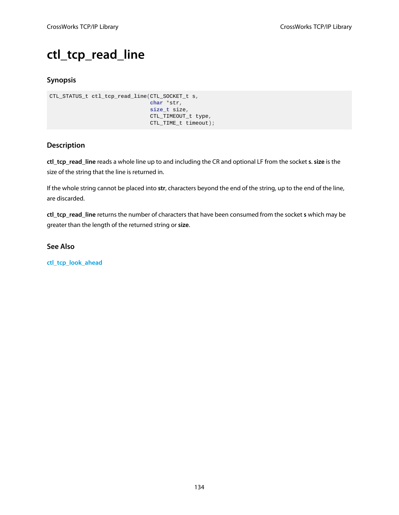# <span id="page-133-0"></span>**ctl\_tcp\_read\_line**

## **Synopsis**

```
CTL_STATUS_t ctl_tcp_read_line(CTL_SOCKET_t s,
                               char *str,
                               size_t size,
                              CTL_TIMEOUT_t type,
                              CTL_TIME_t timeout);
```
## **Description**

**ctl\_tcp\_read\_line** reads a whole line up to and including the CR and optional LF from the socket **s**. **size** is the size of the string that the line is returned in.

If the whole string cannot be placed into **str**, characters beyond the end of the string, up to the end of the line, are discarded.

**ctl\_tcp\_read\_line** returns the number of characters that have been consumed from the socket **s** which may be greater than the length of the returned string or **size**.

## **See Also**

**[ctl\\_tcp\\_look\\_ahead](#page-131-0)**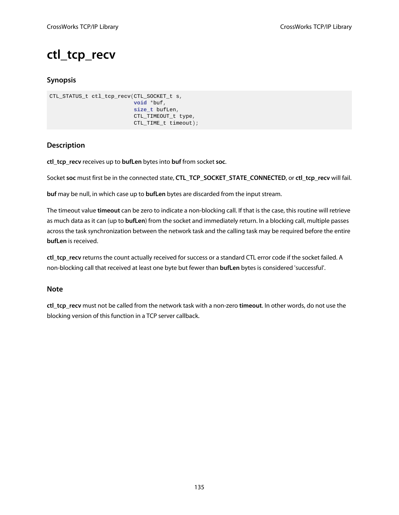## <span id="page-134-0"></span>**ctl\_tcp\_recv**

## **Synopsis**

```
CTL_STATUS_t ctl_tcp_recv(CTL_SOCKET_t s,
                          void *buf,
                          size_t bufLen,
                         CTL_TIMEOUT_t type,
                         CTL_TIME_t timeout);
```
## **Description**

**ctl\_tcp\_recv** receives up to **bufLen** bytes into **buf** from socket **soc**.

Socket **soc** must first be in the connected state, **CTL\_TCP\_SOCKET\_STATE\_CONNECTED**, or **ctl\_tcp\_recv** will fail.

**buf** may be null, in which case up to **bufLen** bytes are discarded from the input stream.

The timeout value **timeout** can be zero to indicate a non-blocking call. If that is the case, this routine will retrieve as much data as it can (up to **bufLen**) from the socket and immediately return. In a blocking call, multiple passes across the task synchronization between the network task and the calling task may be required before the entire **bufLen** is received.

**ctl\_tcp\_recv** returns the count actually received for success or a standard CTL error code if the socket failed. A non-blocking call that received at least one byte but fewer than **bufLen** bytes is considered 'successful'.

#### **Note**

**ctl\_tcp\_recv** must not be called from the network task with a non-zero **timeout**. In other words, do not use the blocking version of this function in a TCP server callback.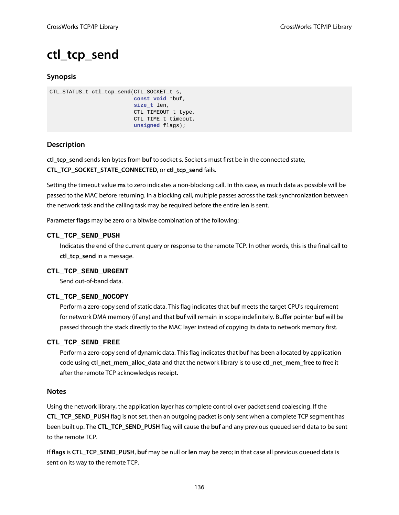## <span id="page-135-0"></span>**ctl\_tcp\_send**

## **Synopsis**

```
CTL_STATUS_t ctl_tcp_send(CTL_SOCKET_t s,
                          const void *buf,
                          size_t len,
                         CTL TIMEOUT t type,
                         CTL TIME t timeout,
                         unsigned flags);
```
## **Description**

**ctl\_tcp\_send** sends **len** bytes from **buf** to socket **s**. Socket **s** must first be in the connected state, **CTL\_TCP\_SOCKET\_STATE\_CONNECTED**, or **ctl\_tcp\_send** fails.

Setting the timeout value **ms** to zero indicates a non-blocking call. In this case, as much data as possible will be passed to the MAC before returning. In a blocking call, multiple passes across the task synchronization between the network task and the calling task may be required before the entire **len** is sent.

Parameter **flags** may be zero or a bitwise combination of the following:

#### **CTL\_TCP\_SEND\_PUSH**

Indicates the end of the current query or response to the remote TCP. In other words, this is the final call to **ctl\_tcp\_send** in a message.

#### **CTL\_TCP\_SEND\_URGENT**

Send out-of-band data.

#### **CTL\_TCP\_SEND\_NOCOPY**

Perform a zero-copy send of static data. This flag indicates that **buf** meets the target CPU's requirement for network DMA memory (if any) and that **buf** will remain in scope indefinitely. Buffer pointer **buf** will be passed through the stack directly to the MAC layer instead of copying its data to network memory first.

#### **CTL\_TCP\_SEND\_FREE**

Perform a zero-copy send of dynamic data. This flag indicates that **buf** has been allocated by application code using **ctl\_net\_mem\_alloc\_data** and that the network library is to use **ctl\_net\_mem\_free** to free it after the remote TCP acknowledges receipt.

#### **Notes**

Using the network library, the application layer has complete control over packet send coalescing. If the **CTL TCP SEND PUSH** flag is not set, then an outgoing packet is only sent when a complete TCP segment has been built up. The **CTL\_TCP\_SEND\_PUSH** flag will cause the **buf** and any previous queued send data to be sent to the remote TCP.

If **flags** is **CTL\_TCP\_SEND\_PUSH**, **buf** may be null or **len** may be zero; in that case all previous queued data is sent on its way to the remote TCP.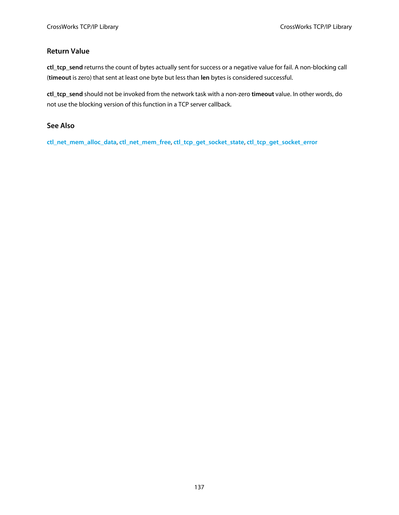## **Return Value**

**ctl\_tcp\_send** returns the count of bytes actually sent for success or a negative value for fail. A non-blocking call (**timeout** is zero) that sent at least one byte but less than **len** bytes is considered successful.

**ctl\_tcp\_send** should not be invoked from the network task with a non-zero **timeout** value. In other words, do not use the blocking version of this function in a TCP server callback.

### **See Also**

**[ctl\\_net\\_mem\\_alloc\\_data](#page-103-0)**, **[ctl\\_net\\_mem\\_free](#page-105-0)**, **ctl\_tcp\_get\_socket\_state**, **[ctl\\_tcp\\_get\\_socket\\_error](#page-126-0)**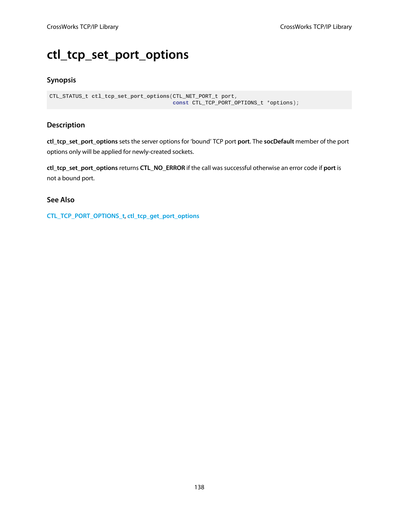## <span id="page-137-0"></span>**ctl\_tcp\_set\_port\_options**

## **Synopsis**

```
CTL_STATUS_t ctl_tcp_set_port_options(CTL_NET_PORT_t port,
                                      const CTL_TCP_PORT_OPTIONS_t *options);
```
## **Description**

**ctl\_tcp\_set\_port\_options** sets the server options for 'bound' TCP port **port**. The **socDefault** member of the port options only will be applied for newly-created sockets.

**ctl\_tcp\_set\_port\_options** returns **CTL\_NO\_ERROR** if the call was successful otherwise an error code if **port** is not a bound port.

**See Also**

**[CTL\\_TCP\\_PORT\\_OPTIONS\\_t](#page-50-0)**, **[ctl\\_tcp\\_get\\_port\\_options](#page-122-0)**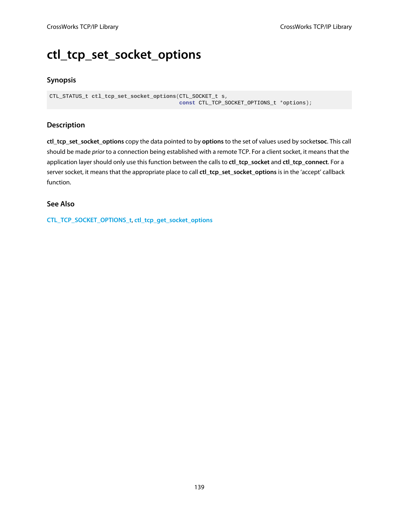## <span id="page-138-0"></span>**ctl\_tcp\_set\_socket\_options**

## **Synopsis**

```
CTL_STATUS_t ctl_tcp_set_socket_options(CTL_SOCKET_t s,
                                        const CTL_TCP_SOCKET_OPTIONS_t *options);
```
## **Description**

**ctl\_tcp\_set\_socket\_options** copy the data pointed to by **options** to the set of values used by socket**soc**. This call should be made *prior* to a connection being established with a remote TCP. For a client socket, it means that the application layer should only use this function between the calls to **ctl\_tcp\_socket** and **ctl\_tcp\_connect**. For a server socket, it means that the appropriate place to call **ctl\_tcp\_set\_socket\_options** is in the 'accept' callback function.

## **See Also**

**[CTL\\_TCP\\_SOCKET\\_OPTIONS\\_t](#page-54-0)**, **[ctl\\_tcp\\_get\\_socket\\_options](#page-128-0)**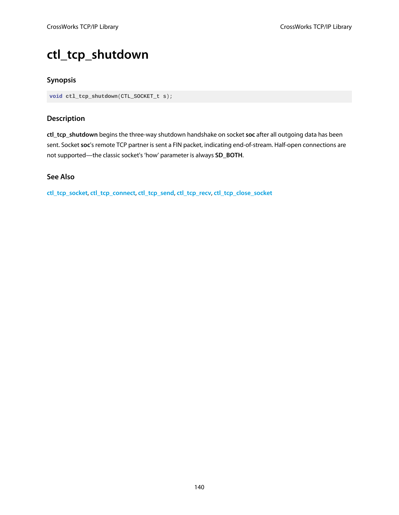# <span id="page-139-0"></span>**ctl\_tcp\_shutdown**

### **Synopsis**

**void ctl\_tcp\_shutdown**(CTL\_SOCKET\_t s);

## **Description**

**ctl\_tcp\_shutdown** begins the three-way shutdown handshake on socket **soc** after all outgoing data has been sent. Socket **soc**'s remote TCP partner is sent a FIN packet, indicating end-of-stream. Half-open connections are not supported—the classic socket's 'how' parameter is always **SD\_BOTH**.

## **See Also**

**[ctl\\_tcp\\_socket](#page-140-0)**, **[ctl\\_tcp\\_connect](#page-119-0)**, **[ctl\\_tcp\\_send](#page-135-0)**, **[ctl\\_tcp\\_recv](#page-134-0)**, **[ctl\\_tcp\\_close\\_socket](#page-118-0)**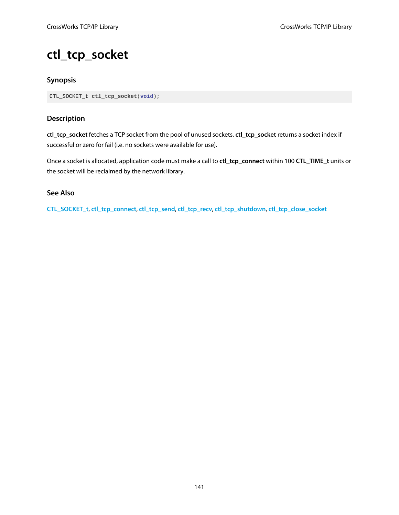# <span id="page-140-0"></span>**ctl\_tcp\_socket**

## **Synopsis**

CTL\_SOCKET\_t **ctl\_tcp\_socket**(**void**);

## **Description**

**ctl\_tcp\_socket** fetches a TCP socket from the pool of unused sockets. **ctl\_tcp\_socket** returns a socket index if successful or zero for fail (i.e. no sockets were available for use).

Once a socket is allocated, application code must make a call to **ctl\_tcp\_connect** within 100 **CTL\_TIME\_t** units or the socket will be reclaimed by the network library.

## **See Also**

**[CTL\\_SOCKET\\_t](#page-46-0)**, **[ctl\\_tcp\\_connect](#page-119-0)**, **[ctl\\_tcp\\_send](#page-135-0)**, **[ctl\\_tcp\\_recv](#page-134-0)**, **[ctl\\_tcp\\_shutdown](#page-139-0)**, **[ctl\\_tcp\\_close\\_socket](#page-118-0)**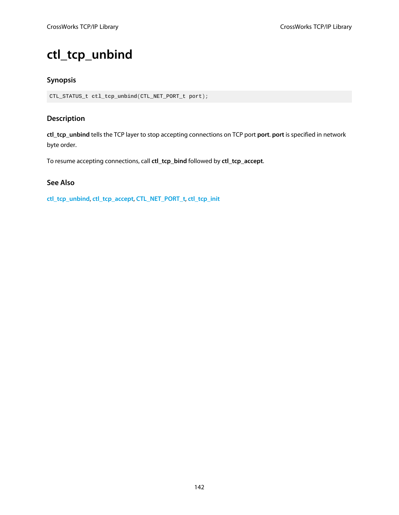# <span id="page-141-0"></span>**ctl\_tcp\_unbind**

## **Synopsis**

CTL\_STATUS\_t **ctl\_tcp\_unbind**(CTL\_NET\_PORT\_t port);

## **Description**

**ctl\_tcp\_unbind** tells the TCP layer to stop accepting connections on TCP port **port**. **port** is specified in network byte order.

To resume accepting connections, call **ctl\_tcp\_bind** followed by **ctl\_tcp\_accept**.

## **See Also**

**[ctl\\_tcp\\_unbind](#page-141-0)**, **[ctl\\_tcp\\_accept](#page-116-0)**, **[CTL\\_NET\\_PORT\\_t](#page-45-0)**, **[ctl\\_tcp\\_init](#page-130-0)**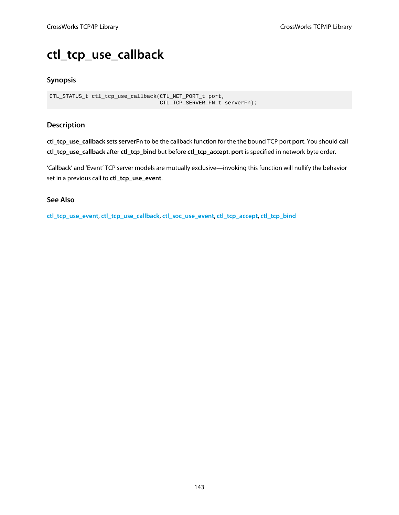# <span id="page-142-0"></span>**ctl\_tcp\_use\_callback**

## **Synopsis**

```
CTL_STATUS_t ctl_tcp_use_callback(CTL_NET_PORT_t port,
                                  CTL_TCP_SERVER_FN_t serverFn);
```
## **Description**

**ctl\_tcp\_use\_callback** sets **serverFn** to be the callback function for the the bound TCP port **port**. You should call **ctl\_tcp\_use\_callback** after **ctl\_tcp\_bind** but before **ctl\_tcp\_accept**. **port** is specified in network byte order.

'Callback' and 'Event' TCP server models are mutually exclusive—invoking this function will nullify the behavior set in a previous call to **ctl\_tcp\_use\_event**.

### **See Also**

**[ctl\\_tcp\\_use\\_event](#page-143-0)**, **[ctl\\_tcp\\_use\\_callback](#page-142-0)**, **[ctl\\_soc\\_use\\_event](#page-115-0)**, **[ctl\\_tcp\\_accept](#page-116-0)**, **[ctl\\_tcp\\_bind](#page-117-0)**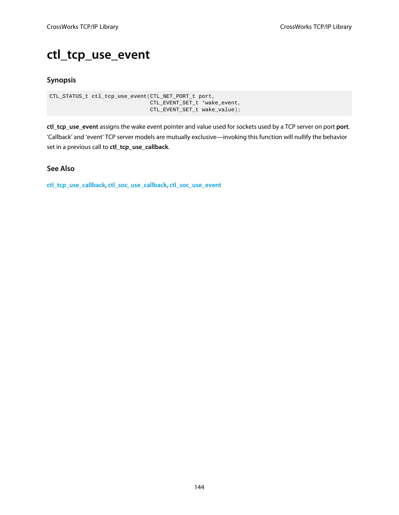# <span id="page-143-0"></span>**ctl\_tcp\_use\_event**

## **Synopsis**

```
CTL_STATUS_t ctl_tcp_use_event(CTL_NET_PORT_t port,
CTL_EVENT_SET_t *wake_event,
                        CTL_EVENT_SET_t wake_value);
```
**ctl\_tcp\_use\_event** assigns the wake event pointer and value used for sockets used by a TCP server on port **port**. 'Callback' and 'event' TCP server models are mutually exclusive—invoking this function will nullify the behavior set in a previous call to **ctl\_tcp\_use\_callback**.

## **See Also**

**[ctl\\_tcp\\_use\\_callback](#page-142-0)**, **[ctl\\_soc\\_use\\_callback](#page-114-0)**, **[ctl\\_soc\\_use\\_event](#page-115-0)**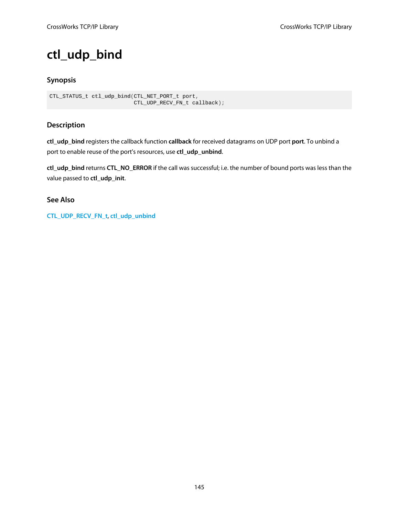# <span id="page-144-0"></span>**ctl\_udp\_bind**

## **Synopsis**

```
CTL_STATUS_t ctl_udp_bind(CTL_NET_PORT_t port,
                           CTL_UDP_RECV_FN_t callback);
```
## **Description**

**ctl\_udp\_bind** registers the callback function **callback** for received datagrams on UDP port **port**. To unbind a port to enable reuse of the port's resources, use **ctl\_udp\_unbind**.

**ctl\_udp\_bind** returns **CTL\_NO\_ERROR** if the call was successful; i.e. the number of bound ports was less than the value passed to **ctl\_udp\_init**.

### **See Also**

**CTL\_UDP\_RECV\_FN\_t**, **[ctl\\_udp\\_unbind](#page-147-0)**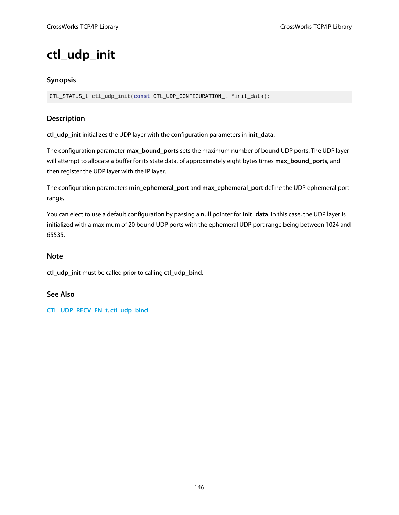# <span id="page-145-0"></span>**ctl\_udp\_init**

### **Synopsis**

CTL\_STATUS\_t **ctl\_udp\_init**(**const** CTL\_UDP\_CONFIGURATION\_t \*init\_data);

## **Description**

**ctl\_udp\_init** initializes the UDP layer with the configuration parameters in **init\_data**.

The configuration parameter **max\_bound\_ports** sets the maximum number of bound UDP ports. The UDP layer will attempt to allocate a buffer for its state data, of approximately eight bytes times **max\_bound\_ports**, and then register the UDP layer with the IP layer.

The configuration parameters **min\_ephemeral\_port** and **max\_ephemeral\_port** define the UDP ephemeral port range.

You can elect to use a default configuration by passing a null pointer for **init\_data**. In this case, the UDP layer is initialized with a maximum of 20 bound UDP ports with the ephemeral UDP port range being between 1024 and 65535.

### **Note**

**ctl\_udp\_init** must be called prior to calling **ctl\_udp\_bind**.

### **See Also**

**CTL\_UDP\_RECV\_FN\_t**, **[ctl\\_udp\\_bind](#page-144-0)**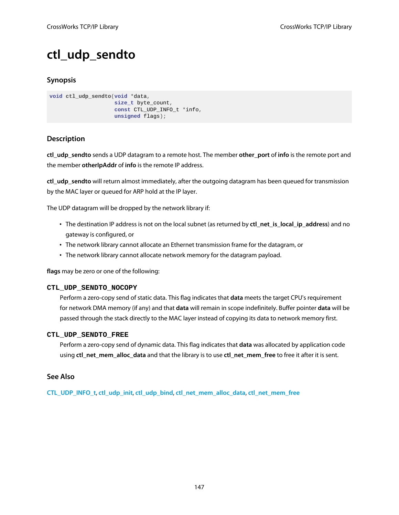# **ctl\_udp\_sendto**

### **Synopsis**

```
void ctl_udp_sendto(void *data,
                    size_t byte_count,
                    const CTL_UDP_INFO_t *info,
                     unsigned flags);
```
## **Description**

**ctl\_udp\_sendto** sends a UDP datagram to a remote host. The member **other\_port** of **info** is the remote port and the member **otherIpAddr** of **info** is the remote IP address.

**ctl\_udp\_sendto** will return almost immediately, after the outgoing datagram has been queued for transmission by the MAC layer or queued for ARP hold at the IP layer.

The UDP datagram will be dropped by the network library if:

- The destination IP address is not on the local subnet (as returned by **ctl\_net\_is\_local\_ip\_address**) and no gateway is configured, or
- The network library cannot allocate an Ethernet transmission frame for the datagram, or
- The network library cannot allocate network memory for the datagram payload.

**flags** may be zero or one of the following:

#### **CTL\_UDP\_SENDTO\_NOCOPY**

Perform a zero-copy send of static data. This flag indicates that **data** meets the target CPU's requirement for network DMA memory (if any) and that **data** will remain in scope indefinitely. Buffer pointer **data** will be passed through the stack directly to the MAC layer instead of copying its data to network memory first.

#### **CTL\_UDP\_SENDTO\_FREE**

Perform a zero-copy send of dynamic data. This flag indicates that **data** was allocated by application code using **ctl\_net\_mem\_alloc\_data** and that the library is to use **ctl\_net\_mem\_free** to free it after it is sent.

#### **See Also**

**[CTL\\_UDP\\_INFO\\_t](#page-57-0)**, **[ctl\\_udp\\_init](#page-145-0)**, **[ctl\\_udp\\_bind](#page-144-0)**, **[ctl\\_net\\_mem\\_alloc\\_data](#page-103-0)**, **[ctl\\_net\\_mem\\_free](#page-105-0)**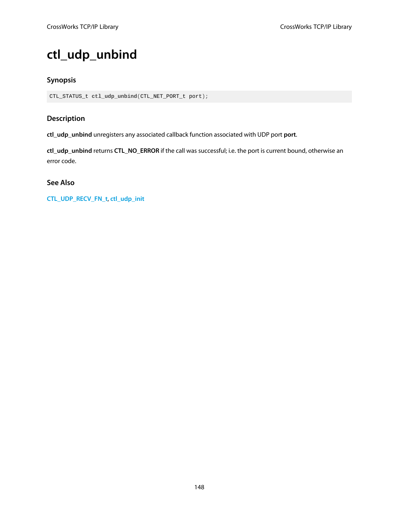# <span id="page-147-0"></span>**ctl\_udp\_unbind**

## **Synopsis**

CTL\_STATUS\_t **ctl\_udp\_unbind**(CTL\_NET\_PORT\_t port);

# **Description**

**ctl\_udp\_unbind** unregisters any associated callback function associated with UDP port **port**.

**ctl\_udp\_unbind** returns **CTL\_NO\_ERROR** if the call was successful; i.e. the port is current bound, otherwise an error code.

## **See Also**

**CTL\_UDP\_RECV\_FN\_t**, **[ctl\\_udp\\_init](#page-145-0)**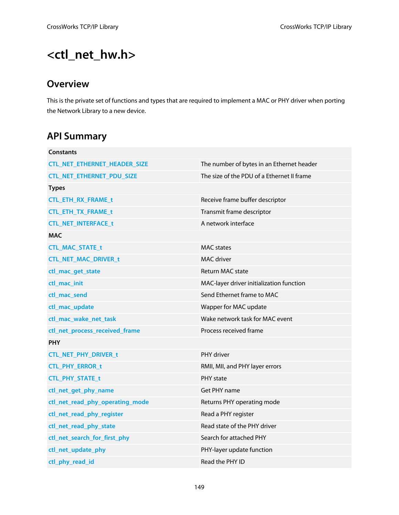# **<ctl\_net\_hw.h>**

# **Overview**

This is the private set of functions and types that are required to implement a MAC or PHY driver when porting the Network Library to a new device.

# **API Summary**

| <b>Constants</b>                 |                                            |
|----------------------------------|--------------------------------------------|
| CTL_NET_ETHERNET_HEADER_SIZE     | The number of bytes in an Ethernet header  |
| <b>CTL_NET_ETHERNET_PDU_SIZE</b> | The size of the PDU of a Ethernet II frame |
| <b>Types</b>                     |                                            |
| <b>CTL_ETH_RX_FRAME_t</b>        | Receive frame buffer descriptor            |
| CTL_ETH_TX_FRAME_t               | Transmit frame descriptor                  |
| <b>CTL_NET_INTERFACE_t</b>       | A network interface                        |
| <b>MAC</b>                       |                                            |
| <b>CTL_MAC_STATE_t</b>           | <b>MAC</b> states                          |
| <b>CTL_NET_MAC_DRIVER_t</b>      | <b>MAC</b> driver                          |
| ctl_mac_get_state                | Return MAC state                           |
| ctl_mac_init                     | MAC-layer driver initialization function   |
| ctl_mac_send                     | Send Ethernet frame to MAC                 |
| ctl_mac_update                   | Wapper for MAC update                      |
| ctl_mac_wake_net_task            | Wake network task for MAC event            |
| ctl_net_process_received_frame   | Process received frame                     |
| <b>PHY</b>                       |                                            |
| <b>CTL_NET_PHY_DRIVER_t</b>      | PHY driver                                 |
| <b>CTL_PHY_ERROR_t</b>           | RMII, MII, and PHY layer errors            |
| CTL_PHY_STATE_t                  | PHY state                                  |
| ctl_net_get_phy_name             | Get PHY name                               |
| ctl_net_read_phy_operating_mode  | Returns PHY operating mode                 |
| ctl_net_read_phy_register        | Read a PHY register                        |
| ctl_net_read_phy_state           | Read state of the PHY driver               |
| ctl_net_search_for_first_phy     | Search for attached PHY                    |
| ctl_net_update_phy               | PHY-layer update function                  |
| ctl_phy_read_id                  | Read the PHY ID                            |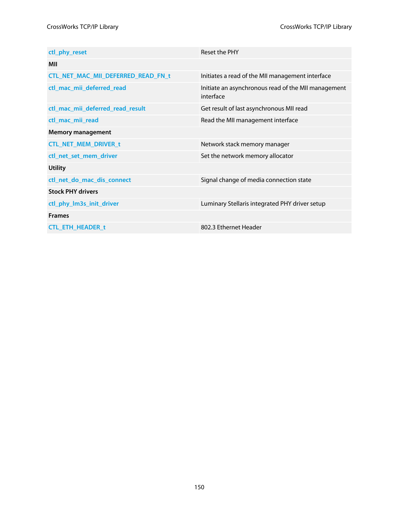| ctl_phy_reset                      | <b>Reset the PHY</b>                                             |
|------------------------------------|------------------------------------------------------------------|
| MIL                                |                                                                  |
| CTL_NET_MAC_MII_DEFERRED_READ_FN_t | Initiates a read of the MII management interface                 |
| ctl_mac_mii_deferred_read          | Initiate an asynchronous read of the MII management<br>interface |
| ctl_mac_mii_deferred_read_result   | Get result of last asynchronous MII read                         |
| ctl_mac_mii_read                   | Read the MII management interface                                |
| <b>Memory management</b>           |                                                                  |
| <b>CTL_NET_MEM_DRIVER_t</b>        | Network stack memory manager                                     |
| ctl_net_set_mem_driver             | Set the network memory allocator                                 |
| <b>Utility</b>                     |                                                                  |
| ctl_net_do_mac_dis_connect         | Signal change of media connection state                          |
| <b>Stock PHY drivers</b>           |                                                                  |
| ctl_phy_lm3s_init_driver           | Luminary Stellaris integrated PHY driver setup                   |
| <b>Frames</b>                      |                                                                  |
| <b>CTL_ETH_HEADER_t</b>            | 802.3 Ethernet Header                                            |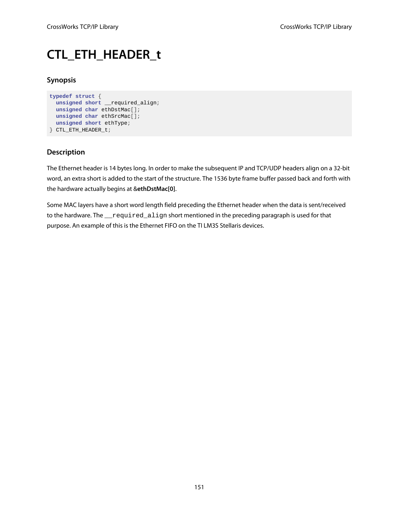# <span id="page-150-0"></span>**CTL\_ETH\_HEADER\_t**

## **Synopsis**

```
typedef struct {
   unsigned short __required_align;
  unsigned char ethDstMac[];
  unsigned char ethSrcMac[];
  unsigned short ethType;
} CTL_ETH_HEADER_t;
```
# **Description**

The Ethernet header is 14 bytes long. In order to make the subsequent IP and TCP/UDP headers align on a 32-bit word, an extra short is added to the start of the structure. The 1536 byte frame buffer passed back and forth with the hardware actually begins at &**ethDstMac[0]**.

Some MAC layers have a short word length field preceding the Ethernet header when the data is sent/received to the hardware. The *required\_align short mentioned in the preceding paragraph is used for that* purpose. An example of this is the Ethernet FIFO on the TI LM3S Stellaris devices.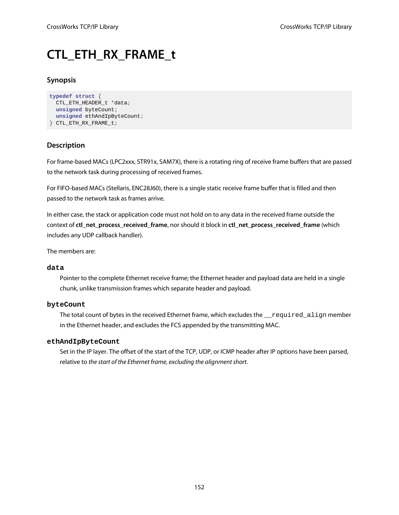# <span id="page-151-0"></span>**CTL\_ETH\_RX\_FRAME\_t**

## **Synopsis**

```
typedef struct {
   CTL_ETH_HEADER_t *data;
   unsigned byteCount;
   unsigned ethAndIpByteCount;
} CTL_ETH_RX_FRAME_t;
```
# **Description**

For frame-based MACs (LPC2xxx, STR91x, SAM7X), there is a rotating ring of receive frame buffers that are passed to the network task during processing of received frames.

For FIFO-based MACs (Stellaris, ENC28J60), there is a single static receive frame buffer that is filled and then passed to the network task as frames arrive.

In either case, the stack or application code must not hold on to any data in the received frame outside the context of **ctl\_net\_process\_received\_frame**, nor should it block in **ctl\_net\_process\_received\_frame** (which includes any UDP callback handler).

The members are:

#### **data**

Pointer to the complete Ethernet receive frame; the Ethernet header and payload data are held in a single chunk, unlike transmission frames which separate header and payload.

#### **byteCount**

The total count of bytes in the received Ethernet frame, which excludes the *required* align member in the Ethernet header, and excludes the FCS appended by the transmitting MAC.

#### **ethAndIpByteCount**

Set in the IP layer. The offset of the start of the TCP, UDP, or ICMP header after IP options have been parsed, relative to *the start of the Ethernet frame, excluding the alignment short*.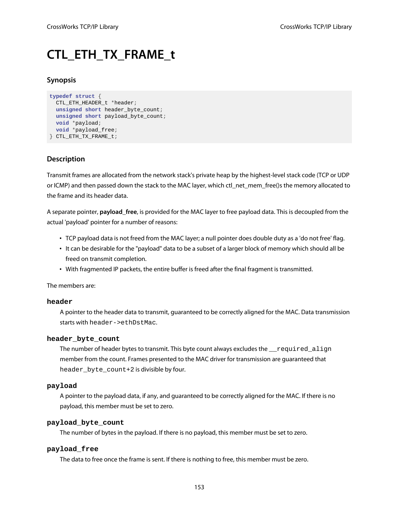# <span id="page-152-0"></span>**CTL\_ETH\_TX\_FRAME\_t**

### **Synopsis**

```
typedef struct {
   CTL_ETH_HEADER_t *header;
   unsigned short header_byte_count;
  unsigned short payload_byte_count;
  void *payload;
   void *payload_free;
} CTL_ETH_TX_FRAME_t;
```
## **Description**

Transmit frames are allocated from the network stack's private heap by the highest-level stack code (TCP or UDP or ICMP) and then passed down the stack to the MAC layer, which ctl\_net\_mem\_free()s the memory allocated to the frame and its header data.

A separate pointer, **payload\_free**, is provided for the MAC layer to free payload data. This is decoupled from the actual 'payload' pointer for a number of reasons:

- TCP payload data is not freed from the MAC layer; a null pointer does double duty as a 'do not free' flag.
- It can be desirable for the "payload" data to be a subset of a larger block of memory which should all be freed on transmit completion.
- With fragmented IP packets, the entire buffer is freed after the final fragment is transmitted.

The members are:

#### **header**

A pointer to the header data to transmit, guaranteed to be correctly aligned for the MAC. Data transmission starts with header->ethDstMac.

#### **header\_byte\_count**

The number of header bytes to transmit. This byte count always excludes the  $\epsilon$  required align member from the count. Frames presented to the MAC driver for transmission are guaranteed that header byte count+2 is divisible by four.

#### **payload**

A pointer to the payload data, if any, and guaranteed to be correctly aligned for the MAC. If there is no payload, this member must be set to zero.

#### **payload\_byte\_count**

The number of bytes in the payload. If there is no payload, this member must be set to zero.

#### **payload\_free**

The data to free once the frame is sent. If there is nothing to free, this member must be zero.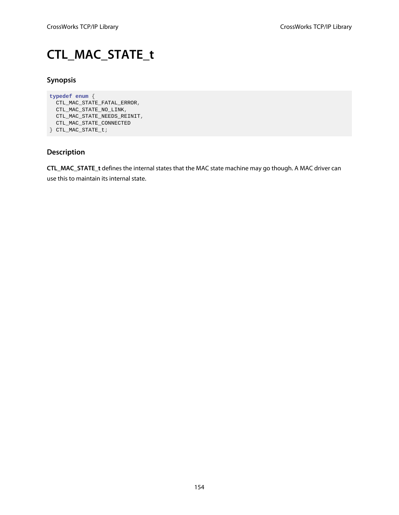# <span id="page-153-0"></span>**CTL\_MAC\_STATE\_t**

## **Synopsis**

```
typedef enum {
  CTL_MAC_STATE_FATAL_ERROR,
  CTL_MAC_STATE_NO_LINK,
  CTL_MAC_STATE_NEEDS_REINIT,
  CTL_MAC_STATE_CONNECTED
} CTL_MAC_STATE_t;
```
# **Description**

**CTL\_MAC\_STATE\_t** defines the internal states that the MAC state machine may go though. A MAC driver can use this to maintain its internal state.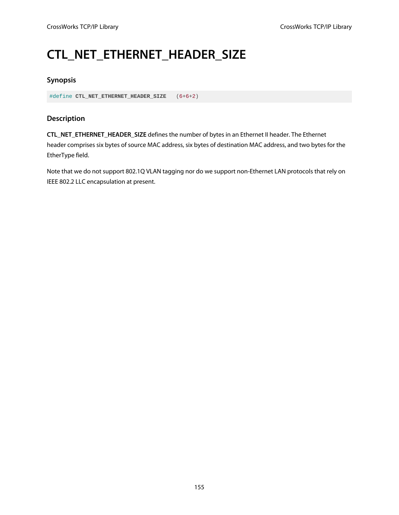# <span id="page-154-0"></span>**CTL\_NET\_ETHERNET\_HEADER\_SIZE**

### **Synopsis**

#define **CTL\_NET\_ETHERNET\_HEADER\_SIZE** (6+6+2)

# **Description**

**CTL\_NET\_ETHERNET\_HEADER\_SIZE** defines the number of bytes in an Ethernet II header. The Ethernet header comprises six bytes of source MAC address, six bytes of destination MAC address, and two bytes for the EtherType field.

Note that we do not support 802.1Q VLAN tagging nor do we support non-Ethernet LAN protocols that rely on IEEE 802.2 LLC encapsulation at present.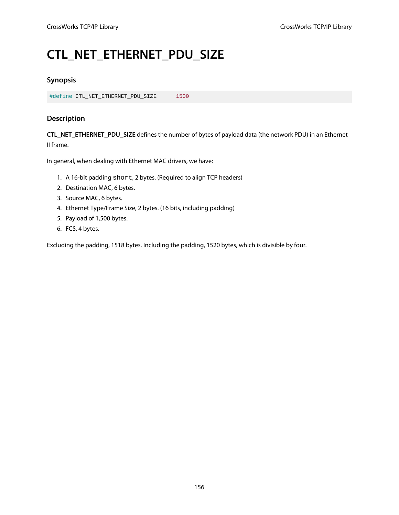# <span id="page-155-0"></span>**CTL\_NET\_ETHERNET\_PDU\_SIZE**

### **Synopsis**

#define CTL\_NET\_ETHERNET\_PDU\_SIZE 1500

### **Description**

**CTL\_NET\_ETHERNET\_PDU\_SIZE** defines the number of bytes of payload data (the network PDU) in an Ethernet II frame.

In general, when dealing with Ethernet MAC drivers, we have:

- 1. A 16-bit padding short, 2 bytes. (Required to align TCP headers)
- 2. Destination MAC, 6 bytes.
- 3. Source MAC, 6 bytes.
- 4. Ethernet Type/Frame Size, 2 bytes. (16 bits, including padding)
- 5. Payload of 1,500 bytes.
- 6. FCS, 4 bytes.

Excluding the padding, 1518 bytes. Including the padding, 1520 bytes, which is divisible by four.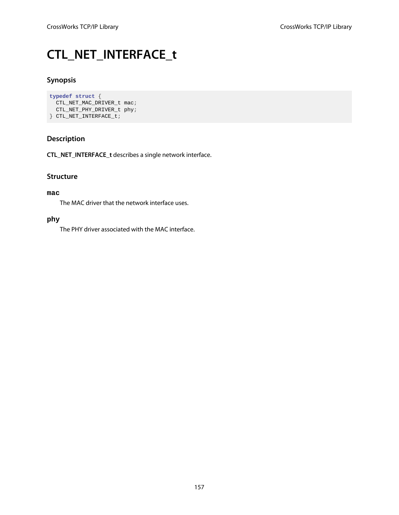# <span id="page-156-0"></span>**CTL\_NET\_INTERFACE\_t**

### **Synopsis**

```
typedef struct {
  CTL_NET_MAC_DRIVER_t mac;
  CTL_NET_PHY_DRIVER_t phy;
} CTL_NET_INTERFACE_t;
```
### **Description**

**CTL\_NET\_INTERFACE\_t** describes a single network interface.

#### **Structure**

#### **mac**

The MAC driver that the network interface uses.

#### **phy**

The PHY driver associated with the MAC interface.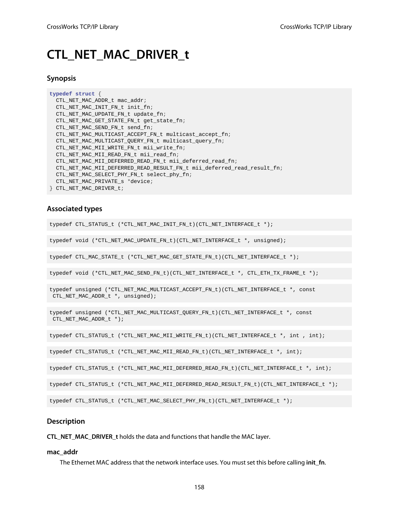# <span id="page-157-0"></span>**CTL\_NET\_MAC\_DRIVER\_t**

#### **Synopsis**

```
typedef struct {
  CTL_NET_MAC_ADDR_t mac_addr;
  CTL_NET_MAC_INIT_FN_t init_fn;
  CTL_NET_MAC_UPDATE_FN_t update_fn;
  CTL_NET_MAC_GET_STATE_FN_t get_state_fn;
  CTL_NET_MAC_SEND_FN_t send_fn;
  CTL_NET_MAC_MULTICAST_ACCEPT_FN_t multicast_accept_fn;
  CTL_NET_MAC_MULTICAST_QUERY_FN_t multicast_query_fn;
  CTL_NET_MAC_MII_WRITE_FN_t mii_write_fn;
  CTL_NET_MAC_MII_READ_FN_t mii_read_fn;
  CTL_NET_MAC_MII_DEFERRED_READ_FN_t mii_deferred_read_fn;
   CTL_NET_MAC_MII_DEFERRED_READ_RESULT_FN_t mii_deferred_read_result_fn;
   CTL_NET_MAC_SELECT_PHY_FN_t select_phy_fn;
  CTL_NET_MAC_PRIVATE_s *device;
} CTL_NET_MAC_DRIVER_t;
```
#### **Associated types**

typedef CTL\_STATUS\_t (\*CTL\_NET\_MAC\_INIT\_FN\_t)(CTL\_NET\_INTERFACE\_t \*);

typedef void (\*CTL\_NET\_MAC\_UPDATE\_FN\_t)(CTL\_NET\_INTERFACE\_t \*, unsigned);

typedef CTL\_MAC\_STATE\_t (\*CTL\_NET\_MAC\_GET\_STATE\_FN\_t)(CTL\_NET\_INTERFACE\_t \*);

typedef void (\*CTL\_NET\_MAC\_SEND\_FN\_t)(CTL\_NET\_INTERFACE\_t \*, CTL\_ETH\_TX\_FRAME\_t \*);

```
typedef unsigned (*CTL_NET_MAC_MULTICAST_ACCEPT_FN_t)(CTL_NET_INTERFACE_t *, const
 CTL_NET_MAC_ADDR_t *, unsigned);
```

```
typedef unsigned (*CTL_NET_MAC_MULTICAST_OUERY_FN_t)(CTL_NET_INTERFACE_t *, const
 CTL_NET_MAC_ADDR_t *);
```
typedef CTL\_STATUS\_t (\*CTL\_NET\_MAC\_MII\_WRITE\_FN\_t)(CTL\_NET\_INTERFACE\_t \*, int , int);

```
typedef CTL_STATUS_t (*CTL_NET_MAC_MII_READ_FN_t)(CTL_NET_INTERFACE_t *, int);
```
typedef CTL\_STATUS\_t (\*CTL\_NET\_MAC\_MII\_DEFERRED\_READ\_FN\_t)(CTL\_NET\_INTERFACE\_t \*, int);

```
typedef CTL_STATUS_t (*CTL_NET_MAC_MII_DEFERRED_READ_RESULT_FN_t)(CTL_NET_INTERFACE_t *);
```
typedef CTL\_STATUS\_t (\*CTL\_NET\_MAC\_SELECT\_PHY\_FN\_t)(CTL\_NET\_INTERFACE\_t \*);

#### **Description**

#### **CTL\_NET\_MAC\_DRIVER\_t** holds the data and functions that handle the MAC layer.

#### **mac\_addr**

The Ethernet MAC address that the network interface uses. You must set this before calling **init\_fn**.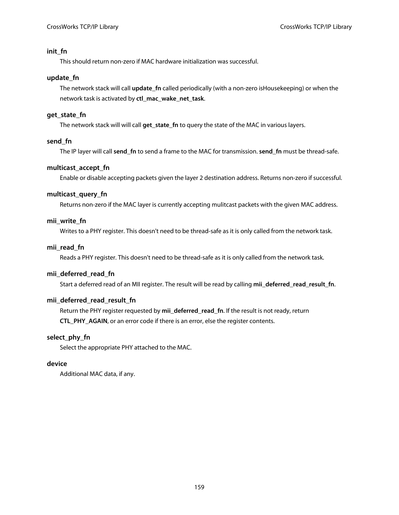#### **init\_fn**

This should return non-zero if MAC hardware initialization was successful.

#### **update\_fn**

The network stack will call **update\_fn** called periodically (with a non-zero isHousekeeping) or when the network task is activated by **ctl\_mac\_wake\_net\_task**.

#### **get\_state\_fn**

The network stack will will call **get\_state\_fn** to query the state of the MAC in various layers.

#### **send\_fn**

The IP layer will call **send\_fn** to send a frame to the MAC for transmission. **send\_fn** must be thread-safe.

#### **multicast\_accept\_fn**

Enable or disable accepting packets given the layer 2 destination address. Returns non-zero if successful.

#### **multicast\_query\_fn**

Returns non-zero if the MAC layer is currently accepting mulitcast packets with the given MAC address.

#### **mii\_write\_fn**

Writes to a PHY register. This doesn't need to be thread-safe as it is only called from the network task.

#### **mii\_read\_fn**

Reads a PHY register. This doesn't need to be thread-safe as it is only called from the network task.

#### **mii\_deferred\_read\_fn**

Start a deferred read of an MII register. The result will be read by calling **mii\_deferred\_read\_result\_fn**.

#### **mii\_deferred\_read\_result\_fn**

Return the PHY register requested by **mii\_deferred\_read\_fn**. If the result is not ready, return **CTL\_PHY\_AGAIN**, or an error code if there is an error, else the register contents.

#### **select\_phy\_fn**

Select the appropriate PHY attached to the MAC.

#### **device**

Additional MAC data, if any.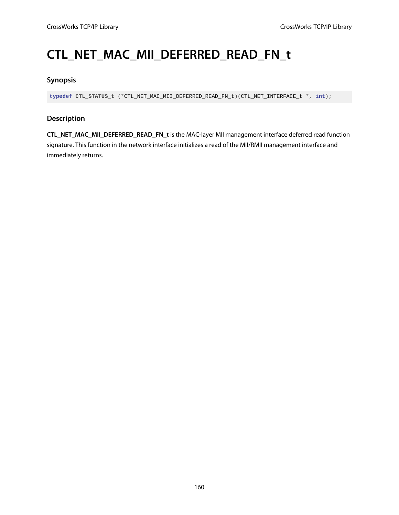# <span id="page-159-0"></span>**CTL\_NET\_MAC\_MII\_DEFERRED\_READ\_FN\_t**

### **Synopsis**

**typedef CTL\_STATUS\_t** (\*CTL\_NET\_MAC\_MII\_DEFERRED\_READ\_FN\_t)(CTL\_NET\_INTERFACE\_t \*, **int**);

## **Description**

**CTL\_NET\_MAC\_MII\_DEFERRED\_READ\_FN\_t** is the MAC-layer MII management interface deferred read function signature. This function in the network interface initializes a read of the MII/RMII management interface and immediately returns.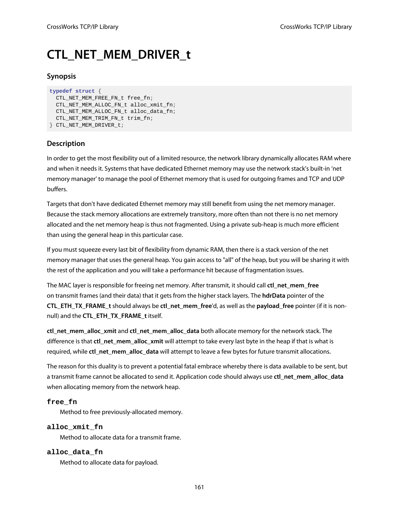# <span id="page-160-0"></span>**CTL\_NET\_MEM\_DRIVER\_t**

#### **Synopsis**

```
typedef struct {
 CTL NET MEM FREE FN t free fn;
   CTL_NET_MEM_ALLOC_FN_t alloc_xmit_fn;
  CTL_NET_MEM_ALLOC_FN_t alloc_data_fn;
   CTL_NET_MEM_TRIM_FN_t trim_fn;
} CTL_NET_MEM_DRIVER_t;
```
### **Description**

In order to get the most flexibility out of a limited resource, the network library dynamically allocates RAM where and when it needs it. Systems that have dedicated Ethernet memory may use the network stack's built-in 'net memory manager' to manage the pool of Ethernet memory that is used for outgoing frames and TCP and UDP buffers.

Targets that don't have dedicated Ethernet memory may still benefit from using the net memory manager. Because the stack memory allocations are extremely transitory, more often than not there is no net memory allocated and the net memory heap is thus not fragmented. Using a private sub-heap is much more efficient than using the general heap in this particular case.

If you must squeeze every last bit of flexibility from dynamic RAM, then there is a stack version of the net memory manager that uses the general heap. You gain access to "all" of the heap, but you will be sharing it with the rest of the application and you will take a performance hit because of fragmentation issues.

The MAC layer is responsible for freeing net memory. After transmit, it should call **ctl\_net\_mem\_free** on transmit frames (and their data) that it gets from the higher stack layers. The **hdrData** pointer of the **CTL\_ETH\_TX\_FRAME\_t** should always be **ctl\_net\_mem\_free**'d, as well as the **payload\_free** pointer (if it is nonnull) and the **CTL\_ETH\_TX\_FRAME\_t** itself.

**ctl\_net\_mem\_alloc\_xmit** and **ctl\_net\_mem\_alloc\_data** both allocate memory for the network stack. The difference is that ctl net mem alloc xmit will attempt to take every last byte in the heap if that is what is required, while ctl net mem alloc data will attempt to leave a few bytes for future transmit allocations.

The reason for this duality is to prevent a potential fatal embrace whereby there is data available to be sent, but a transmit frame cannot be allocated to send it. Application code should always use ctl net mem alloc data when allocating memory from the network heap.

#### **free\_fn**

Method to free previously-allocated memory.

#### **alloc\_xmit\_fn**

Method to allocate data for a transmit frame.

#### **alloc\_data\_fn**

Method to allocate data for payload.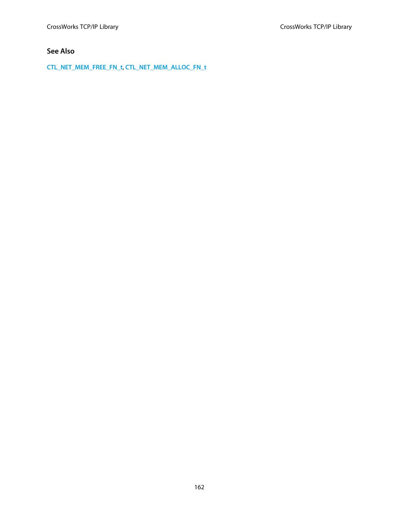# **See Also**

**CTL\_NET\_MEM\_FREE\_FN\_t**, **CTL\_NET\_MEM\_ALLOC\_FN\_t**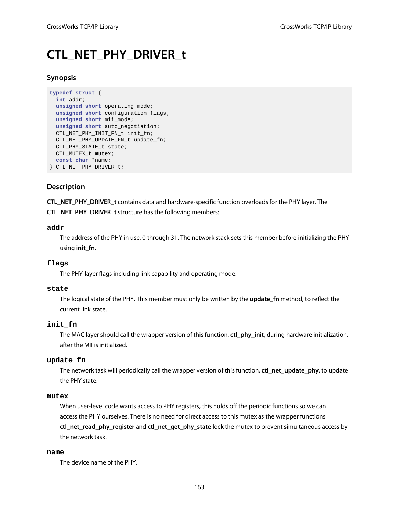# <span id="page-162-0"></span>**CTL\_NET\_PHY\_DRIVER\_t**

### **Synopsis**

```
typedef struct {
   int addr;
  unsigned short operating_mode;
  unsigned short configuration_flags;
  unsigned short mii_mode;
  unsigned short auto_negotiation;
  CTL_NET_PHY_INIT_FN_t init_fn;
  CTL_NET_PHY_UPDATE_FN_t update_fn;
  CTL_PHY_STATE_t state;
  CTL_MUTEX_t mutex;
  const char *name;
} CTL_NET_PHY_DRIVER_t;
```
## **Description**

**CTL\_NET\_PHY\_DRIVER\_t** contains data and hardware-specific function overloads for the PHY layer. The **CTL\_NET\_PHY\_DRIVER\_t** structure has the following members:

#### **addr**

The address of the PHY in use, 0 through 31. The network stack sets this member before initializing the PHY using **init\_fn**.

#### **flags**

The PHY-layer flags including link capability and operating mode.

#### **state**

The logical state of the PHY. This member must only be written by the **update\_fn** method, to reflect the current link state.

#### **init\_fn**

The MAC layer should call the wrapper version of this function, **ctl\_phy\_init**, during hardware initialization, after the MII is initialized.

#### **update\_fn**

The network task will periodically call the wrapper version of this function, **ctl\_net\_update\_phy**, to update the PHY state.

#### **mutex**

When user-level code wants access to PHY registers, this holds off the periodic functions so we can access the PHY ourselves. There is no need for direct access to this mutex as the wrapper functions

**ctl\_net\_read\_phy\_register** and **ctl\_net\_get\_phy\_state** lock the mutex to prevent simultaneous access by the network task.

#### **name**

The device name of the PHY.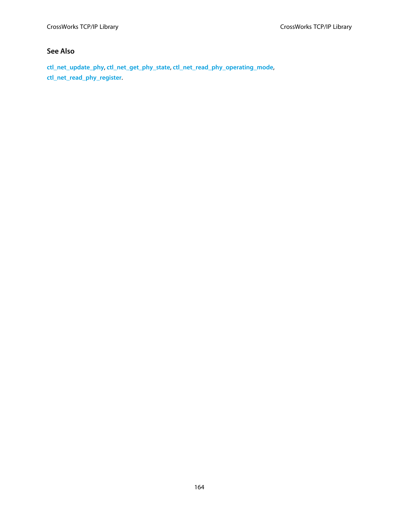# **See Also**

**[ctl\\_net\\_update\\_phy](#page-182-0)**, **ctl\_net\_get\_phy\_state**, **[ctl\\_net\\_read\\_phy\\_operating\\_mode](#page-177-0)**, **[ctl\\_net\\_read\\_phy\\_register](#page-178-0)**.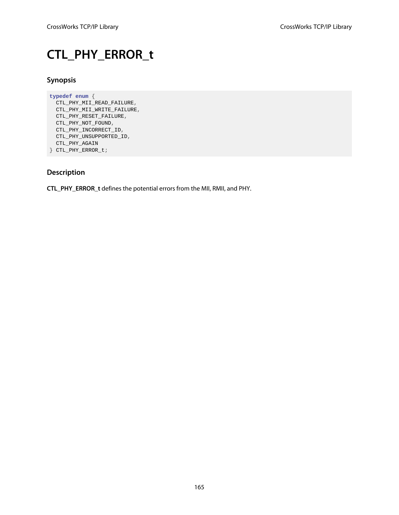# <span id="page-164-0"></span>**CTL\_PHY\_ERROR\_t**

### **Synopsis**

**typedef enum** { CTL\_PHY\_MII\_READ\_FAILURE, CTL\_PHY\_MII\_WRITE\_FAILURE, CTL\_PHY\_RESET\_FAILURE, CTL\_PHY\_NOT\_FOUND, CTL\_PHY\_INCORRECT\_ID, CTL\_PHY\_UNSUPPORTED\_ID, CTL\_PHY\_AGAIN } CTL\_PHY\_ERROR\_t;

# **Description**

**CTL\_PHY\_ERROR\_t** defines the potential errors from the MII, RMII, and PHY.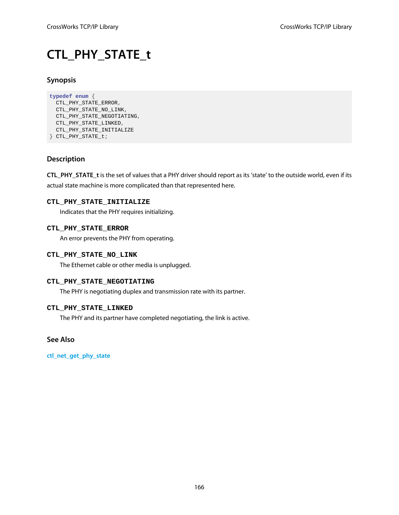# <span id="page-165-0"></span>**CTL\_PHY\_STATE\_t**

### **Synopsis**

```
typedef enum {
  CTL_PHY_STATE_ERROR,
  CTL_PHY_STATE_NO_LINK,
  CTL_PHY_STATE_NEGOTIATING,
  CTL_PHY_STATE_LINKED,
  CTL_PHY_STATE_INITIALIZE
} CTL_PHY_STATE_t;
```
## **Description**

**CTL\_PHY\_STATE\_t** is the set of values that a PHY driver should report as its 'state' to the outside world, even if its actual state machine is more complicated than that represented here.

#### **CTL\_PHY\_STATE\_INITIALIZE**

Indicates that the PHY requires initializing.

#### **CTL\_PHY\_STATE\_ERROR**

An error prevents the PHY from operating.

#### **CTL\_PHY\_STATE\_NO\_LINK**

The Ethernet cable or other media is unplugged.

#### **CTL\_PHY\_STATE\_NEGOTIATING**

The PHY is negotiating duplex and transmission rate with its partner.

#### **CTL\_PHY\_STATE\_LINKED**

The PHY and its partner have completed negotiating, the link is active.

### **See Also**

**ctl\_net\_get\_phy\_state**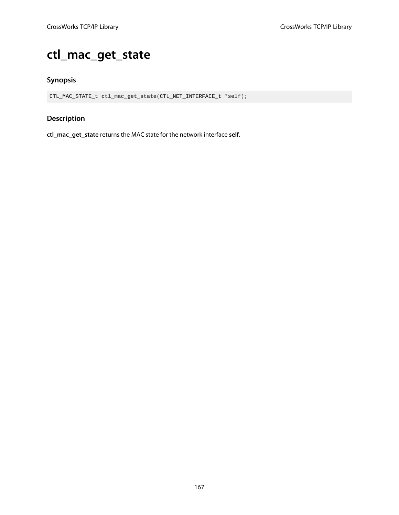# <span id="page-166-0"></span>**ctl\_mac\_get\_state**

# **Synopsis**

CTL\_MAC\_STATE\_t **ctl\_mac\_get\_state**(CTL\_NET\_INTERFACE\_t \*self);

# **Description**

**ctl\_mac\_get\_state** returns the MAC state for the network interface **self**.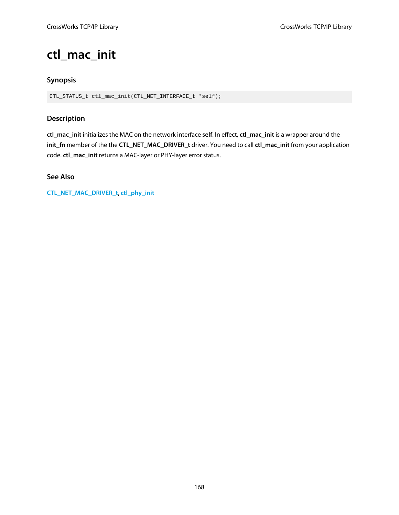# <span id="page-167-0"></span>**ctl\_mac\_init**

## **Synopsis**

CTL\_STATUS\_t **ctl\_mac\_init**(CTL\_NET\_INTERFACE\_t \*self);

# **Description**

**ctl\_mac\_init** initializes the MAC on the network interface **self**. In effect, **ctl\_mac\_init** is a wrapper around the **init\_fn** member of the the **CTL\_NET\_MAC\_DRIVER\_t** driver. You need to call **ctl\_mac\_init** from your application code. **ctl\_mac\_init** returns a MAC-layer or PHY-layer error status.

### **See Also**

**[CTL\\_NET\\_MAC\\_DRIVER\\_t](#page-157-0)**, **ctl\_phy\_init**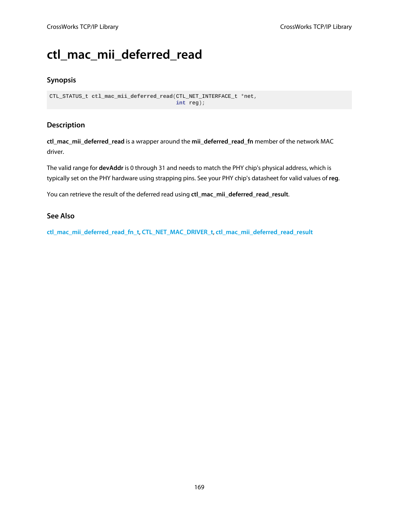# <span id="page-168-0"></span>**ctl\_mac\_mii\_deferred\_read**

### **Synopsis**

```
CTL_STATUS_t ctl_mac_mii_deferred_read(CTL_NET_INTERFACE_t *net,
                                         int reg);
```
### **Description**

**ctl\_mac\_mii\_deferred\_read** is a wrapper around the **mii\_deferred\_read\_fn** member of the network MAC driver.

The valid range for **devAddr** is 0 through 31 and needs to match the PHY chip's physical address, which is typically set on the PHY hardware using strapping pins. See your PHY chip's datasheet for valid values of **reg**.

You can retrieve the result of the deferred read using **ctl\_mac\_mii\_deferred\_read\_result**.

### **See Also**

**ctl\_mac\_mii\_deferred\_read\_fn\_t**, **[CTL\\_NET\\_MAC\\_DRIVER\\_t](#page-157-0)**, **[ctl\\_mac\\_mii\\_deferred\\_read\\_result](#page-169-0)**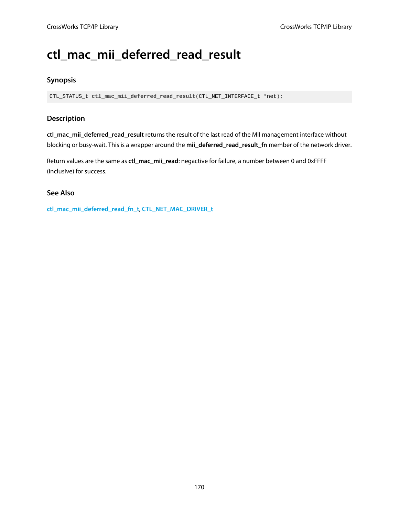# <span id="page-169-0"></span>**ctl\_mac\_mii\_deferred\_read\_result**

## **Synopsis**

CTL\_STATUS\_t **ctl\_mac\_mii\_deferred\_read\_result**(CTL\_NET\_INTERFACE\_t \*net);

### **Description**

**ctl\_mac\_mii\_deferred\_read\_result** returns the result of the last read of the MII management interface without blocking or busy-wait. This is a wrapper around the **mii\_deferred\_read\_result\_fn** member of the network driver.

Return values are the same as **ctl\_mac\_mii\_read**: negactive for failure, a number between 0 and 0xFFFF (inclusive) for success.

### **See Also**

**ctl\_mac\_mii\_deferred\_read\_fn\_t**, **[CTL\\_NET\\_MAC\\_DRIVER\\_t](#page-157-0)**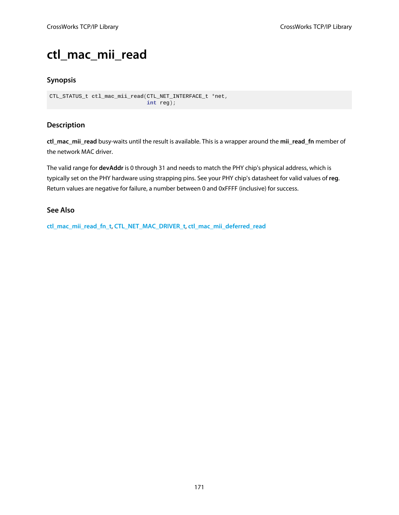# <span id="page-170-0"></span>**ctl\_mac\_mii\_read**

## **Synopsis**

```
CTL_STATUS_t ctl_mac_mii_read(CTL_NET_INTERFACE_t *net,
                               int reg);
```
## **Description**

**ctl\_mac\_mii\_read** busy-waits until the result is available. This is a wrapper around the **mii\_read\_fn** member of the network MAC driver.

The valid range for **devAddr** is 0 through 31 and needs to match the PHY chip's physical address, which is typically set on the PHY hardware using strapping pins. See your PHY chip's datasheet for valid values of **reg**. Return values are negative for failure, a number between 0 and 0xFFFF (inclusive) for success.

### **See Also**

**ctl\_mac\_mii\_read\_fn\_t**, **[CTL\\_NET\\_MAC\\_DRIVER\\_t](#page-157-0)**, **[ctl\\_mac\\_mii\\_deferred\\_read](#page-168-0)**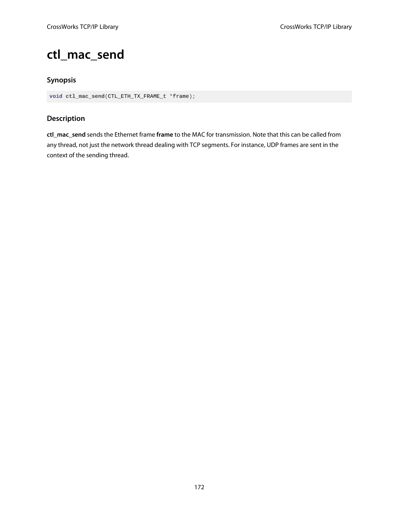# <span id="page-171-0"></span>**ctl\_mac\_send**

## **Synopsis**

**void ctl\_mac\_send**(CTL\_ETH\_TX\_FRAME\_t \*frame);

# **Description**

**ctl\_mac\_send** sends the Ethernet frame **frame** to the MAC for transmission. Note that this can be called from any thread, not just the network thread dealing with TCP segments. For instance, UDP frames are sent in the context of the sending thread.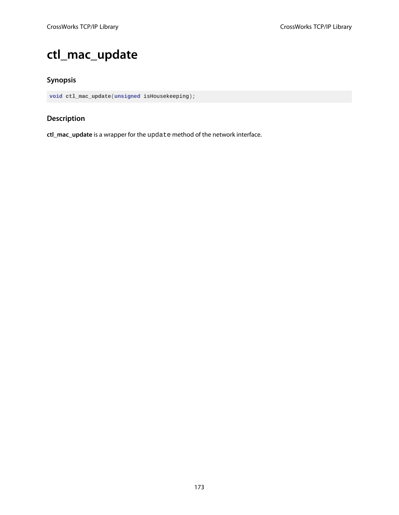# <span id="page-172-0"></span>**ctl\_mac\_update**

# **Synopsis**

**void ctl\_mac\_update**(**unsigned** isHousekeeping);

# **Description**

**ctl\_mac\_update** is a wrapper for the update method of the network interface.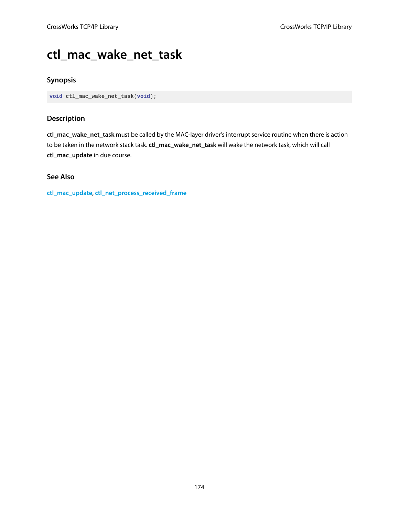# <span id="page-173-0"></span>**ctl\_mac\_wake\_net\_task**

## **Synopsis**

**void ctl\_mac\_wake\_net\_task**(**void**);

# **Description**

**ctl\_mac\_wake\_net\_task** must be called by the MAC-layer driver's interrupt service routine when there is action to be taken in the network stack task. **ctl\_mac\_wake\_net\_task** will wake the network task, which will call **ctl\_mac\_update** in due course.

### **See Also**

**[ctl\\_mac\\_update](#page-172-0)**, **[ctl\\_net\\_process\\_received\\_frame](#page-176-0)**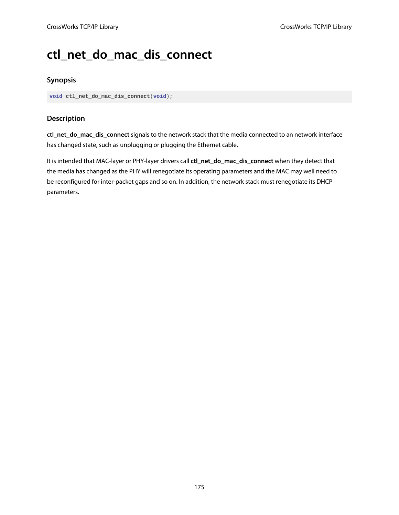# <span id="page-174-0"></span>**ctl\_net\_do\_mac\_dis\_connect**

### **Synopsis**

**void ctl\_net\_do\_mac\_dis\_connect**(**void**);

## **Description**

**ctl\_net\_do\_mac\_dis\_connect** signals to the network stack that the media connected to an network interface has changed state, such as unplugging or plugging the Ethernet cable.

It is intended that MAC-layer or PHY-layer drivers call **ctl\_net\_do\_mac\_dis\_connect** when they detect that the media has changed as the PHY will renegotiate its operating parameters and the MAC may well need to be reconfigured for inter-packet gaps and so on. In addition, the network stack must renegotiate its DHCP parameters.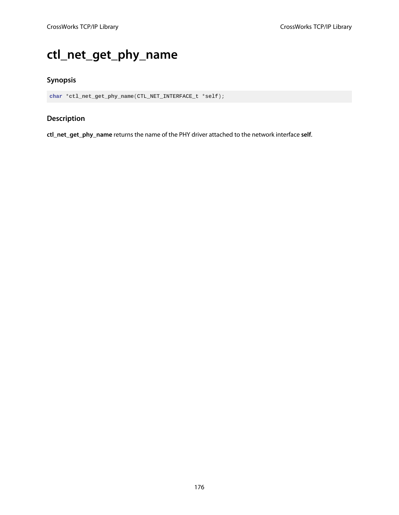# <span id="page-175-0"></span>**ctl\_net\_get\_phy\_name**

# **Synopsis**

**char** \***ctl\_net\_get\_phy\_name**(CTL\_NET\_INTERFACE\_t \*self);

# **Description**

**ctl\_net\_get\_phy\_name** returns the name of the PHY driver attached to the network interface **self**.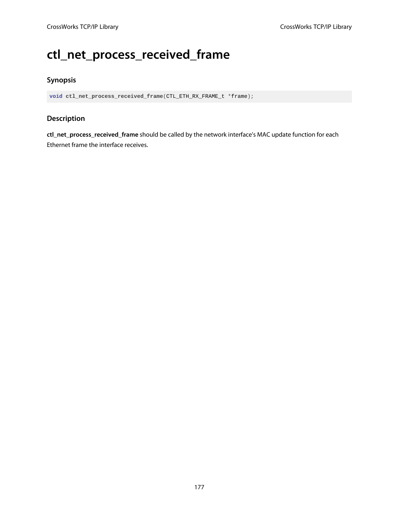# <span id="page-176-0"></span>**ctl\_net\_process\_received\_frame**

# **Synopsis**

**void ctl\_net\_process\_received\_frame**(CTL\_ETH\_RX\_FRAME\_t \*frame);

# **Description**

**ctl\_net\_process\_received\_frame** should be called by the network interface's MAC update function for each Ethernet frame the interface receives.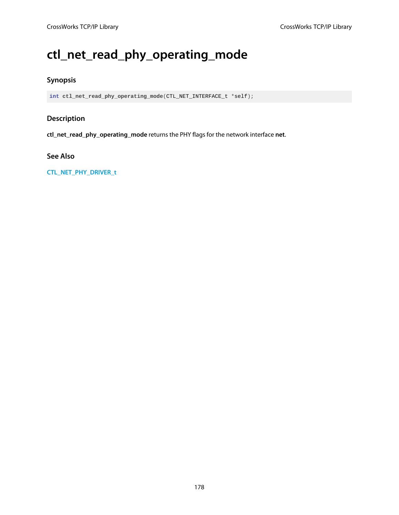# <span id="page-177-0"></span>**ctl\_net\_read\_phy\_operating\_mode**

# **Synopsis**

**int ctl\_net\_read\_phy\_operating\_mode**(CTL\_NET\_INTERFACE\_t \*self);

# **Description**

**ctl\_net\_read\_phy\_operating\_mode** returns the PHY flags for the network interface **net**.

## **See Also**

**[CTL\\_NET\\_PHY\\_DRIVER\\_t](#page-162-0)**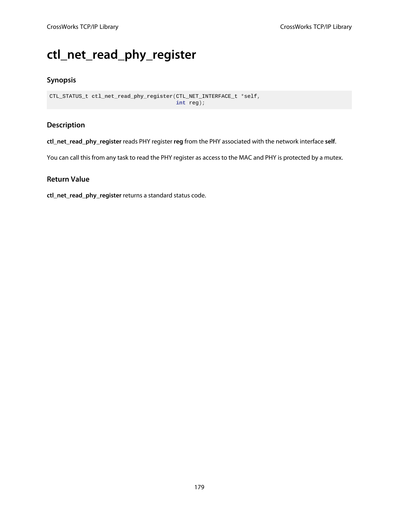# <span id="page-178-0"></span>**ctl\_net\_read\_phy\_register**

### **Synopsis**

```
CTL_STATUS_t ctl_net_read_phy_register(CTL_NET_INTERFACE_t *self,
                                        int reg);
```
## **Description**

**ctl\_net\_read\_phy\_register** reads PHY register **reg** from the PHY associated with the network interface **self**.

You can call this from any task to read the PHY register as access to the MAC and PHY is protected by a mutex.

### **Return Value**

**ctl\_net\_read\_phy\_register** returns a standard status code.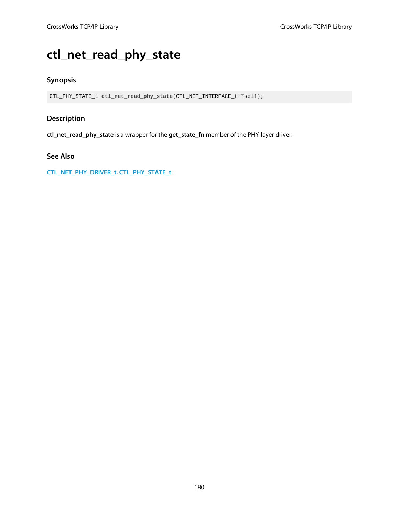# <span id="page-179-0"></span>**ctl\_net\_read\_phy\_state**

# **Synopsis**

CTL\_PHY\_STATE\_t **ctl\_net\_read\_phy\_state**(CTL\_NET\_INTERFACE\_t \*self);

## **Description**

**ctl\_net\_read\_phy\_state** is a wrapper for the **get\_state\_fn** member of the PHY-layer driver.

## **See Also**

**[CTL\\_NET\\_PHY\\_DRIVER\\_t](#page-162-0)**, **[CTL\\_PHY\\_STATE\\_t](#page-165-0)**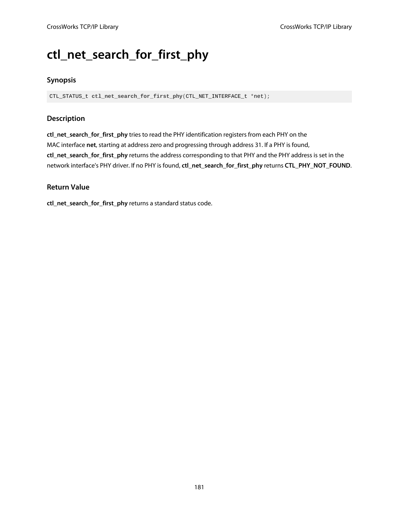# **ctl\_net\_search\_for\_first\_phy**

# **Synopsis**

CTL\_STATUS\_t **ctl\_net\_search\_for\_first\_phy**(CTL\_NET\_INTERFACE\_t \*net);

# **Description**

**ctl\_net\_search\_for\_first\_phy** tries to read the PHY identification registers from each PHY on the MAC interface **net**, starting at address zero and progressing through address 31. If a PHY is found, **ctl\_net\_search\_for\_first\_phy** returns the address corresponding to that PHY and the PHY address is set in the network interface's PHY driver. If no PHY is found, **ctl\_net\_search\_for\_first\_phy** returns **CTL\_PHY\_NOT\_FOUND**.

# **Return Value**

**ctl\_net\_search\_for\_first\_phy** returns a standard status code.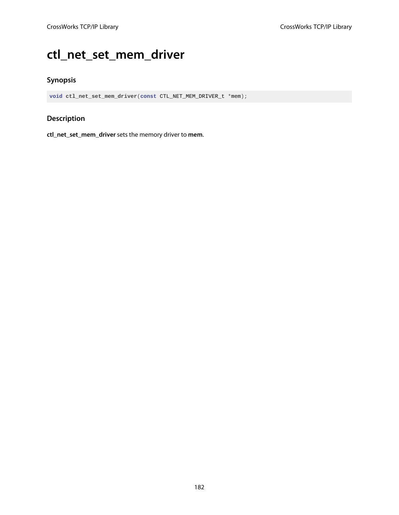# **ctl\_net\_set\_mem\_driver**

# **Synopsis**

**void ctl\_net\_set\_mem\_driver**(**const** CTL\_NET\_MEM\_DRIVER\_t \*mem);

# **Description**

**ctl\_net\_set\_mem\_driver** sets the memory driver to **mem**.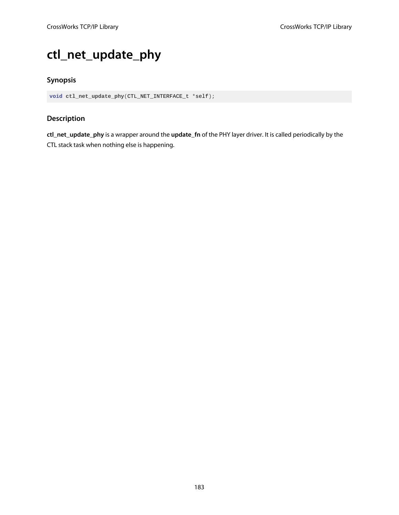# **ctl\_net\_update\_phy**

# **Synopsis**

**void ctl\_net\_update\_phy**(CTL\_NET\_INTERFACE\_t \*self);

# **Description**

**ctl\_net\_update\_phy** is a wrapper around the **update\_fn** of the PHY layer driver. It is called periodically by the CTL stack task when nothing else is happening.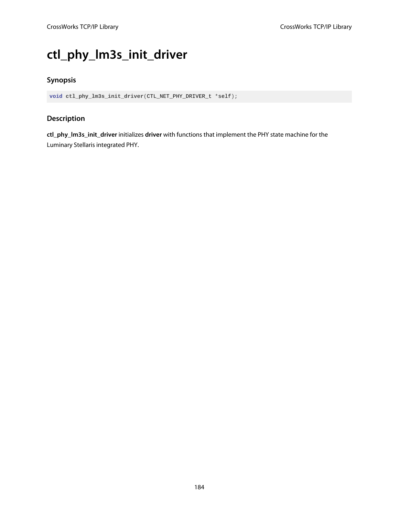# **ctl\_phy\_lm3s\_init\_driver**

## **Synopsis**

**void ctl\_phy\_lm3s\_init\_driver**(CTL\_NET\_PHY\_DRIVER\_t \*self);

# **Description**

**ctl\_phy\_lm3s\_init\_driver** initializes **driver** with functions that implement the PHY state machine for the Luminary Stellaris integrated PHY.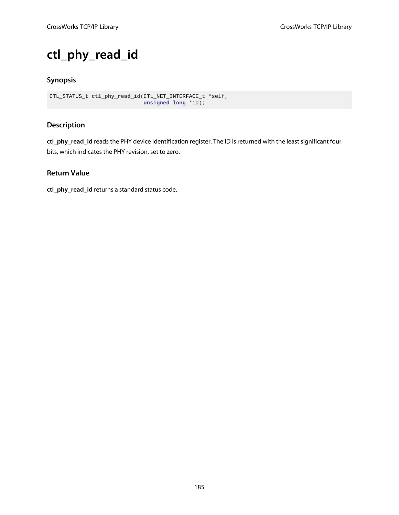# **ctl\_phy\_read\_id**

# **Synopsis**

```
CTL_STATUS_t ctl_phy_read_id(CTL_NET_INTERFACE_t *self,
                              unsigned long *id);
```
## **Description**

**ctl\_phy\_read\_id** reads the PHY device identification register. The ID is returned with the least significant four bits, which indicates the PHY revision, set to zero.

# **Return Value**

**ctl\_phy\_read\_id** returns a standard status code.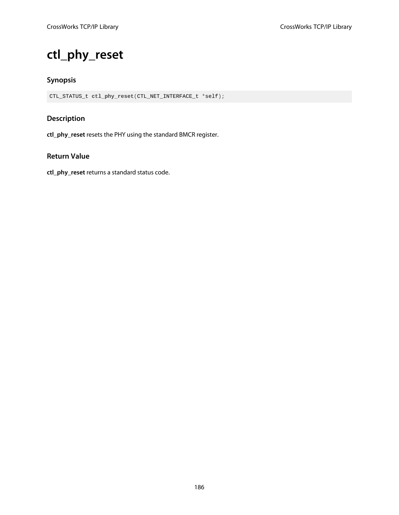# **ctl\_phy\_reset**

# **Synopsis**

CTL\_STATUS\_t **ctl\_phy\_reset**(CTL\_NET\_INTERFACE\_t \*self);

# **Description**

**ctl\_phy\_reset** resets the PHY using the standard BMCR register.

### **Return Value**

**ctl\_phy\_reset** returns a standard status code.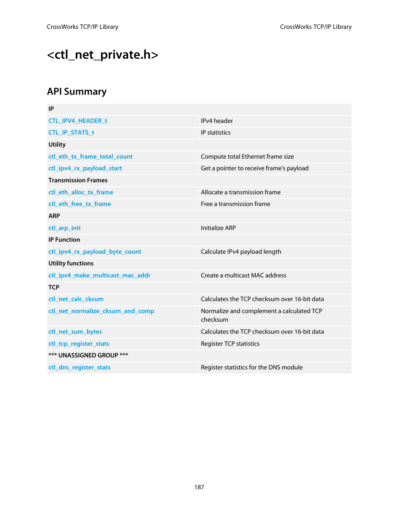# **<ctl\_net\_private.h>**

# **API Summary**

| IP                               |                                                       |
|----------------------------------|-------------------------------------------------------|
| <b>CTL_IPV4_HEADER_t</b>         | IPv4 header                                           |
| <b>CTL IP STATS t</b>            | <b>IP</b> statistics                                  |
| <b>Utility</b>                   |                                                       |
| ctl_eth_tx_frame_total_count     | Compute total Ethernet frame size                     |
| ctl_ipv4_rx_payload_start        | Get a pointer to receive frame's payload              |
| <b>Transmission Frames</b>       |                                                       |
| ctl_eth_alloc_tx_frame           | Allocate a transmission frame                         |
| ctl_eth_free_tx_frame            | Free a transmission frame                             |
| <b>ARP</b>                       |                                                       |
| ctl_arp_init                     | <b>Initialize ARP</b>                                 |
| <b>IP Function</b>               |                                                       |
| ctl_ipv4_rx_payload_byte_count   | Calculate IPv4 payload length                         |
| <b>Utility functions</b>         |                                                       |
| ctl_ipv4_make_multicast_mac_addr | Create a multicast MAC address                        |
| <b>TCP</b>                       |                                                       |
| ctl_net_calc_cksum               | Calculates the TCP checksum over 16-bit data          |
| ctl_net_normalize_cksum_and_comp | Normalize and complement a calculated TCP<br>checksum |
| ctl_net_sum_bytes                | Calculates the TCP checksum over 16-bit data          |
| ctl_tcp_register_stats           | <b>Register TCP statistics</b>                        |
| <b>*** UNASSIGNED GROUP ***</b>  |                                                       |
| ctl_dns_register_stats           | Register statistics for the DNS module                |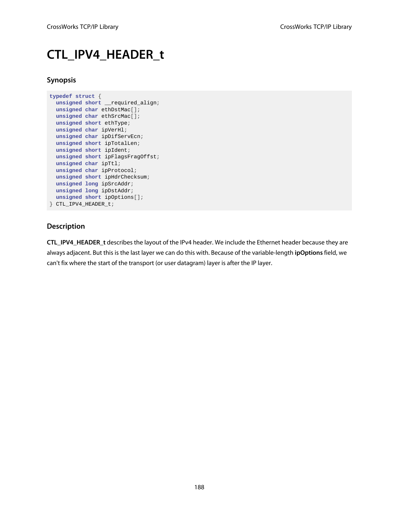# <span id="page-187-0"></span>**CTL\_IPV4\_HEADER\_t**

#### **Synopsis**

```
typedef struct {
  unsigned short __required_align;
  unsigned char ethDstMac[];
  unsigned char ethSrcMac[];
  unsigned short ethType;
  unsigned char ipVerHl;
  unsigned char ipDifServEcn;
  unsigned short ipTotalLen;
  unsigned short ipIdent;
  unsigned short ipFlagsFragOffst;
  unsigned char ipTtl;
  unsigned char ipProtocol;
  unsigned short ipHdrChecksum;
  unsigned long ipSrcAddr;
  unsigned long ipDstAddr;
  unsigned short ipOptions[];
} CTL_IPV4_HEADER_t;
```
### **Description**

**CTL\_IPV4\_HEADER\_t** describes the layout of the IPv4 header. We include the Ethernet header because they are always adjacent. But this is the last layer we can do this with. Because of the variable-length **ipOptions** field, we can't fix where the start of the transport (or user datagram) layer is after the IP layer.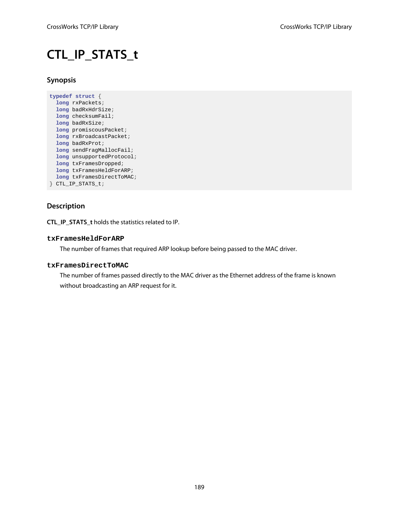# <span id="page-188-0"></span>**CTL\_IP\_STATS\_t**

### **Synopsis**

```
typedef struct {
   long rxPackets;
  long badRxHdrSize;
  long checksumFail;
  long badRxSize;
  long promiscousPacket;
  long rxBroadcastPacket;
  long badRxProt;
  long sendFragMallocFail;
  long unsupportedProtocol;
  long txFramesDropped;
  long txFramesHeldForARP;
  long txFramesDirectToMAC;
} CTL_IP_STATS_t;
```
## **Description**

**CTL\_IP\_STATS\_t** holds the statistics related to IP.

#### **txFramesHeldForARP**

The number of frames that required ARP lookup before being passed to the MAC driver.

#### **txFramesDirectToMAC**

The number of frames passed directly to the MAC driver as the Ethernet address of the frame is known without broadcasting an ARP request for it.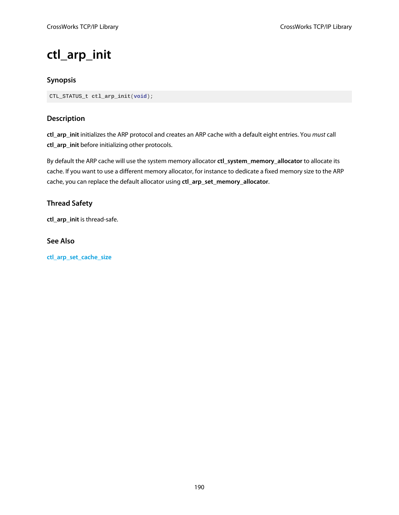# <span id="page-189-0"></span>**ctl\_arp\_init**

### **Synopsis**

CTL\_STATUS\_t **ctl\_arp\_init**(**void**);

### **Description**

**ctl\_arp\_init** initializes the ARP protocol and creates an ARP cache with a default eight entries. You *must* call **ctl\_arp\_init** before initializing other protocols.

By default the ARP cache will use the system memory allocator **ctl\_system\_memory\_allocator** to allocate its cache. If you want to use a different memory allocator, for instance to dedicate a fixed memory size to the ARP cache, you can replace the default allocator using **ctl\_arp\_set\_memory\_allocator**.

# **Thread Safety**

**ctl\_arp\_init** is thread-safe.

### **See Also**

**[ctl\\_arp\\_set\\_cache\\_size](#page-65-0)**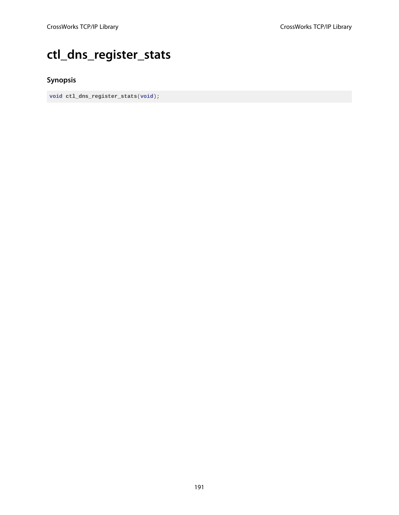# <span id="page-190-0"></span>**ctl\_dns\_register\_stats**

# **Synopsis**

**void ctl\_dns\_register\_stats**(**void**);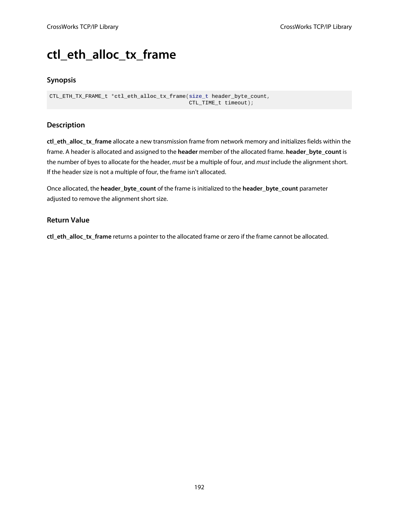# <span id="page-191-0"></span>**ctl\_eth\_alloc\_tx\_frame**

## **Synopsis**

```
CTL_ETH_TX_FRAME_t *ctl_eth_alloc_tx_frame(size_t header_byte_count,
                                             CTL_TIME_t timeout);
```
### **Description**

**ctl\_eth\_alloc\_tx\_frame** allocate a new transmission frame from network memory and initializes fields within the frame. A header is allocated and assigned to the **header** member of the allocated frame. **header\_byte\_count** is the number of byes to allocate for the header, *must* be a multiple of four, and *must* include the alignment short. If the header size is not a multiple of four, the frame isn't allocated.

Once allocated, the **header\_byte\_count** of the frame is initialized to the **header\_byte\_count** parameter adjusted to remove the alignment short size.

### **Return Value**

**ctl\_eth\_alloc\_tx\_frame** returns a pointer to the allocated frame or zero if the frame cannot be allocated.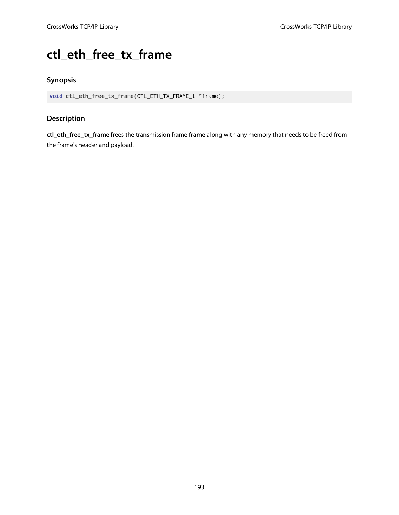# <span id="page-192-0"></span>**ctl\_eth\_free\_tx\_frame**

## **Synopsis**

**void ctl\_eth\_free\_tx\_frame**(CTL\_ETH\_TX\_FRAME\_t \*frame);

# **Description**

**ctl\_eth\_free\_tx\_frame** frees the transmission frame **frame** along with any memory that needs to be freed from the frame's header and payload.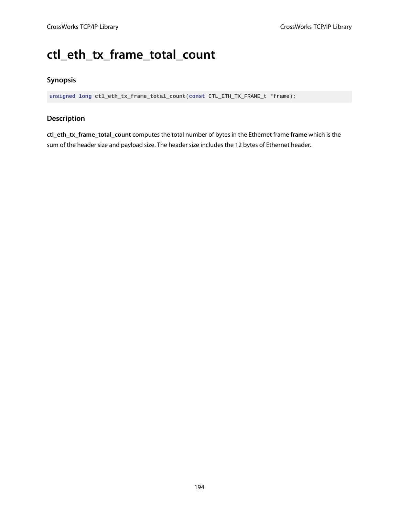# <span id="page-193-0"></span>**ctl\_eth\_tx\_frame\_total\_count**

## **Synopsis**

**unsigned long ctl\_eth\_tx\_frame\_total\_count**(**const** CTL\_ETH\_TX\_FRAME\_t \*frame);

# **Description**

**ctl\_eth\_tx\_frame\_total\_count** computes the total number of bytes in the Ethernet frame **frame** which is the sum of the header size and payload size. The header size includes the 12 bytes of Ethernet header.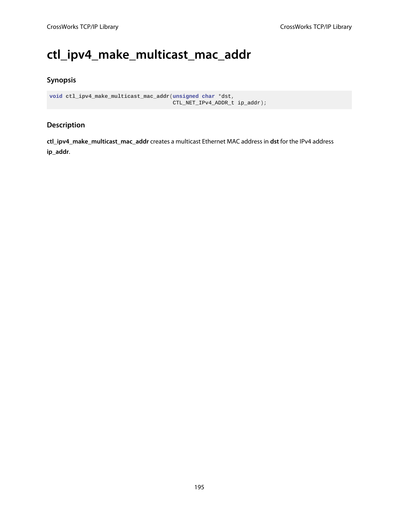# <span id="page-194-0"></span>**ctl\_ipv4\_make\_multicast\_mac\_addr**

# **Synopsis**

```
void ctl_ipv4_make_multicast_mac_addr(unsigned char *dst,
                                       CTL_NET_IPv4_ADDR_t ip_addr);
```
# **Description**

**ctl\_ipv4\_make\_multicast\_mac\_addr** creates a multicast Ethernet MAC address in **dst** for the IPv4 address **ip\_addr**.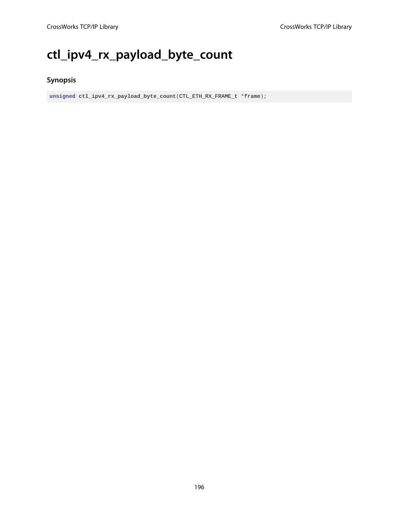# <span id="page-195-0"></span>**ctl\_ipv4\_rx\_payload\_byte\_count**

# **Synopsis**

**unsigned ctl\_ipv4\_rx\_payload\_byte\_count**(CTL\_ETH\_RX\_FRAME\_t \*frame);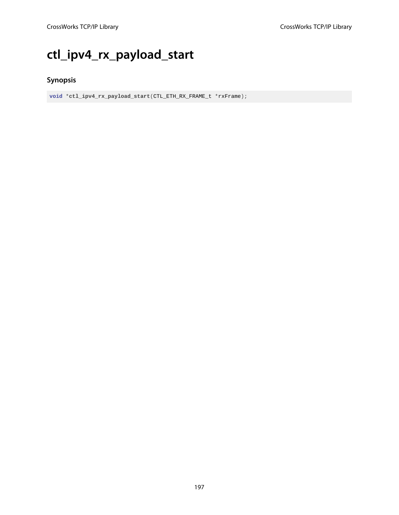# <span id="page-196-0"></span>**ctl\_ipv4\_rx\_payload\_start**

# **Synopsis**

**void** \***ctl\_ipv4\_rx\_payload\_start**(CTL\_ETH\_RX\_FRAME\_t \*rxFrame);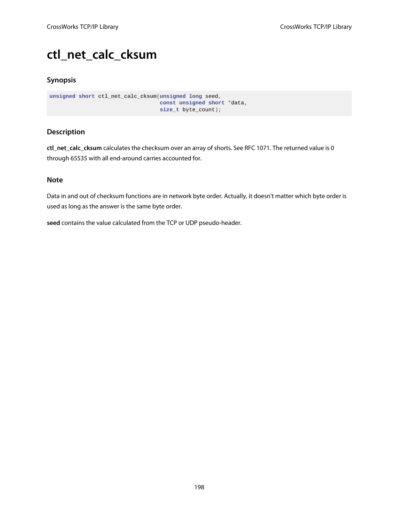# <span id="page-197-0"></span>**ctl\_net\_calc\_cksum**

### **Synopsis**

```
unsigned short ctl_net_calc_cksum(unsigned long seed,
                                   const unsigned short *data,
                                    size_t byte_count);
```
# **Description**

**ctl\_net\_calc\_cksum** calculates the checksum over an array of shorts. See RFC 1071. The returned value is 0 through 65535 with all end-around carries accounted for.

### **Note**

Data in and out of checksum functions are in network byte order. Actually, it doesn't matter which byte order is used as long as the answer is the same byte order.

**seed** contains the value calculated from the TCP or UDP pseudo-header.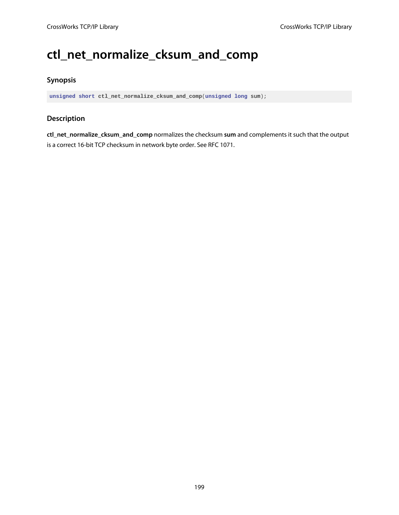# <span id="page-198-0"></span>**ctl\_net\_normalize\_cksum\_and\_comp**

## **Synopsis**

**unsigned short ctl\_net\_normalize\_cksum\_and\_comp**(**unsigned long** sum);

# **Description**

**ctl\_net\_normalize\_cksum\_and\_comp** normalizes the checksum **sum** and complements it such that the output is a correct 16-bit TCP checksum in network byte order. See RFC 1071.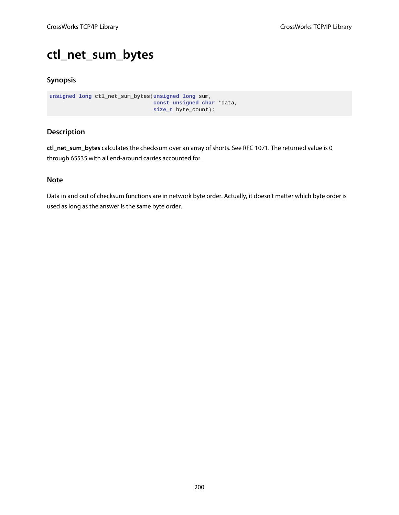# <span id="page-199-0"></span>**ctl\_net\_sum\_bytes**

### **Synopsis**

```
unsigned long ctl_net_sum_bytes(unsigned long sum,
                                 const unsigned char *data,
                                 size_t byte_count);
```
# **Description**

**ctl\_net\_sum\_bytes** calculates the checksum over an array of shorts. See RFC 1071. The returned value is 0 through 65535 with all end-around carries accounted for.

### **Note**

Data in and out of checksum functions are in network byte order. Actually, it doesn't matter which byte order is used as long as the answer is the same byte order.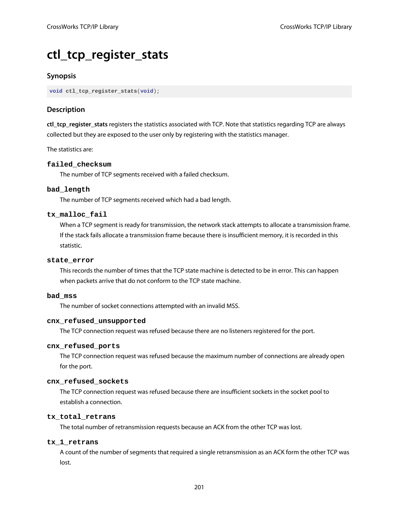# <span id="page-200-0"></span>**ctl\_tcp\_register\_stats**

#### **Synopsis**

**void ctl\_tcp\_register\_stats**(**void**);

#### **Description**

**ctl\_tcp\_register\_stats** registers the statistics associated with TCP. Note that statistics regarding TCP are always collected but they are exposed to the user only by registering with the statistics manager.

The statistics are:

#### **failed\_checksum**

The number of TCP segments received with a failed checksum.

#### **bad\_length**

The number of TCP segments received which had a bad length.

#### **tx\_malloc\_fail**

When a TCP segment is ready for transmission, the network stack attempts to allocate a transmission frame. If the stack fails allocate a transmission frame because there is insufficient memory, it is recorded in this statistic.

#### **state\_error**

This records the number of times that the TCP state machine is detected to be in error. This can happen when packets arrive that do not conform to the TCP state machine.

#### **bad\_mss**

The number of socket connections attempted with an invalid MSS.

#### **cnx\_refused\_unsupported**

The TCP connection request was refused because there are no listeners registered for the port.

#### **cnx\_refused\_ports**

The TCP connection request was refused because the maximum number of connections are already open for the port.

#### **cnx\_refused\_sockets**

The TCP connection request was refused because there are insufficient sockets in the socket pool to establish a connection.

#### **tx\_total\_retrans**

The total number of retransmission requests because an ACK from the other TCP was lost.

#### **tx\_1\_retrans**

A count of the number of segments that required a single retransmission as an ACK form the other TCP was lost.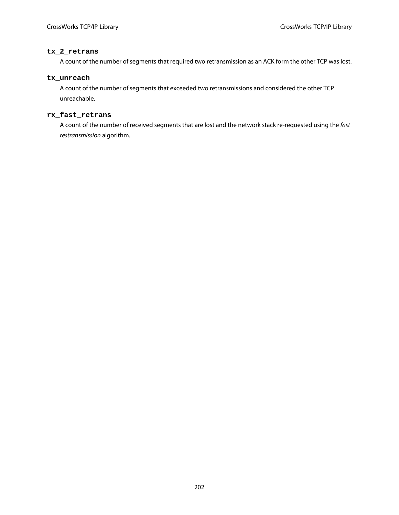#### **tx\_2\_retrans**

A count of the number of segments that required two retransmission as an ACK form the other TCP was lost.

### **tx\_unreach**

A count of the number of segments that exceeded two retransmissions and considered the other TCP unreachable.

### **rx\_fast\_retrans**

A count of the number of received segments that are lost and the network stack re-requested using the *fast restransmission* algorithm.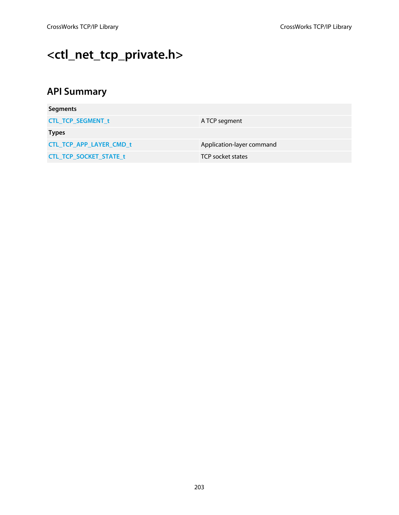# **<ctl\_net\_tcp\_private.h>**

# **API Summary**

| Segments                       |                           |
|--------------------------------|---------------------------|
| <b>CTL_TCP_SEGMENT_t</b>       | A TCP segment             |
| <b>Types</b>                   |                           |
| <b>CTL_TCP_APP_LAYER_CMD_t</b> | Application-layer command |
| <b>CTL_TCP_SOCKET_STATE_t</b>  | TCP socket states         |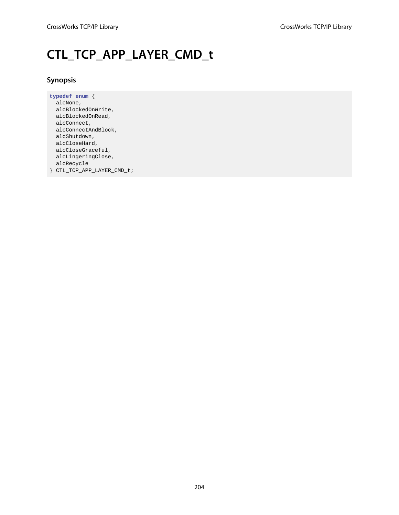# <span id="page-203-0"></span>**CTL\_TCP\_APP\_LAYER\_CMD\_t**

## **Synopsis**

**typedef enum** { alcNone, alcBlockedOnWrite, alcBlockedOnRead, alcConnect, alcConnectAndBlock, alcShutdown, alcCloseHard, alcCloseGraceful, alcLingeringClose, alcRecycle } CTL\_TCP\_APP\_LAYER\_CMD\_t;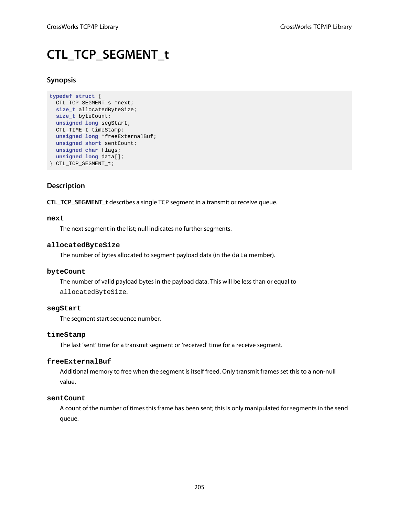# <span id="page-204-0"></span>**CTL\_TCP\_SEGMENT\_t**

#### **Synopsis**

```
typedef struct {
   CTL_TCP_SEGMENT_s *next;
   size_t allocatedByteSize;
  size_t byteCount;
  unsigned long segStart;
  CTL_TIME_t timeStamp;
  unsigned long *freeExternalBuf;
  unsigned short sentCount;
  unsigned char flags;
  unsigned long data[];
} CTL_TCP_SEGMENT_t;
```
### **Description**

**CTL\_TCP\_SEGMENT\_t** describes a single TCP segment in a transmit or receive queue.

#### **next**

The next segment in the list; null indicates no further segments.

#### **allocatedByteSize**

The number of bytes allocated to segment payload data (in the data member).

#### **byteCount**

The number of valid payload bytes in the payload data. This will be less than or equal to allocatedByteSize.

#### **segStart**

The segment start sequence number.

#### **timeStamp**

The last 'sent' time for a transmit segment or 'received' time for a receive segment.

#### **freeExternalBuf**

Additional memory to free when the segment is itself freed. Only transmit frames set this to a non-null value.

#### **sentCount**

A count of the number of times this frame has been sent; this is only manipulated for segments in the send queue.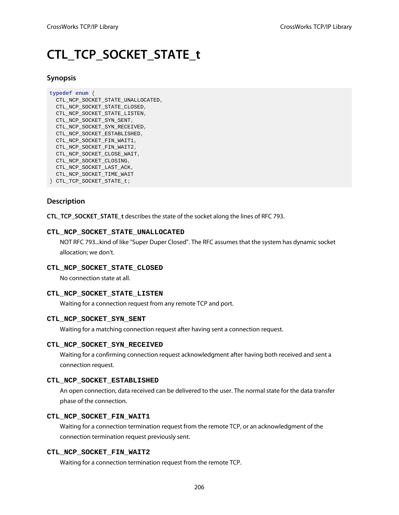# <span id="page-205-0"></span>**CTL\_TCP\_SOCKET\_STATE\_t**

#### **Synopsis**

```
typedef enum {
  CTL_NCP_SOCKET_STATE_UNALLOCATED,
 CTL NCP SOCKET STATE CLOSED,
 CTL NCP SOCKET STATE LISTEN,
  CTL_NCP_SOCKET_SYN_SENT,
  CTL_NCP_SOCKET_SYN_RECEIVED,
  CTL_NCP_SOCKET_ESTABLISHED,
  CTL_NCP_SOCKET_FIN_WAIT1,
  CTL_NCP_SOCKET_FIN_WAIT2,
  CTL_NCP_SOCKET_CLOSE_WAIT,
  CTL_NCP_SOCKET_CLOSING,
  CTL_NCP_SOCKET_LAST_ACK,
  CTL_NCP_SOCKET_TIME_WAIT
} CTL_TCP_SOCKET_STATE_t;
```
#### **Description**

**CTL\_TCP\_SOCKET\_STATE\_t** describes the state of the socket along the lines of RFC 793.

#### **CTL\_NCP\_SOCKET\_STATE\_UNALLOCATED**

NOT RFC 793...kind of like "Super Duper Closed". The RFC assumes that the system has dynamic socket allocation; we don't.

#### **CTL\_NCP\_SOCKET\_STATE\_CLOSED**

No connection state at all.

#### **CTL\_NCP\_SOCKET\_STATE\_LISTEN**

Waiting for a connection request from any remote TCP and port.

#### **CTL\_NCP\_SOCKET\_SYN\_SENT**

Waiting for a matching connection request after having sent a connection request.

#### **CTL\_NCP\_SOCKET\_SYN\_RECEIVED**

Waiting for a confirming connection request acknowledgment after having both received and sent a connection request.

#### **CTL\_NCP\_SOCKET\_ESTABLISHED**

An open connection, data received can be delivered to the user. The normal state for the data transfer phase of the connection.

#### **CTL\_NCP\_SOCKET\_FIN\_WAIT1**

Waiting for a connection termination request from the remote TCP, or an acknowledgment of the connection termination request previously sent.

#### **CTL\_NCP\_SOCKET\_FIN\_WAIT2**

Waiting for a connection termination request from the remote TCP.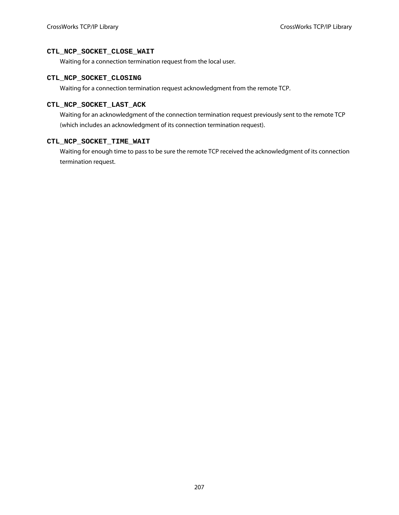#### **CTL\_NCP\_SOCKET\_CLOSE\_WAIT**

Waiting for a connection termination request from the local user.

#### **CTL\_NCP\_SOCKET\_CLOSING**

Waiting for a connection termination request acknowledgment from the remote TCP.

#### **CTL\_NCP\_SOCKET\_LAST\_ACK**

Waiting for an acknowledgment of the connection termination request previously sent to the remote TCP (which includes an acknowledgment of its connection termination request).

#### **CTL\_NCP\_SOCKET\_TIME\_WAIT**

Waiting for enough time to pass to be sure the remote TCP received the acknowledgment of its connection termination request.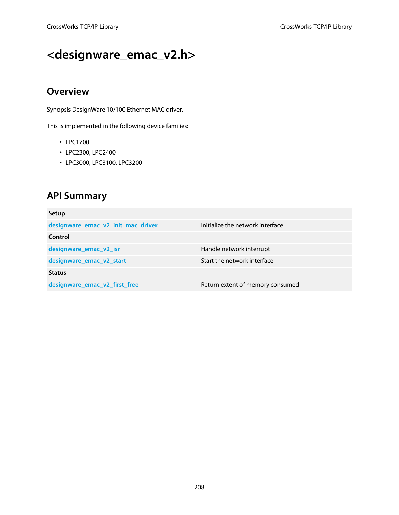# **<designware\_emac\_v2.h>**

# **Overview**

Synopsis DesignWare 10/100 Ethernet MAC driver.

This is implemented in the following device families:

- LPC1700
- LPC2300, LPC2400
- LPC3000, LPC3100, LPC3200

# **API Summary**

| Setup                              |                                  |
|------------------------------------|----------------------------------|
| designware_emac_v2_init_mac_driver | Initialize the network interface |
| Control                            |                                  |
| designware_emac_v2_isr             | Handle network interrupt         |
| designware_emac_v2_start           | Start the network interface      |
| <b>Status</b>                      |                                  |
| designware_emac_v2_first_free      | Return extent of memory consumed |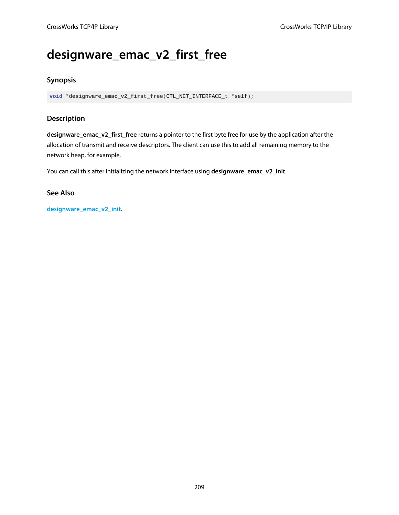# <span id="page-208-0"></span>**designware\_emac\_v2\_first\_free**

### **Synopsis**

**void** \***designware\_emac\_v2\_first\_free**(CTL\_NET\_INTERFACE\_t \*self);

## **Description**

**designware\_emac\_v2\_first\_free** returns a pointer to the first byte free for use by the application after the allocation of transmit and receive descriptors. The client can use this to add all remaining memory to the network heap, for example.

You can call this after initializing the network interface using **designware\_emac\_v2\_init**.

## **See Also**

**designware\_emac\_v2\_init**.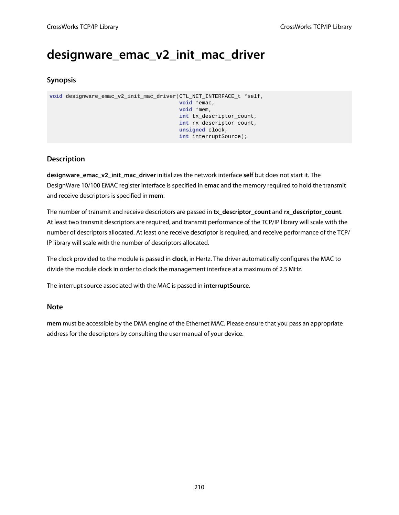# <span id="page-209-0"></span>**designware\_emac\_v2\_init\_mac\_driver**

### **Synopsis**

```
void designware_emac_v2_init_mac_driver(CTL_NET_INTERFACE_t *self,
                                          void *emac,
                                          void *mem,
                                          int tx_descriptor_count,
                                         int rx_descriptor_count,
                                         unsigned clock,
                                         int interruptSource);
```
### **Description**

**designware\_emac\_v2\_init\_mac\_driver** initializes the network interface **self** but does not start it. The DesignWare 10/100 EMAC register interface is specified in **emac** and the memory required to hold the transmit and receive descriptors is specified in **mem**.

The number of transmit and receive descriptors are passed in **tx\_descriptor\_count** and **rx\_descriptor\_count**. At least two transmit descriptors are required, and transmit performance of the TCP/IP library will scale with the number of descriptors allocated. At least one receive descriptor is required, and receive performance of the TCP/ IP library will scale with the number of descriptors allocated.

The clock provided to the module is passed in **clock**, in Hertz. The driver automatically configures the MAC to divide the module clock in order to clock the management interface at a maximum of 2.5 MHz.

The interrupt source associated with the MAC is passed in **interruptSource**.

#### **Note**

**mem** must be accessible by the DMA engine of the Ethernet MAC. Please ensure that you pass an appropriate address for the descriptors by consulting the user manual of your device.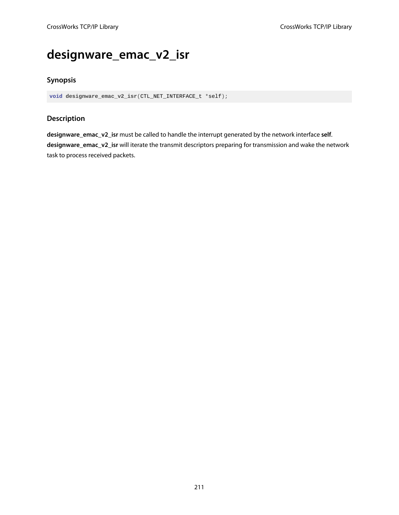# <span id="page-210-0"></span>**designware\_emac\_v2\_isr**

## **Synopsis**

**void designware\_emac\_v2\_isr**(CTL\_NET\_INTERFACE\_t \*self);

# **Description**

**designware\_emac\_v2\_isr** must be called to handle the interrupt generated by the network interface **self**. **designware\_emac\_v2\_isr** will iterate the transmit descriptors preparing for transmission and wake the network task to process received packets.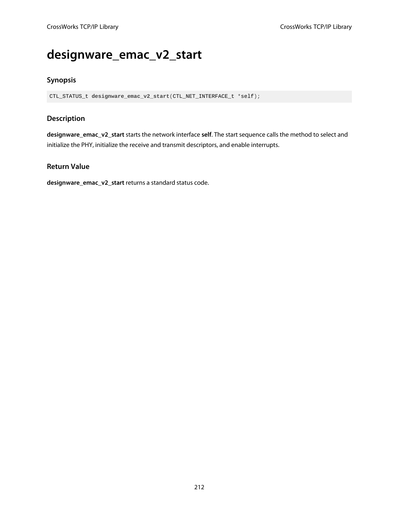# <span id="page-211-0"></span>**designware\_emac\_v2\_start**

# **Synopsis**

CTL\_STATUS\_t **designware\_emac\_v2\_start**(CTL\_NET\_INTERFACE\_t \*self);

# **Description**

**designware\_emac\_v2\_start** starts the network interface **self**. The start sequence calls the method to select and initialize the PHY, initialize the receive and transmit descriptors, and enable interrupts.

### **Return Value**

**designware\_emac\_v2\_start** returns a standard status code.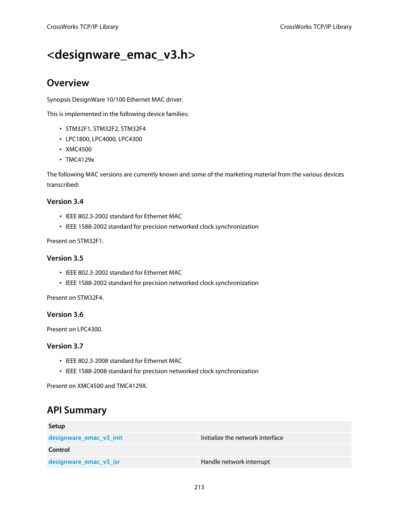# **<designware\_emac\_v3.h>**

# **Overview**

Synopsis DesignWare 10/100 Ethernet MAC driver.

This is implemented in the following device families:

- STM32F1, STM32F2, STM32F4
- LPC1800, LPC4000, LPC4300
- XMC4500
- TMC4129x

The following MAC versions are currently known and some of the marketing material from the various devices transcribed:

#### **Version 3.4**

- IEEE 802.3-2002 standard for Ethernet MAC
- IEEE 1588-2002 standard for precision networked clock synchronization

Present on STM32F1.

#### **Version 3.5**

- IEEE 802.3-2002 standard for Ethernet MAC
- IEEE 1588-2002 standard for precision networked clock synchronization

Present on STM32F4.

#### **Version 3.6**

Present on LPC4300.

#### **Version 3.7**

- IEEE 802.3-2008 standard for Ethernet MAC
- IEEE 1588-2008 standard for precision networked clock synchronization

Present on XMC4500 and TMC4129X.

# **API Summary**

| Setup                   |                                  |
|-------------------------|----------------------------------|
| designware_emac_v3_init | Initialize the network interface |
| Control                 |                                  |
| designware_emac_v3_isr  | Handle network interrupt         |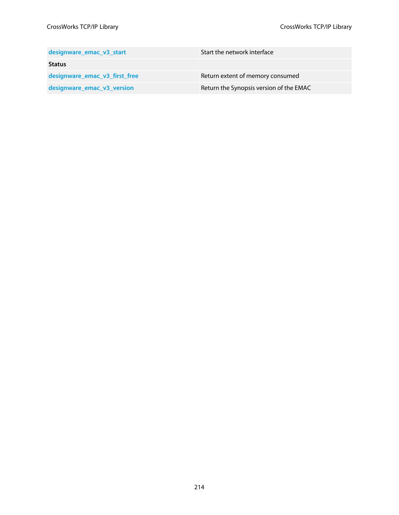| designware_emac_v3_start      | Start the network interface             |
|-------------------------------|-----------------------------------------|
| <b>Status</b>                 |                                         |
| designware_emac_v3_first_free | Return extent of memory consumed        |
| designware_emac_v3_version    | Return the Synopsis version of the EMAC |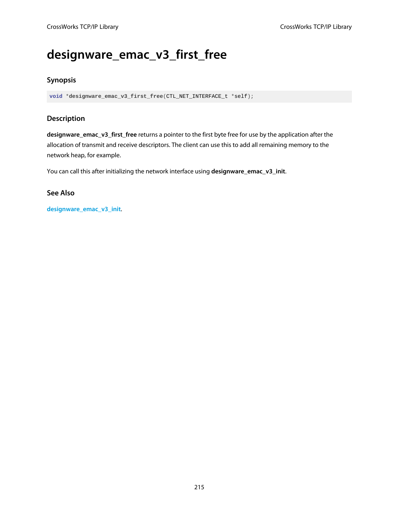# <span id="page-214-0"></span>**designware\_emac\_v3\_first\_free**

### **Synopsis**

**void** \***designware\_emac\_v3\_first\_free**(CTL\_NET\_INTERFACE\_t \*self);

# **Description**

**designware\_emac\_v3\_first\_free** returns a pointer to the first byte free for use by the application after the allocation of transmit and receive descriptors. The client can use this to add all remaining memory to the network heap, for example.

You can call this after initializing the network interface using **designware\_emac\_v3\_init**.

## **See Also**

**[designware\\_emac\\_v3\\_init](#page-215-0)**.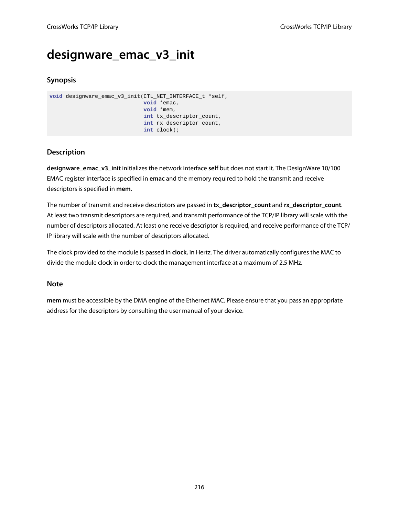# <span id="page-215-0"></span>**designware\_emac\_v3\_init**

### **Synopsis**

```
void designware_emac_v3_init(CTL_NET_INTERFACE_t *self,
                               void *emac,
                              void *mem,
                               int tx_descriptor_count,
                              int rx_descriptor_count,
                              int clock);
```
## **Description**

**designware\_emac\_v3\_init** initializes the network interface **self** but does not start it. The DesignWare 10/100 EMAC register interface is specified in **emac** and the memory required to hold the transmit and receive descriptors is specified in **mem**.

The number of transmit and receive descriptors are passed in **tx\_descriptor\_count** and **rx\_descriptor\_count**. At least two transmit descriptors are required, and transmit performance of the TCP/IP library will scale with the number of descriptors allocated. At least one receive descriptor is required, and receive performance of the TCP/ IP library will scale with the number of descriptors allocated.

The clock provided to the module is passed in **clock**, in Hertz. The driver automatically configures the MAC to divide the module clock in order to clock the management interface at a maximum of 2.5 MHz.

#### **Note**

**mem** must be accessible by the DMA engine of the Ethernet MAC. Please ensure that you pass an appropriate address for the descriptors by consulting the user manual of your device.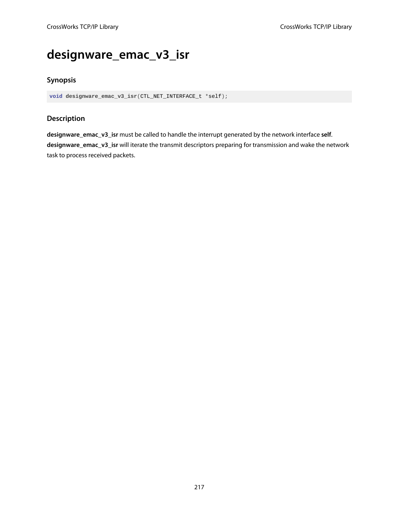## **designware\_emac\_v3\_isr**

#### **Synopsis**

**void designware\_emac\_v3\_isr**(CTL\_NET\_INTERFACE\_t \*self);

#### **Description**

**designware\_emac\_v3\_isr** must be called to handle the interrupt generated by the network interface **self**. **designware\_emac\_v3\_isr** will iterate the transmit descriptors preparing for transmission and wake the network task to process received packets.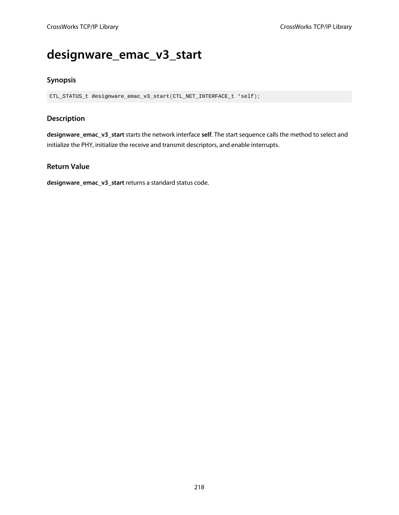### **designware\_emac\_v3\_start**

#### **Synopsis**

CTL\_STATUS\_t **designware\_emac\_v3\_start**(CTL\_NET\_INTERFACE\_t \*self);

#### **Description**

**designware\_emac\_v3\_start** starts the network interface **self**. The start sequence calls the method to select and initialize the PHY, initialize the receive and transmit descriptors, and enable interrupts.

#### **Return Value**

**designware\_emac\_v3\_start** returns a standard status code.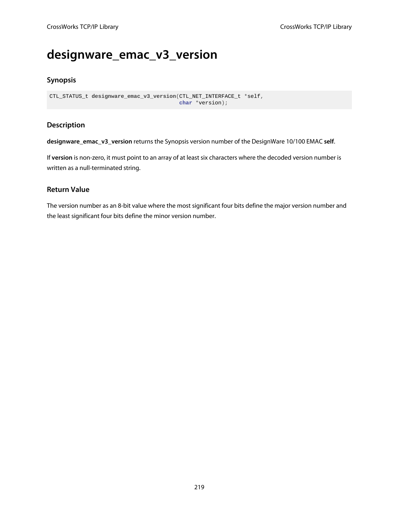### **designware\_emac\_v3\_version**

#### **Synopsis**

```
CTL_STATUS_t designware_emac_v3_version(CTL_NET_INTERFACE_t *self,
                                         char *version);
```
#### **Description**

**designware\_emac\_v3\_version** returns the Synopsis version number of the DesignWare 10/100 EMAC **self**.

If **version** is non-zero, it must point to an array of at least six characters where the decoded version number is written as a null-terminated string.

#### **Return Value**

The version number as an 8-bit value where the most significant four bits define the major version number and the least significant four bits define the minor version number.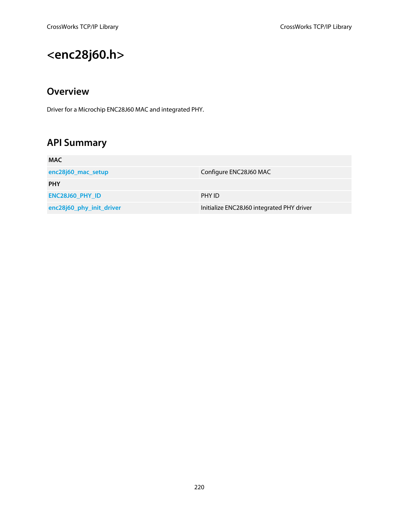# **<enc28j60.h>**

### **Overview**

Driver for a Microchip ENC28J60 MAC and integrated PHY.

| <b>MAC</b>               |                                           |
|--------------------------|-------------------------------------------|
| enc28j60_mac_setup       | Configure ENC28J60 MAC                    |
| <b>PHY</b>               |                                           |
| ENC28J60 PHY ID          | <b>PHY ID</b>                             |
| enc28j60_phy_init_driver | Initialize ENC28J60 integrated PHY driver |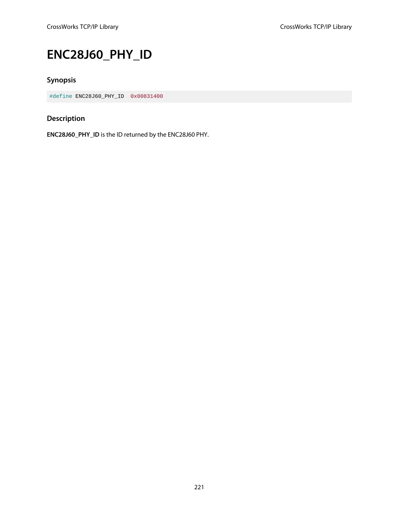## <span id="page-220-0"></span>**ENC28J60\_PHY\_ID**

#### **Synopsis**

#define ENC28J60\_PHY\_ID 0x00831400

**Description**

**ENC28J60\_PHY\_ID** is the ID returned by the ENC28J60 PHY.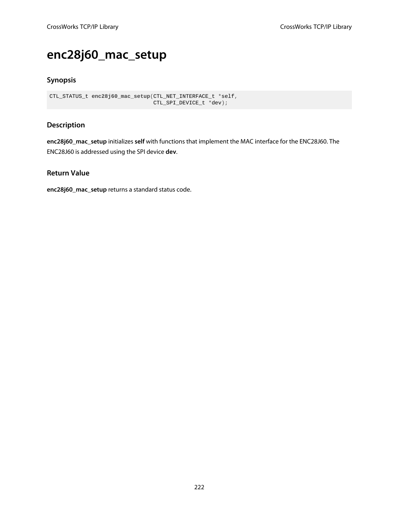### <span id="page-221-0"></span>**enc28j60\_mac\_setup**

#### **Synopsis**

```
CTL_STATUS_t enc28j60_mac_setup(CTL_NET_INTERFACE_t *self,
\verb|CTL_SPI_DEVICE_t * dev)| ;
```
#### **Description**

**enc28j60\_mac\_setup** initializes **self** with functions that implement the MAC interface for the ENC28J60. The ENC28J60 is addressed using the SPI device **dev**.

#### **Return Value**

**enc28j60\_mac\_setup** returns a standard status code.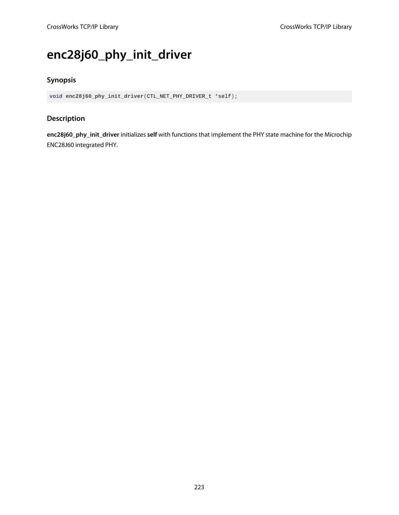## <span id="page-222-0"></span>**enc28j60\_phy\_init\_driver**

#### **Synopsis**

**void enc28j60\_phy\_init\_driver**(CTL\_NET\_PHY\_DRIVER\_t \*self);

#### **Description**

**enc28j60\_phy\_init\_driver** initializes **self** with functions that implement the PHY state machine for the Microchip ENC28J60 integrated PHY.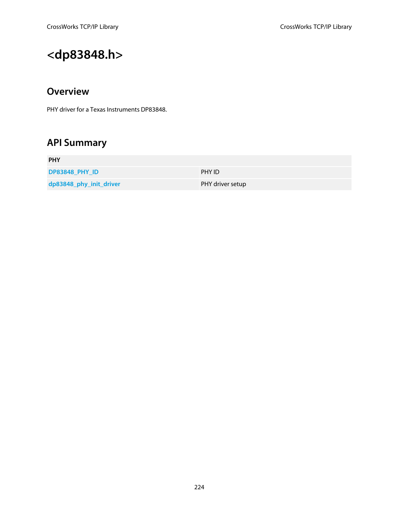## **<dp83848.h>**

### **Overview**

PHY driver for a Texas Instruments DP83848.

| <b>PHY</b>              |                  |
|-------------------------|------------------|
| <b>DP83848 PHY ID</b>   | PHY ID           |
| dp83848_phy_init_driver | PHY driver setup |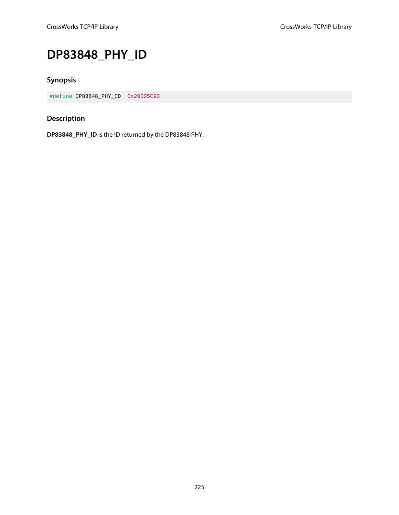## <span id="page-224-0"></span>**DP83848\_PHY\_ID**

#### **Synopsis**

#define DP83848\_PHY\_ID 0x20005C90

#### **Description**

**DP83848\_PHY\_ID** is the ID returned by the DP83848 PHY.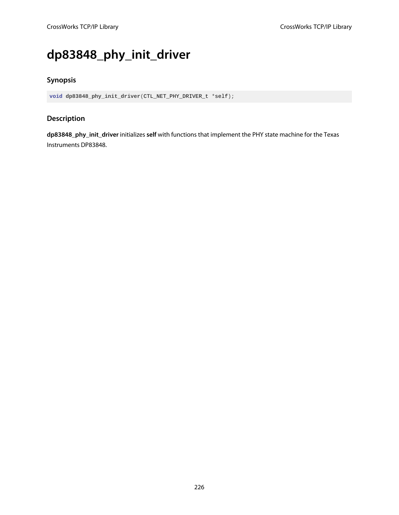# <span id="page-225-0"></span>**dp83848\_phy\_init\_driver**

#### **Synopsis**

**void dp83848\_phy\_init\_driver**(CTL\_NET\_PHY\_DRIVER\_t \*self);

#### **Description**

**dp83848\_phy\_init\_driver** initializes **self** with functions that implement the PHY state machine for the Texas Instruments DP83848.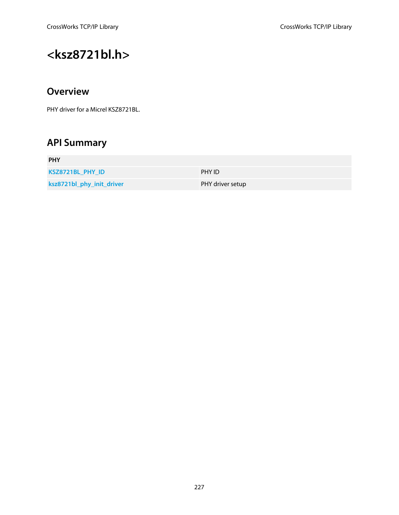## **<ksz8721bl.h>**

### **Overview**

PHY driver for a Micrel KSZ8721BL.

| <b>PHY</b>                |                         |
|---------------------------|-------------------------|
| KSZ8721BL PHY ID          | PHY ID                  |
| ksz8721bl_phy_init_driver | <b>PHY driver setup</b> |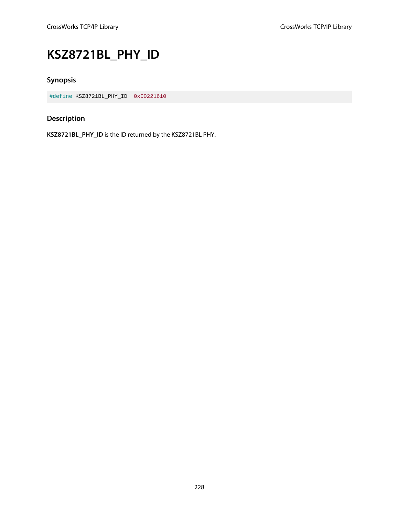## <span id="page-227-0"></span>**KSZ8721BL\_PHY\_ID**

#### **Synopsis**

#define KSZ8721BL\_PHY\_ID 0x00221610

**Description**

**KSZ8721BL\_PHY\_ID** is the ID returned by the KSZ8721BL PHY.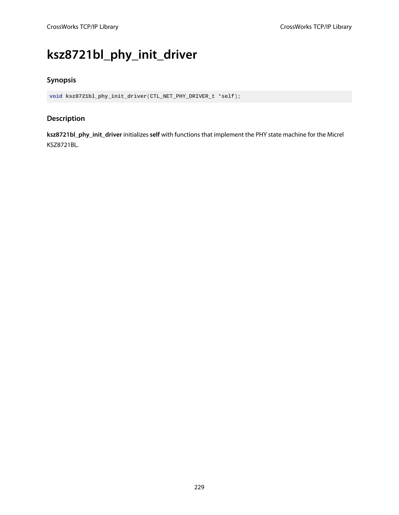# <span id="page-228-0"></span>**ksz8721bl\_phy\_init\_driver**

#### **Synopsis**

**void ksz8721bl\_phy\_init\_driver**(CTL\_NET\_PHY\_DRIVER\_t \*self);

#### **Description**

**ksz8721bl\_phy\_init\_driver** initializes **self** with functions that implement the PHY state machine for the Micrel KSZ8721BL.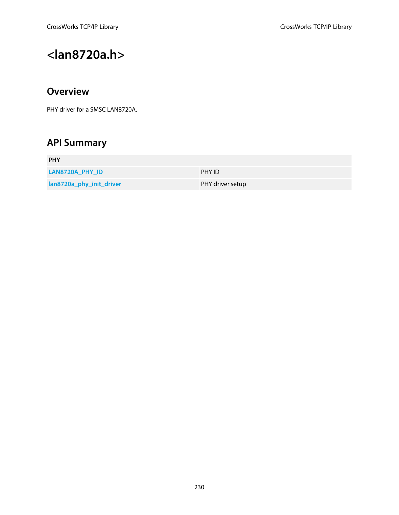## **<lan8720a.h>**

### **Overview**

PHY driver for a SMSC LAN8720A.

| <b>PHY</b>               |                         |
|--------------------------|-------------------------|
| LAN8720A_PHY_ID          | PHY ID                  |
| lan8720a_phy_init_driver | <b>PHY driver setup</b> |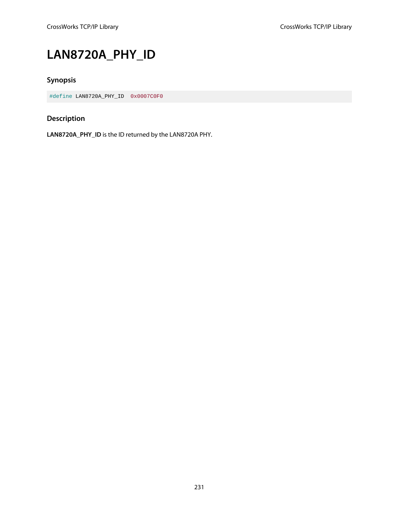## <span id="page-230-0"></span>**LAN8720A\_PHY\_ID**

#### **Synopsis**

#define LAN8720A\_PHY\_ID 0x0007C0F0

**Description**

**LAN8720A\_PHY\_ID** is the ID returned by the LAN8720A PHY.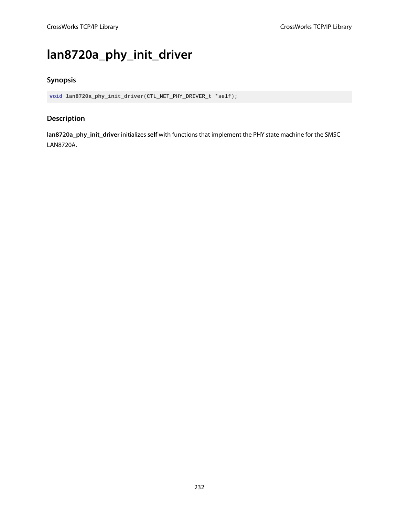# <span id="page-231-0"></span>**lan8720a\_phy\_init\_driver**

#### **Synopsis**

**void lan8720a\_phy\_init\_driver**(CTL\_NET\_PHY\_DRIVER\_t \*self);

#### **Description**

**lan8720a\_phy\_init\_driver** initializes **self** with functions that implement the PHY state machine for the SMSC LAN8720A.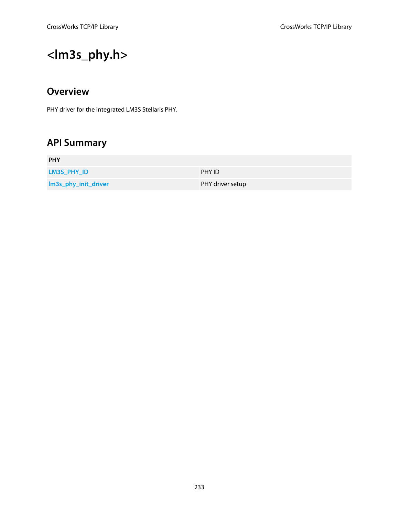# **<lm3s\_phy.h>**

### **Overview**

PHY driver for the integrated LM3S Stellaris PHY.

| <b>PHY</b>           |                  |
|----------------------|------------------|
| LM3S_PHY_ID          | PHY ID           |
| Im3s_phy_init_driver | PHY driver setup |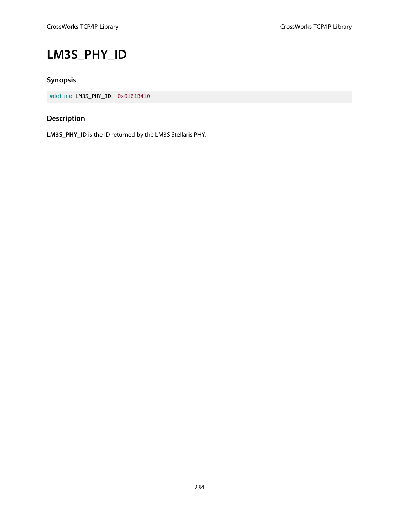# <span id="page-233-0"></span>**LM3S\_PHY\_ID**

#### **Synopsis**

#define LM3S\_PHY\_ID 0x0161B410

#### **Description**

**LM3S\_PHY\_ID** is the ID returned by the LM3S Stellaris PHY.